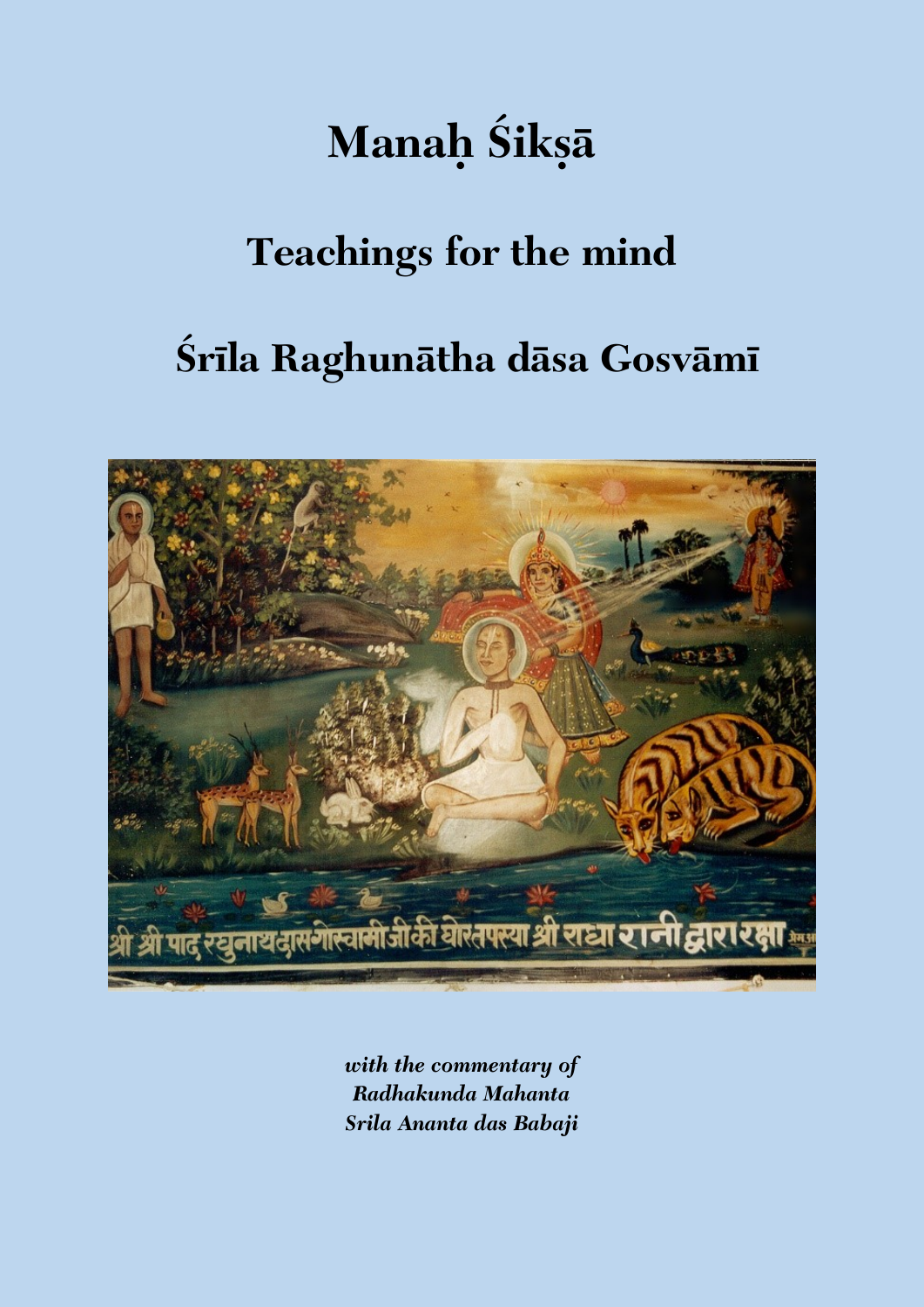# **Manah** Śikșā

## **Teachings for the mind**

## **Çréla Raghunätha däsa Gosvämé**



*with the commentary of Radhakunda Mahanta Srila Ananta das Babaji*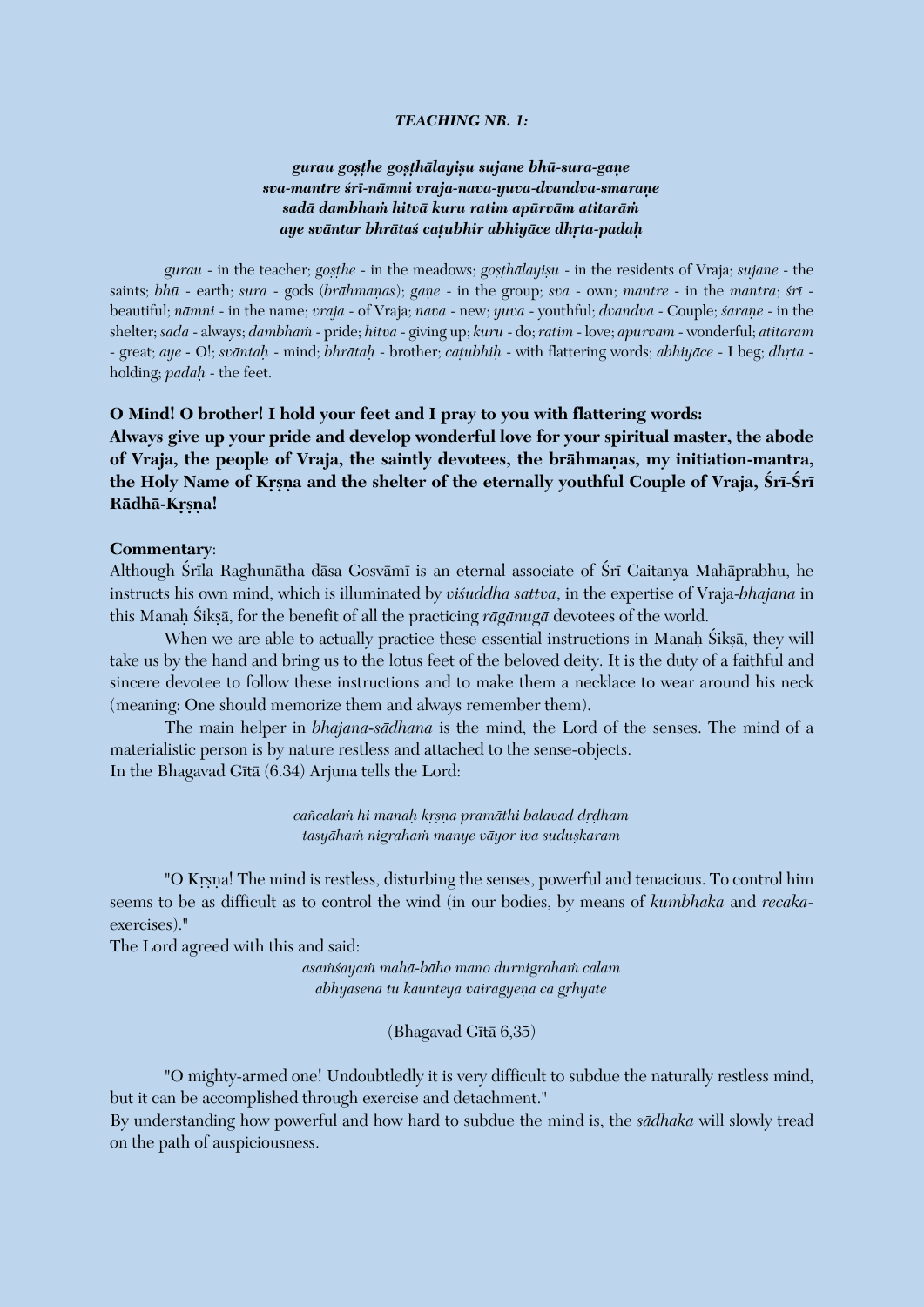#### *TEACHING NR. 1:*

## *gurau goñöhe goñöhälayiñu sujane bhü-sura-gaëe sva-mantre çré-nämni vraja-nava-yuva-dvandva-smaraëe sadä dambhaà hitvä kuru ratim apürväm atitaräà aye sväntar bhrätaç caöubhir abhiyäce dhåta-padaù*

*gurau* - in the teacher; *gosthe* - in the meadows; *gosthālayisu* - in the residents of Vraja; *sujane* - the saints; *bhū* - earth; *sura* - gods (*brāhmanas*); *gane* - in the group; *sva* - own; *mantre* - in the *mantra*; *śrī* beautiful; *nämni* - in the name; *vraja* - of Vraja; *nava* - new; *yuva* - youthful; *dvandva* - Couple; *çaraëe* - in the shelter; *sadä* - always; *dambhaà* - pride; *hitvä* - giving up; *kuru* - do; *ratim* - love; *apürvam* - wonderful; *atitaräm* - great; *aye* - O!; *svāntaḥ* - mind; *bhrātaḥ* - brother; *caṭubhiḥ* - with flattering words; *abhiyāce* - I beg; *dhṛta* holding; *padaù* - the feet.

#### **O Mind! O brother! I hold your feet and I pray to you with flattering words:**

**Always give up your pride and develop wonderful love for your spiritual master, the abode**  of Vraja, the people of Vraja, the saintly devotees, the brāhmanas, my initiation-mantra, the Holy Name of Krsna and the shelter of the eternally youthful Couple of Vraja, Śrī-Śrī **Rädhä-Krsna!** 

#### **Commentary**:

Although Śrīla Raghunātha dāsa Gosvāmī is an eternal associate of Śrī Caitanya Mahāprabhu, he instructs his own mind, which is illuminated by *viçuddha sattva*, in the expertise of Vraja-*bhajana* in this Manah Śikṣā, for the benefit of all the practicing *rāgānugā* devotees of the world.

When we are able to actually practice these essential instructions in Manah Śiksā, they will take us by the hand and bring us to the lotus feet of the beloved deity. It is the duty of a faithful and sincere devotee to follow these instructions and to make them a necklace to wear around his neck (meaning: One should memorize them and always remember them).

The main helper in *bhajana-sädhana* is the mind, the Lord of the senses. The mind of a materialistic person is by nature restless and attached to the sense-objects. In the Bhagavad Gītā (6.34) Arjuna tells the Lord:

> *caïcalaà hi manaù kåñëa pramäthi balavad dåòham tasyähaà nigrahaà manye väyor iva suduñkaram*

"O Krsna! The mind is restless, disturbing the senses, powerful and tenacious. To control him seems to be as difficult as to control the wind (in our bodies, by means of *kumbhaka* and *recaka*exercises)."

The Lord agreed with this and said:

*asaàçayaà mahä-bäho mano durnigrahaà calam*  $ab$ hyāsena tu kaunteya vairāgyeņa ca grhyate

(Bhagavad Gītā 6,35)

"O mighty-armed one! Undoubtledly it is very difficult to subdue the naturally restless mind, but it can be accomplished through exercise and detachment."

By understanding how powerful and how hard to subdue the mind is, the *sädhaka* will slowly tread on the path of auspiciousness.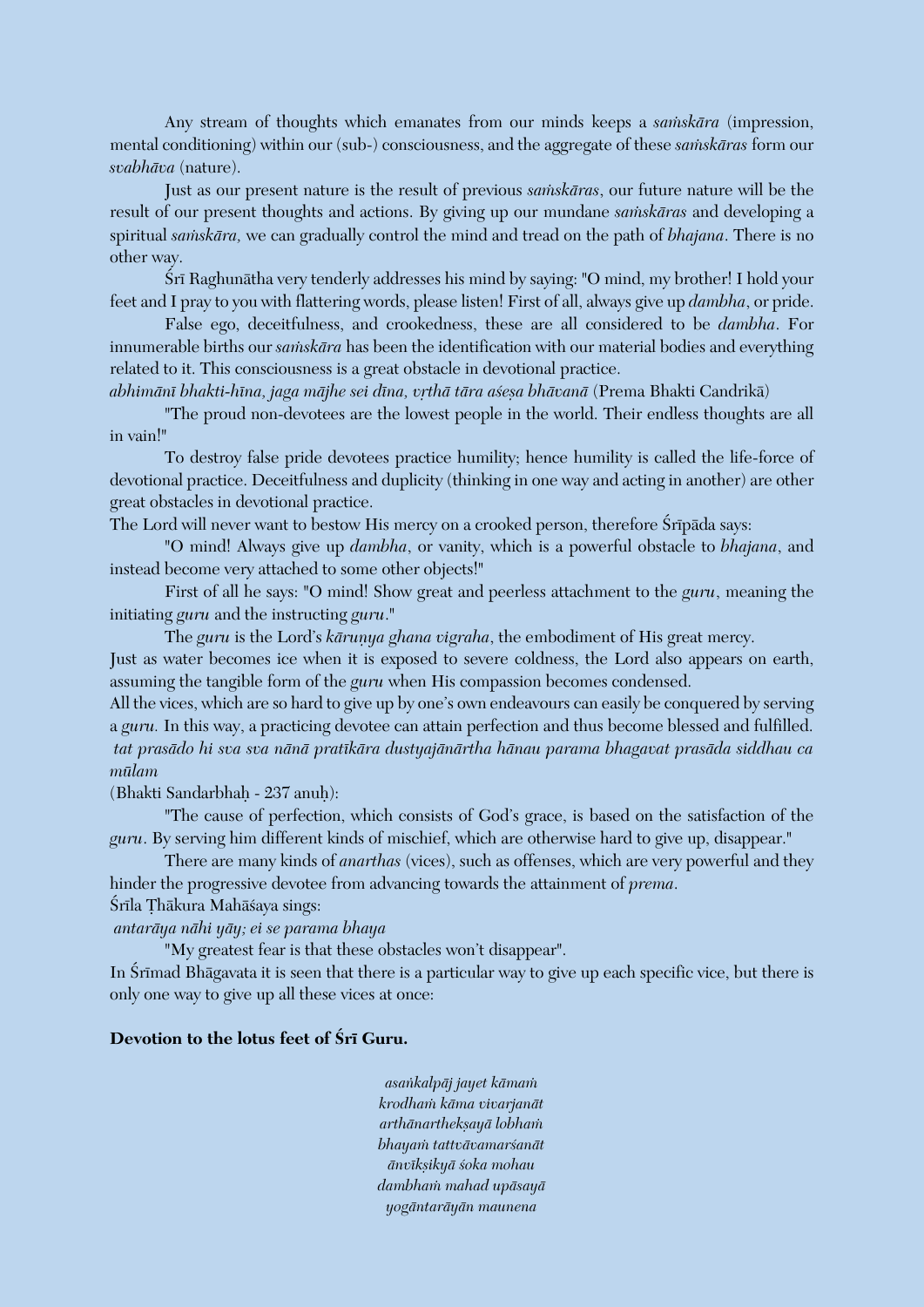Any stream of thoughts which emanates from our minds keeps a *samskara* (impression, mental conditioning) within our (sub-) consciousness, and the aggregate of these *samskaras* form our *svabhäva* (nature).

Just as our present nature is the result of previous *saàskäras*, our future nature will be the result of our present thoughts and actions. By giving up our mundane *samskāras* and developing a spiritual *samskāra*, we can gradually control the mind and tread on the path of *bhajana*. There is no other way.

Śrī Raghunātha very tenderly addresses his mind by saying: "O mind, my brother! I hold your feet and I pray to you with flattering words, please listen! First of all, always give up *dambha*, or pride.

False ego, deceitfulness, and crookedness, these are all considered to be *dambha*. For innumerable births our *samskāra* has been the identification with our material bodies and everything related to it. This consciousness is a great obstacle in devotional practice.

abhimānī bhakti-hīna, jaga mājhe sei dīna, vrthā tāra asesa bhāvanā (Prema Bhakti Candrikā)

"The proud non-devotees are the lowest people in the world. Their endless thoughts are all in vain!"

To destroy false pride devotees practice humility; hence humility is called the life-force of devotional practice. Deceitfulness and duplicity (thinking in one way and acting in another) are other great obstacles in devotional practice.

The Lord will never want to bestow His mercy on a crooked person, therefore Śrīpāda says:

"O mind! Always give up *dambha*, or vanity, which is a powerful obstacle to *bhajana*, and instead become very attached to some other objects!"

First of all he says: "O mind! Show great and peerless attachment to the *guru*, meaning the initiating *guru* and the instructing *guru*."

The *guru* is the Lord's *kārunya ghana vigraha*, the embodiment of His great mercy.

Just as water becomes ice when it is exposed to severe coldness, the Lord also appears on earth, assuming the tangible form of the *guru* when His compassion becomes condensed.

All the vices, which are so hard to give up by one's own endeavours can easily be conquered by serving a *guru.* In this way, a practicing devotee can attain perfection and thus become blessed and fulfilled. *tat prasädo hi sva sva nänä pratékära dustyajänärtha hänau parama bhagavat prasäda siddhau ca mülam* 

(Bhakti Sandarbhaù - 237 anuù):

"The cause of perfection, which consists of God's grace, is based on the satisfaction of the *guru*. By serving him different kinds of mischief, which are otherwise hard to give up, disappear."

There are many kinds of *anarthas* (vices), such as offenses, which are very powerful and they hinder the progressive devotee from advancing towards the attainment of *prema*.

Śrīla Thākura Mahāśaya sings:

*antaräya nähi yäy; ei se parama bhaya*

"My greatest fear is that these obstacles won't disappear".

In Śrīmad Bhāgavata it is seen that there is a particular way to give up each specific vice, but there is only one way to give up all these vices at once:

## Devotion to the lotus feet of **Sri Guru.**

*asaìkalpäj jayet kämaà krodhaà käma vivarjanät arthänarthekñayä lobhaà bhayaà tattvävamarçanät änvékñikyä çoka mohau dambhaà mahad upäsayä yogäntaräyän maunena*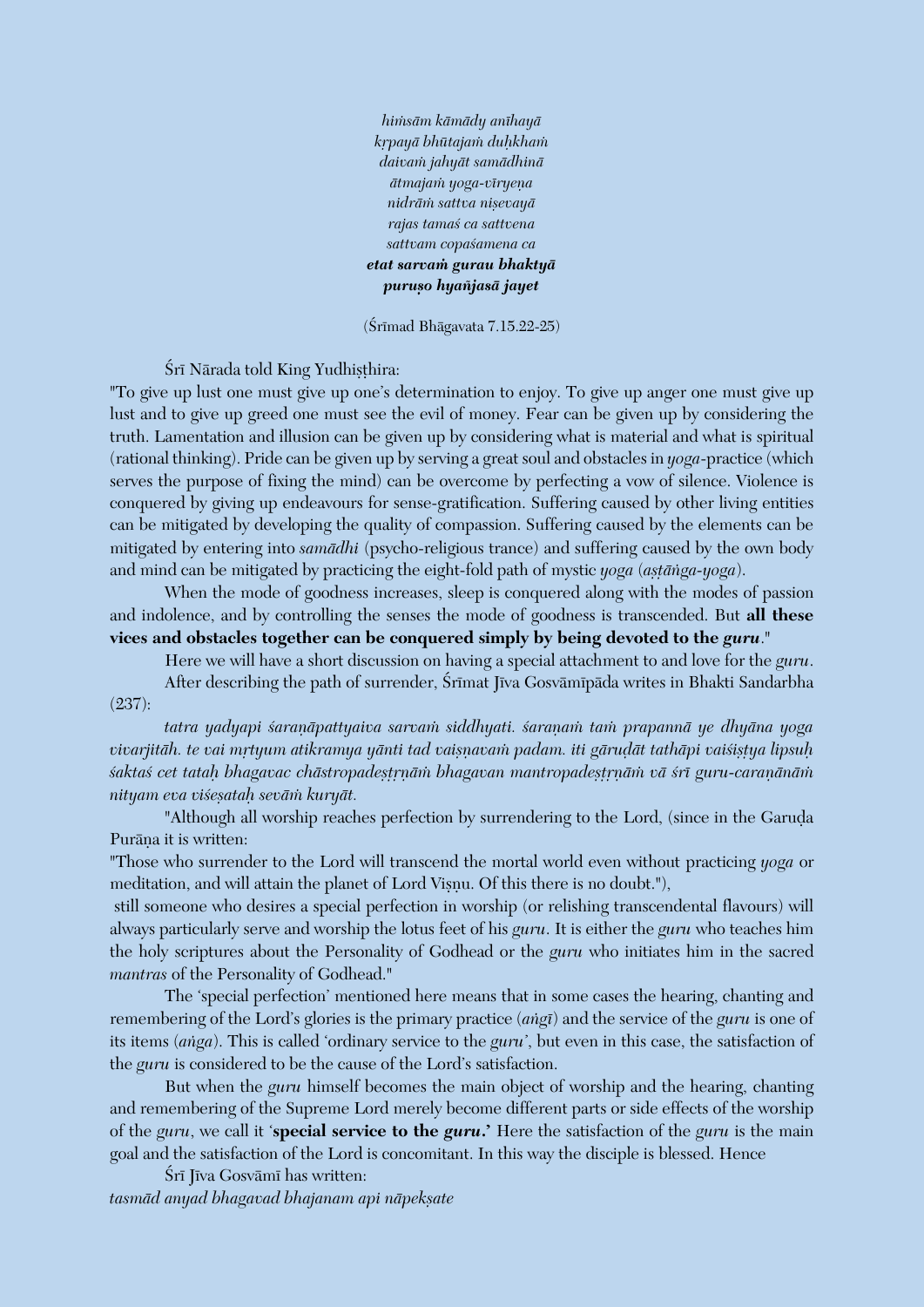*hiàsäm kämädy anéhayä kåpayä bhütajaà duùkhaà daivaà jahyät samädhinä*  $\bar{a}$ *tmajam yoga-vīryeņa nidräà sattva niñevayä rajas tamaç ca sattvena sattvam copaçamena ca etat sarvaà gurau bhaktyä puruño hyaïjasä jayet*

(Śrīmad Bhāgavata 7.15.22-25)

Śrī Nārada told King Yudhisthira:

"To give up lust one must give up one's determination to enjoy. To give up anger one must give up lust and to give up greed one must see the evil of money. Fear can be given up by considering the truth. Lamentation and illusion can be given up by considering what is material and what is spiritual (rational thinking). Pride can be given up by serving a great soul and obstacles in *yoga*-practice (which serves the purpose of fixing the mind) can be overcome by perfecting a vow of silence. Violence is conquered by giving up endeavours for sense-gratification. Suffering caused by other living entities can be mitigated by developing the quality of compassion. Suffering caused by the elements can be mitigated by entering into *samädhi* (psycho-religious trance) and suffering caused by the own body and mind can be mitigated by practicing the eight-fold path of mystic *yoga* (*astanga-yoga*).

When the mode of goodness increases, sleep is conquered along with the modes of passion and indolence, and by controlling the senses the mode of goodness is transcended. But **all these vices and obstacles together can be conquered simply by being devoted to the** *guru*."

Here we will have a short discussion on having a special attachment to and love for the *guru*.

After describing the path of surrender, Śrīmat Jīva Gosvāmīpāda writes in Bhakti Sandarbha (237):

*tatra yadyapi çaraëäpattyaiva sarvaà siddhyati. çaraëaà taà prapannä ye dhyäna yoga*  vivarjitāh. te vai mrtyum atikramya yānti tad vaiṣṇavaṁ padam. iti gāruḍāt tathāpi vaiśiṣṭya lipsuḥ *çaktaç cet tataù bhagavac chästropadeñöåëäà bhagavan mantropadeñöåëäà vä çré guru-caraëänäà nityam eva viçeñataù seväà kuryät.* 

"Although all worship reaches perfection by surrendering to the Lord, (since in the Garuda Purāna it is written:

"Those who surrender to the Lord will transcend the mortal world even without practicing *yoga* or meditation, and will attain the planet of Lord Visnu. Of this there is no doubt."),

still someone who desires a special perfection in worship (or relishing transcendental flavours) will always particularly serve and worship the lotus feet of his *guru*. It is either the *guru* who teaches him the holy scriptures about the Personality of Godhead or the *guru* who initiates him in the sacred *mantras* of the Personality of Godhead."

The 'special perfection' mentioned here means that in some cases the hearing, chanting and remembering of the Lord's glories is the primary practice (*aìgé*) and the service of the *guru* is one of its items (*aìga*). This is called 'ordinary service to the *guru'*, but even in this case, the satisfaction of the *guru* is considered to be the cause of the Lord's satisfaction.

But when the *guru* himself becomes the main object of worship and the hearing, chanting and remembering of the Supreme Lord merely become different parts or side effects of the worship of the *guru*, we call it '**special service to the** *guru***.'** Here the satisfaction of the *guru* is the main goal and the satisfaction of the Lord is concomitant. In this way the disciple is blessed. Hence

Śrī Jīva Gosvāmī has written: *tasmäd anyad bhagavad bhajanam api näpekñate*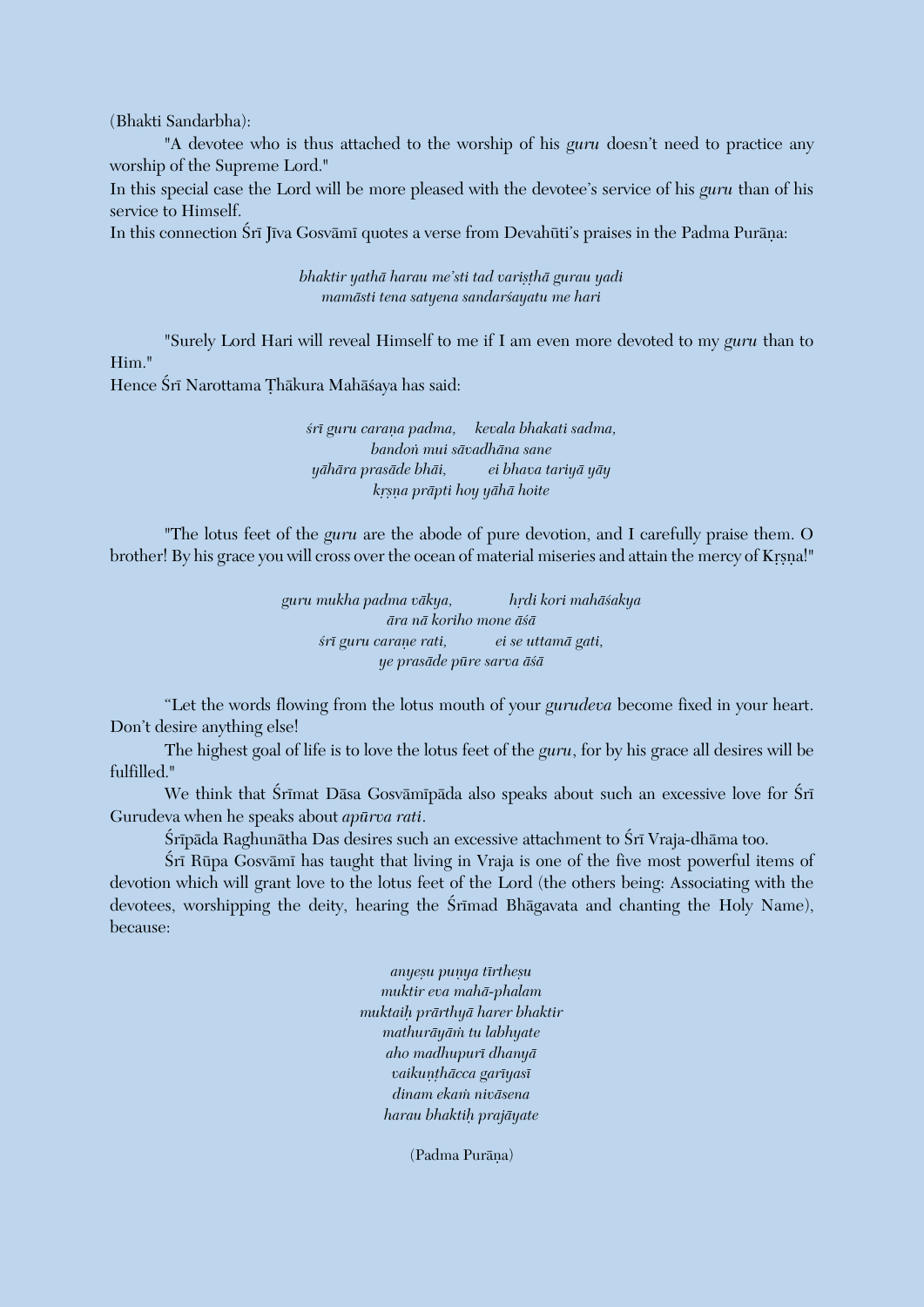(Bhakti Sandarbha):

"A devotee who is thus attached to the worship of his *guru* doesn't need to practice any worship of the Supreme Lord."

In this special case the Lord will be more pleased with the devotee's service of his *guru* than of his service to Himself.

In this connection Śrī Jīva Gosvāmī quotes a verse from Devahūti's praises in the Padma Purāna:

*bhaktir yathā harau me'sti tad varişthā gurau yadi mamästi tena satyena sandarçayatu me hari*

"Surely Lord Hari will reveal Himself to me if I am even more devoted to my *guru* than to Him."

Hence Śrī Narottama Thākura Mahāśaya has said:

*çré guru caraëa padma, kevala bhakati sadma, bandoì mui sävadhäna sane yähära prasäde bhäi, ei bhava tariyä yäy kåñëa präpti hoy yähä hoite*

"The lotus feet of the *guru* are the abode of pure devotion, and I carefully praise them. O brother! By his grace you will cross over the ocean of material miseries and attain the mercy of Krsna!"

> *guru mukha padma väkya, hådi kori mahäçakya ära nä koriho mone äçä çré guru caraëe rati, ei se uttamä gati, ye prasäde püre sarva äçä*

"Let the words flowing from the lotus mouth of your *gurudeva* become fixed in your heart. Don't desire anything else!

The highest goal of life is to love the lotus feet of the *guru*, for by his grace all desires will be fulfilled."

We think that Śrīmat Dāsa Gosvāmīpāda also speaks about such an excessive love for Śrī Gurudeva when he speaks about *apürva rati*.

Śrīpāda Raghunātha Das desires such an excessive attachment to Śrī Vraja-dhāma too.

Śrī Rūpa Gosvāmī has taught that living in Vraja is one of the five most powerful items of devotion which will grant love to the lotus feet of the Lord (the others being: Associating with the devotees, worshipping the deity, hearing the Srimad Bhagavata and chanting the Holy Name), because:

> *anyeñu puëya tértheñu muktir eva mahä-phalam muktaiù prärthyä harer bhaktir mathuräyäà tu labhyate aho madhupuré dhanyä*  $v$ aikuņthācca garīyasī *dinam ekaà niväsena harau bhaktiù prajäyate*

> > (Padma Purāna)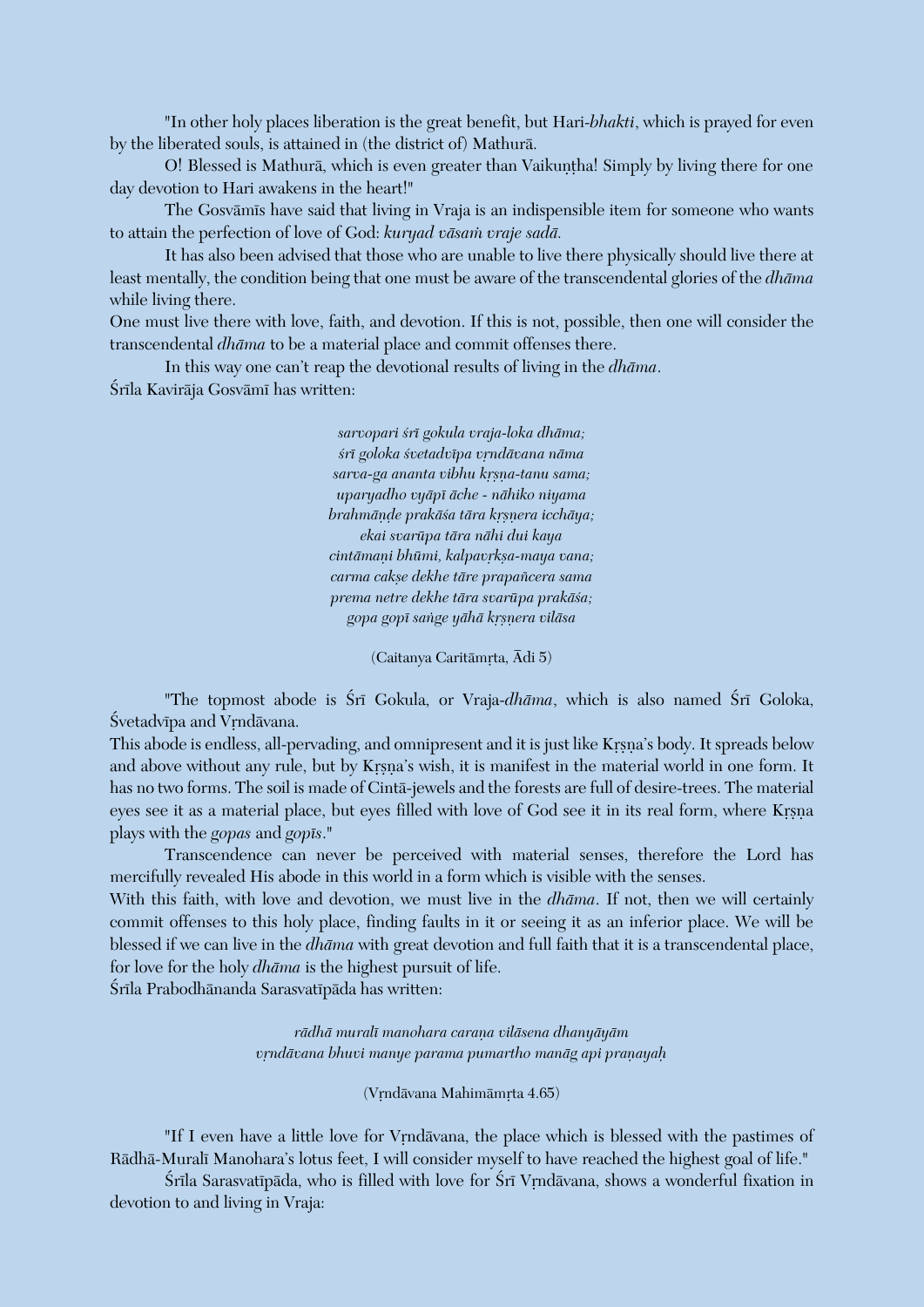"In other holy places liberation is the great benefit, but Hari-*bhakti*, which is prayed for even by the liberated souls, is attained in (the district of) Mathurä.

O! Blessed is Mathurā, which is even greater than Vaikuntha! Simply by living there for one day devotion to Hari awakens in the heart!"

The Gosvāmīs have said that living in Vraja is an indispensible item for someone who wants to attain the perfection of love of God: *kuryad väsaà vraje sadä.*

It has also been advised that those who are unable to live there physically should live there at least mentally, the condition being that one must be aware of the transcendental glories of the *dhäma* while living there.

One must live there with love, faith, and devotion. If this is not, possible, then one will consider the transcendental *dhäma* to be a material place and commit offenses there.

In this way one can't reap the devotional results of living in the *dhäma*. Śrīla Kavirāja Gosvāmī has written:

> *sarvopari çré gokula vraja-loka dhäma;*  $s$ rī goloka śvetadvīpa vrndāvana nāma sarva-ga ananta vibhu krsna-tanu sama; *uparyadho vyäpé äche - nähiko niyama brahmānde prakāśa tāra krsnera icchāya; ekai svarüpa tära nähi dui kaya*  $cintāmani bhūmi, kalpavrksa-maya vana;$ *carma cakñe dekhe täre prapaïcera sama prema netre dekhe tära svarüpa prakäça; gopa gopé saìge yähä kåñëera viläsa*

> > (Caitanya Caritāmrta, Ādi 5)

"The topmost abode is Śrī Gokula, or Vraja-*dhāma*, which is also named Śrī Goloka, Śvetadvīpa and Vrndāvana.

This abode is endless, all-pervading, and omnipresent and it is just like Krsna's body. It spreads below and above without any rule, but by Krsna's wish, it is manifest in the material world in one form. It has no two forms. The soil is made of Cintä-jewels and the forests are full of desire-trees. The material eyes see it as a material place, but eyes filled with love of God see it in its real form, where Krsna plays with the *gopas* and *gopés*."

Transcendence can never be perceived with material senses, therefore the Lord has mercifully revealed His abode in this world in a form which is visible with the senses.

With this faith, with love and devotion, we must live in the *dhäma*. If not, then we will certainly commit offenses to this holy place, finding faults in it or seeing it as an inferior place. We will be blessed if we can live in the *dhäma* with great devotion and full faith that it is a transcendental place, for love for the holy *dhäma* is the highest pursuit of life.

Śrīla Prabodhānanda Sarasvatīpāda has written:

*rädhä muralé manohara caraëa viläsena dhanyäyäm vrndāvana bhuvi manye parama pumartho manāg api pranayah* 

(Vrndāvana Mahimāmrta 4.65)

"If I even have a little love for Vrndävana, the place which is blessed with the pastimes of Rädhä-Muralé Manohara's lotus feet, I will consider myself to have reached the highest goal of life."

Śrīla Sarasvatīpāda, who is filled with love for Śrī Vrndāvana, shows a wonderful fixation in devotion to and living in Vraja: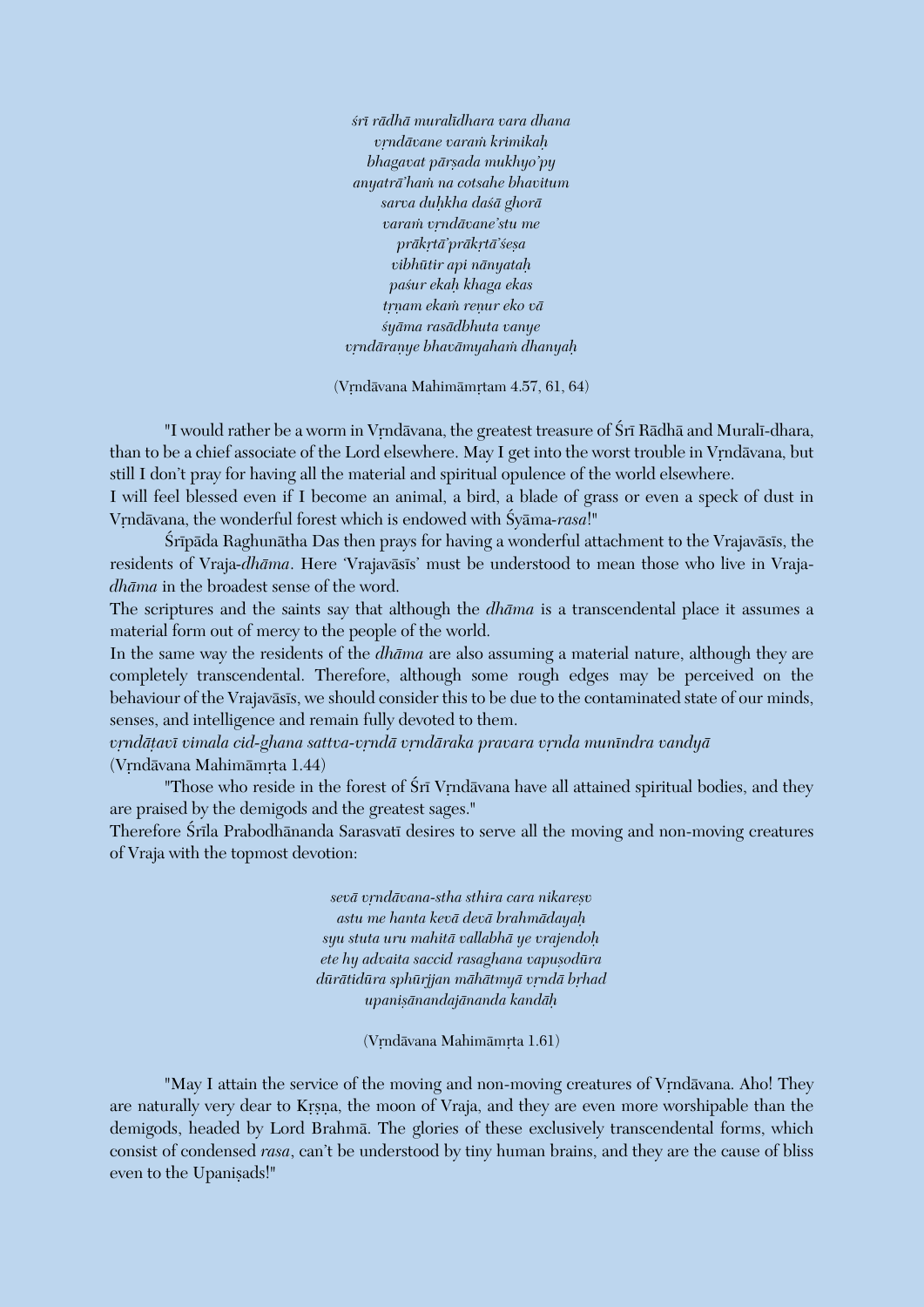*çré rädhä muralédhara vara dhana våndävane varaà krimikaù bhagavat pärñada mukhyo'py anyaträ'haà na cotsahe bhavitum sarva duùkha daçä ghorä varaà våndävane'stu me präkåtä'präkåtä'çeña vibhütir api nänyataù paçur ekaù khaga ekas tåëam ekaà reëur eko vä çyäma rasädbhuta vanye våndäraëye bhavämyahaà dhanyaù*

(Vrndāvana Mahimāmrtam 4.57, 61, 64)

"I would rather be a worm in Vrndävana, the greatest treasure of Śrī Rādhā and Muralī-dhara, than to be a chief associate of the Lord elsewhere. May I get into the worst trouble in Vrndāvana, but still I don't pray for having all the material and spiritual opulence of the world elsewhere.

I will feel blessed even if I become an animal, a bird, a blade of grass or even a speck of dust in Vrndāvana, the wonderful forest which is endowed with Śyāma-rasa!"

Śrīpāda Raghunātha Das then prays for having a wonderful attachment to the Vrajavāsīs, the residents of Vraja-*dhāma*. Here 'Vrajavāsīs' must be understood to mean those who live in Vraja*dhäma* in the broadest sense of the word.

The scriptures and the saints say that although the *dhäma* is a transcendental place it assumes a material form out of mercy to the people of the world.

In the same way the residents of the *dhäma* are also assuming a material nature, although they are completely transcendental. Therefore, although some rough edges may be perceived on the behaviour of the Vrajavāsīs, we should consider this to be due to the contaminated state of our minds, senses, and intelligence and remain fully devoted to them.

vrndātavī vimala cid-ghana sattva-vrndā vrndāraka pravara vrnda munīndra vandyā (Vrndāvana Mahimāmrta 1.44)

"Those who reside in the forest of Sri Vrndävana have all attained spiritual bodies, and they are praised by the demigods and the greatest sages."

Therefore Śrīla Prabodhānanda Sarasvatī desires to serve all the moving and non-moving creatures of Vraja with the topmost devotion:

> *sevä våndävana-stha sthira cara nikareñv astu me hanta kevä devä brahmädayaù syu stuta uru mahitä vallabhä ye vrajendoù*  $e$ *ete hy advaita saccid rasaghana vapusodūra*  $d\bar{u}$ rātidūra sphūrjjan māhātmyā vrndā brhad *upaniñänandajänanda kandäù*

> > (Vrndāvana Mahimāmrta 1.61)

"May I attain the service of the moving and non-moving creatures of Vrndävana. Aho! They are naturally very dear to Krsna, the moon of Vraja, and they are even more worshipable than the demigods, headed by Lord Brahmä. The glories of these exclusively transcendental forms, which consist of condensed *rasa*, can't be understood by tiny human brains, and they are the cause of bliss even to the Upanisads!"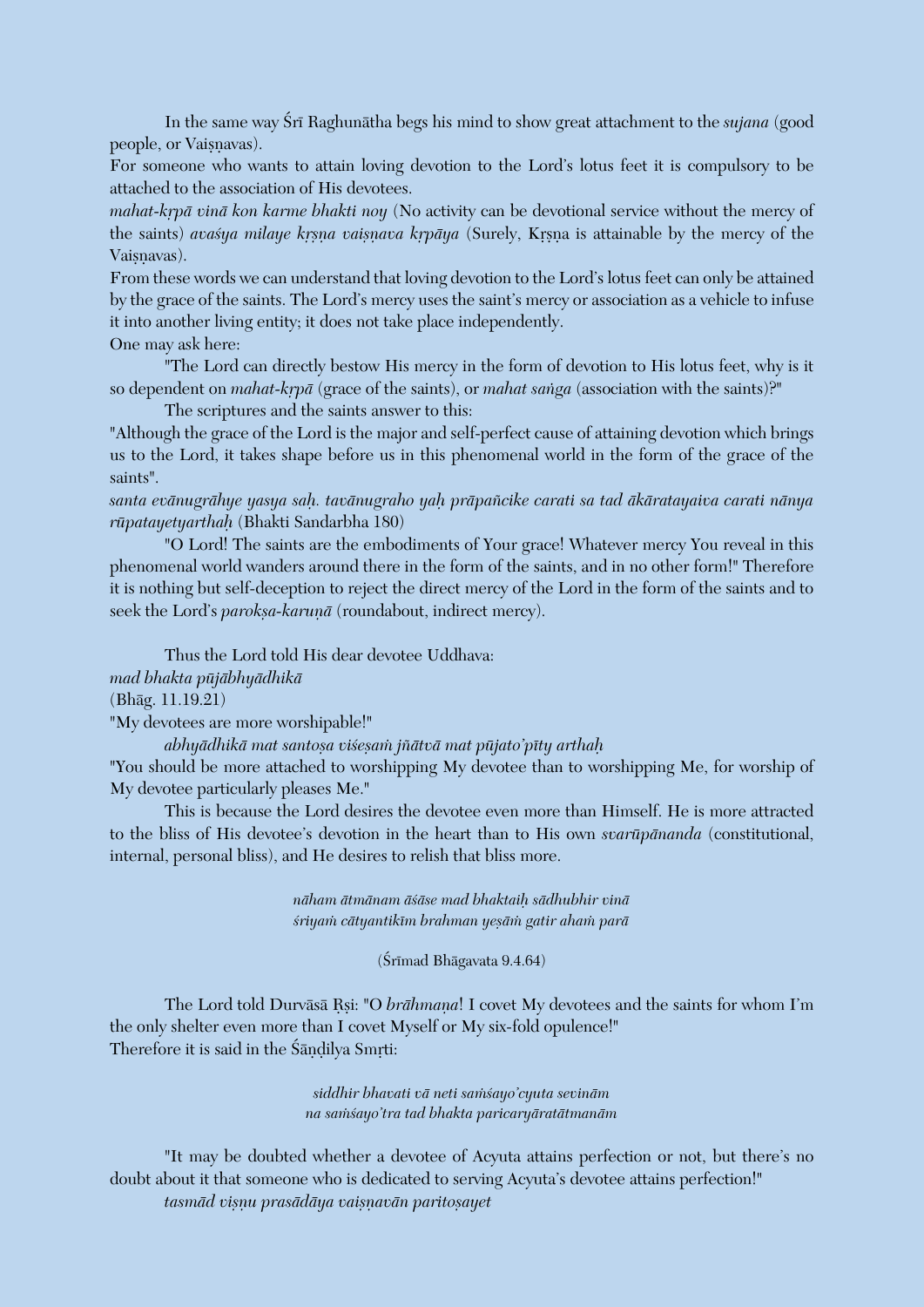In the same way Sri Raghunatha begs his mind to show great attachment to the *sujana* (good people, or Vaișnavas).

For someone who wants to attain loving devotion to the Lord's lotus feet it is compulsory to be attached to the association of His devotees.

*mahat-krpā vinā kon karme bhakti noy* (No activity can be devotional service without the mercy of the saints) *avasya milaye krsna vaisnava krpāya* (Surely, Krsna is attainable by the mercy of the Vaisnavas).

From these words we can understand that loving devotion to the Lord's lotus feet can only be attained by the grace of the saints. The Lord's mercy uses the saint's mercy or association as a vehicle to infuse it into another living entity; it does not take place independently.

One may ask here:

"The Lord can directly bestow His mercy in the form of devotion to His lotus feet, why is it so dependent on *mahat-krpā* (grace of the saints), or *mahat sanga* (association with the saints)?"

The scriptures and the saints answer to this:

"Although the grace of the Lord is the major and self-perfect cause of attaining devotion which brings us to the Lord, it takes shape before us in this phenomenal world in the form of the grace of the saints".

*santa evänugrähye yasya saù. tavänugraho yaù präpaïcike carati sa tad äkäratayaiva carati nänya rüpatayetyarthaù* (Bhakti Sandarbha 180)

"O Lord! The saints are the embodiments of Your grace! Whatever mercy You reveal in this phenomenal world wanders around there in the form of the saints, and in no other form!" Therefore it is nothing but self-deception to reject the direct mercy of the Lord in the form of the saints and to seek the Lord's *parokṣa-karuṇā* (roundabout, indirect mercy).

Thus the Lord told His dear devotee Uddhava: *mad bhakta püjäbhyädhikä* (Bhäg. 11.19.21)

"My devotees are more worshipable!"

*abhyädhikä mat santoña viçeñaà jïätvä mat püjato'péty arthaù*

"You should be more attached to worshipping My devotee than to worshipping Me, for worship of My devotee particularly pleases Me."

This is because the Lord desires the devotee even more than Himself. He is more attracted to the bliss of His devotee's devotion in the heart than to His own *svarüpänanda* (constitutional, internal, personal bliss), and He desires to relish that bliss more.

> *näham ätmänam äçäse mad bhaktaiù sädhubhir vinä çriyaà cätyantikém brahman yeñäà gatir ahaà parä*

> > $(Sr<sub>Imad</sub> Bhāgavata 9.4.64)$

The Lord told Durvāsā Rsi: "O *brāhmana*! I covet My devotees and the saints for whom I'm the only shelter even more than I covet Myself or My six-fold opulence!" Therefore it is said in the Śāndilya Smrti:

> *siddhir bhavati vä neti saàçayo'cyuta sevinäm na saàçayo'tra tad bhakta paricaryäratätmanäm*

"It may be doubted whether a devotee of Acyuta attains perfection or not, but there's no doubt about it that someone who is dedicated to serving Acyuta's devotee attains perfection!" *tasmäd viñëu prasädäya vaiñëavän paritoñayet*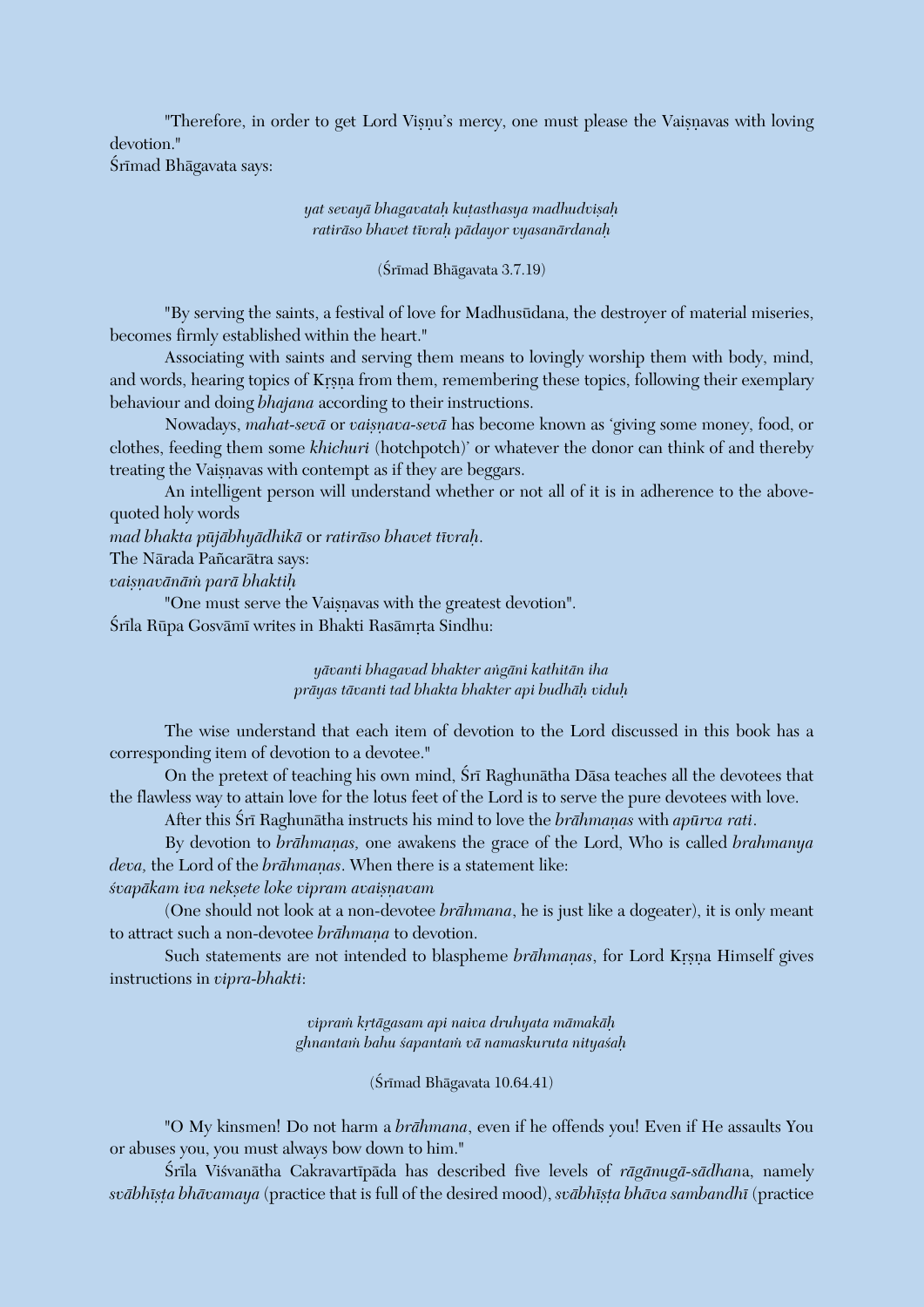"Therefore, in order to get Lord Visnu's mercy, one must please the Vaisnavas with loving devotion." Śrīmad Bhāgavata says:

> *yat sevayä bhagavataù kuöasthasya madhudviñaù ratiräso bhavet tévraù pädayor vyasanärdanaù*

> > $(Sr<sub>Imad</sub> Bhāgavata 3.7.19)$

"By serving the saints, a festival of love for Madhusüdana, the destroyer of material miseries, becomes firmly established within the heart."

Associating with saints and serving them means to lovingly worship them with body, mind, and words, hearing topics of Krsna from them, remembering these topics, following their exemplary behaviour and doing *bhajana* according to their instructions.

Nowadays, *mahat-sevā* or *vaisnava-sevā* has become known as 'giving some money, food, or clothes, feeding them some *khichuri* (hotchpotch)' or whatever the donor can think of and thereby treating the Vaisnavas with contempt as if they are beggars.

An intelligent person will understand whether or not all of it is in adherence to the abovequoted holy words

*mad bhakta püjäbhyädhikä* or *ratiräso bhavet tévraù*.

The Närada Païcarätra says:

*vaiñëavänäà parä bhaktiù*

"One must serve the Vaisnavas with the greatest devotion". Śrīla Rūpa Gosvāmī writes in Bhakti Rasāmrta Sindhu:

> *yävanti bhagavad bhakter aìgäni kathitän iha präyas tävanti tad bhakta bhakter api budhäù viduù*

The wise understand that each item of devotion to the Lord discussed in this book has a corresponding item of devotion to a devotee."

On the pretext of teaching his own mind, Śrī Raghunātha Dāsa teaches all the devotees that the flawless way to attain love for the lotus feet of the Lord is to serve the pure devotees with love.

After this Śrī Raghunātha instructs his mind to love the *brāhmanas* with *apūrva rati*.

By devotion to *brāhmanas*, one awakens the grace of the Lord, Who is called *brahmanya* deva, the Lord of the *brāhmaṇas*. When there is a statement like:

*çvapäkam iva nekñete loke vipram avaiñëavam*

(One should not look at a non-devotee *brähmana*, he is just like a dogeater), it is only meant to attract such a non-devotee *brāhmaņa* to devotion.

Such statements are not intended to blaspheme *brāhmaņas*, for Lord Krsņa Himself gives instructions in *vipra-bhakti*:

> *vipraà kåtägasam api naiva druhyata mämakäù ghnantaà bahu çapantaà vä namaskuruta nityaçaù*

> > $(Sr<sub>Imad</sub> Bhāgavata 10.64.41)$

"O My kinsmen! Do not harm a *brähmana*, even if he offends you! Even if He assaults You or abuses you, you must always bow down to him."

Çréla Viçvanätha Cakravartépäda has described five levels of *rägänugä-sädhan*a, namely *sväbhéñöa bhävamaya* (practice that is full of the desired mood), *sväbhéñöa bhäva sambandhé* (practice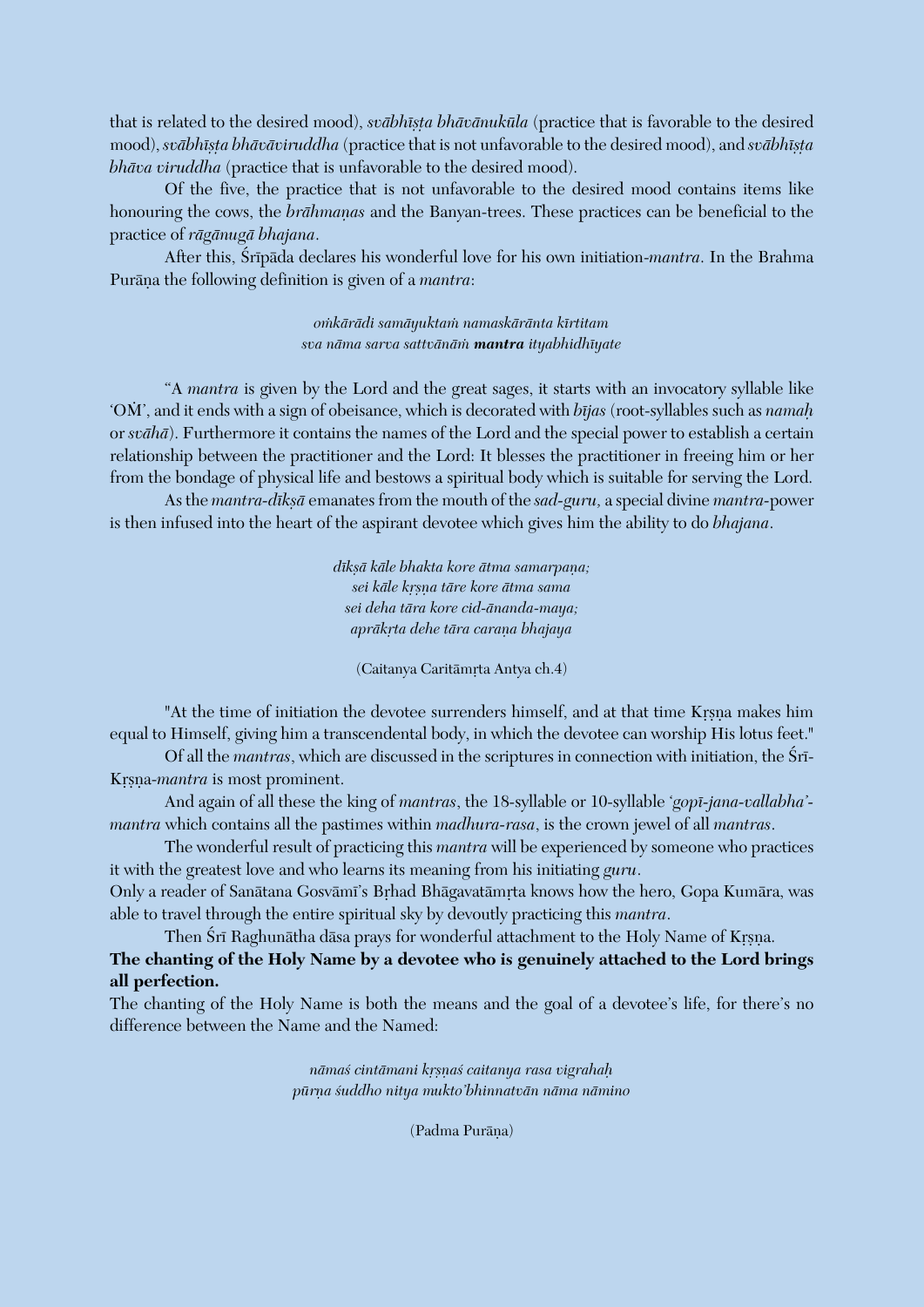that is related to the desired mood), *svābhīsta bhāvānukūla* (practice that is favorable to the desired mood), *svābhīṣṭa bhāvāviruddha* (practice that is not unfavorable to the desired mood), and *svābhīṣṭa bhäva viruddha* (practice that is unfavorable to the desired mood).

Of the five, the practice that is not unfavorable to the desired mood contains items like honouring the cows, the *brāhmanas* and the Banyan-trees. These practices can be beneficial to the practice of *rägänugä bhajana*.

After this, Srīpāda declares his wonderful love for his own initiation-*mantra*. In the Brahma Purāna the following definition is given of a *mantra*:

> *oàkärädi samäyuktaà namaskäränta kértitam sva näma sarva sattvänäà mantra ityabhidhéyate*

"A *mantra* is given by the Lord and the great sages, it starts with an invocatory syllable like 'OÀ', and it ends with a sign of obeisance, which is decorated with *béjas* (root-syllables such as *namaù* or *svähä*). Furthermore it contains the names of the Lord and the special power to establish a certain relationship between the practitioner and the Lord: It blesses the practitioner in freeing him or her from the bondage of physical life and bestows a spiritual body which is suitable for serving the Lord.

As the *mantra-dīkṣā* emanates from the mouth of the *sad-guru*, a special divine *mantra-power* is then infused into the heart of the aspirant devotee which gives him the ability to do *bhajana*.

> $d\overline{i}$ ksā kāle bhakta kore ātma samarpana; *sei käle kåñëa täre kore ätma sama sei deha tära kore cid-änanda-maya; apräkåta dehe tära caraëa bhajaya*

(Caitanya Caritāmŗta Antya ch.4)

"At the time of initiation the devotee surrenders himself, and at that time Krsna makes him equal to Himself, giving him a transcendental body, in which the devotee can worship His lotus feet."

Of all the *mantras*, which are discussed in the scriptures in connection with initiation, the Sri-Krsna-*mantra* is most prominent.

And again of all these the king of *mantras*, the 18-syllable or 10-syllable '*gopé-jana-vallabha' mantra* which contains all the pastimes within *madhura-rasa*, is the crown jewel of all *mantras*.

The wonderful result of practicing this *mantra* will be experienced by someone who practices it with the greatest love and who learns its meaning from his initiating *guru*.

Only a reader of Sanātana Gosvāmī's Brhad Bhāgavatāmrta knows how the hero, Gopa Kumāra, was able to travel through the entire spiritual sky by devoutly practicing this *mantra*.

Then Śrī Raghunātha dāsa prays for wonderful attachment to the Holy Name of Krsna.

**The chanting of the Holy Name by a devotee who is genuinely attached to the Lord brings all perfection.**

The chanting of the Holy Name is both the means and the goal of a devotee's life, for there's no difference between the Name and the Named:

> *nämaç cintämani kåñëaç caitanya rasa vigrahaù pürëa çuddho nitya mukto'bhinnatvän näma nämino*

> > (Padma Purāna)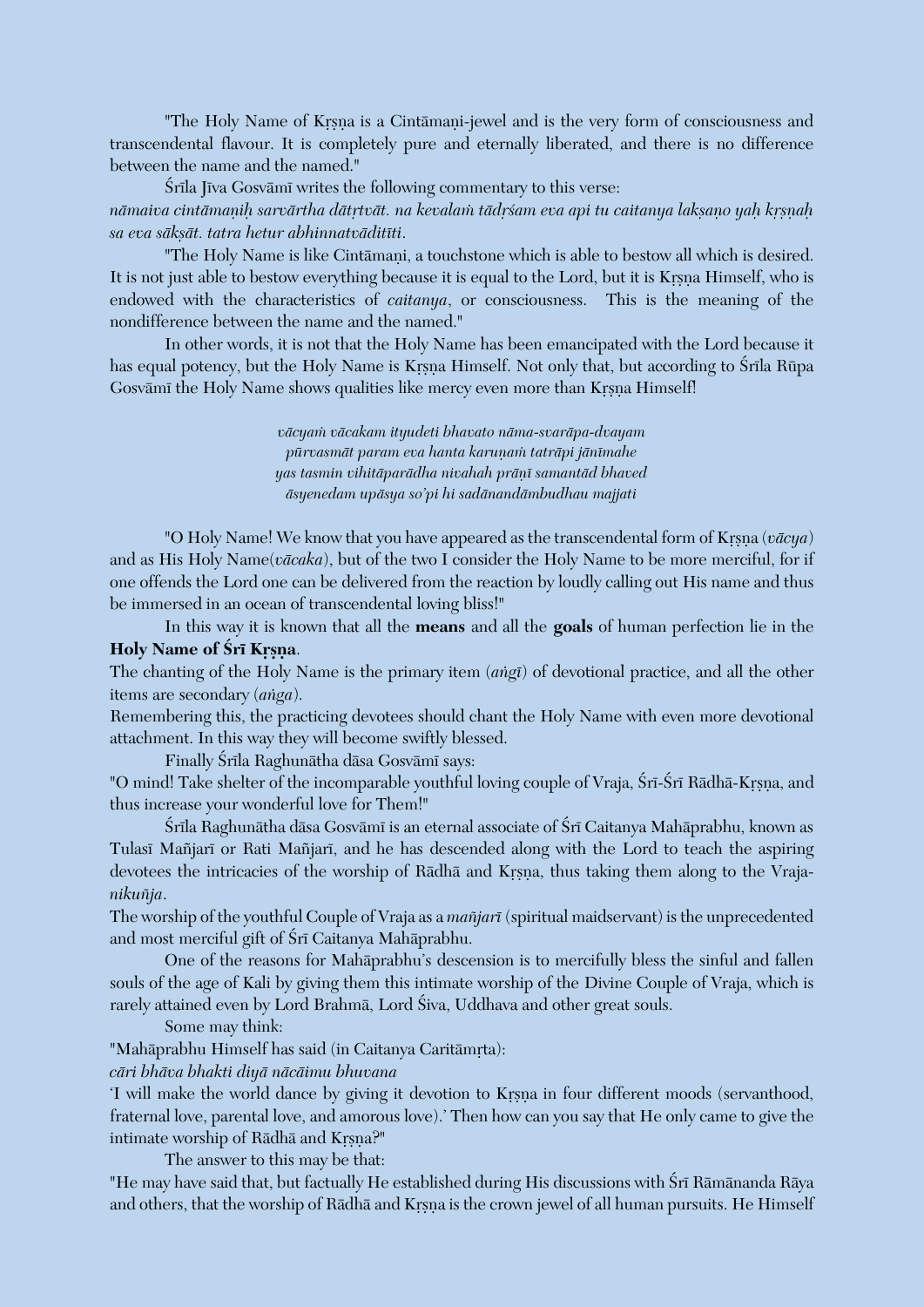"The Holy Name of Krsna is a Cintāmani-jewel and is the very form of consciousness and transcendental flavour. It is completely pure and eternally liberated, and there is no difference between the name and the named."

Śrīla Jīva Gosvāmī writes the following commentary to this verse: nāmaiva cintāmaņiḥ sarvārtha dātŗtvāt. na kevalam tādŗśam eva api tu caitanya lakṣaṇo yaḥ kṛṣṇaḥ *sa eva säkñät. tatra hetur abhinnatväditéti*.

"The Holy Name is like Cintāmani, a touchstone which is able to bestow all which is desired. It is not just able to bestow everything because it is equal to the Lord, but it is Krsna Himself, who is endowed with the characteristics of *caitanya*, or consciousness. This is the meaning of the nondifference between the name and the named."

In other words, it is not that the Holy Name has been emancipated with the Lord because it has equal potency, but the Holy Name is Krsna Himself. Not only that, but according to Śrīla Rūpa Gosvämi the Holy Name shows qualities like mercy even more than Krsna Himself!

> *väcyaà väcakam ityudeti bhavato näma-svaräpa-dvayam pürvasmät param eva hanta karuëaà taträpi jänémahe yas tasmin vihitäparädha nivahah präëé samantäd bhaved äsyenedam upäsya so'pi hi sadänandämbudhau majjati*

"O Holy Name! We know that you have appeared as the transcendental form of Krsna ( $v\bar{a}cya$ ) and as His Holy Name(*väcaka*), but of the two I consider the Holy Name to be more merciful, for if one offends the Lord one can be delivered from the reaction by loudly calling out His name and thus be immersed in an ocean of transcendental loving bliss!"

In this way it is known that all the **means** and all the **goals** of human perfection lie in the **Holy Name of Śrī Krsna.** 

The chanting of the Holy Name is the primary item (*aìgé*) of devotional practice, and all the other items are secondary (*aìga*).

Remembering this, the practicing devotees should chant the Holy Name with even more devotional attachment. In this way they will become swiftly blessed.

Finally Śrīla Raghunātha dāsa Gosvāmī says:

"O mind! Take shelter of the incomparable youthful loving couple of Vraja, Śrī-Śrī Rādhā-Krsna, and thus increase your wonderful love for Them!"

Śrīla Raghunātha dāsa Gosvāmī is an eternal associate of Śrī Caitanya Mahāprabhu, known as Tulasi Mañjari or Rati Mañjari, and he has descended along with the Lord to teach the aspiring devotees the intricacies of the worship of Rādhā and Krsna, thus taking them along to the Vraja*nikuïja*.

The worship of the youthful Couple of Vraja as a *maïjaré* (spiritual maidservant) is the unprecedented and most merciful gift of Śrī Caitanya Mahāprabhu.

One of the reasons for Mahäprabhu's descension is to mercifully bless the sinful and fallen souls of the age of Kali by giving them this intimate worship of the Divine Couple of Vraja, which is rarely attained even by Lord Brahmā, Lord Śiva, Uddhava and other great souls.

Some may think:

"Mahāprabhu Himself has said (in Caitanya Caritāmrta):

*cäri bhäva bhakti diyä näcäimu bhuvana*

'I will make the world dance by giving it devotion to Krsna in four different moods (servanthood, fraternal love, parental love, and amorous love).' Then how can you say that He only came to give the intimate worship of Rādhā and Krsna?"

The answer to this may be that:

"He may have said that, but factually He established during His discussions with Śrī Rāmānanda Rāya and others, that the worship of Rādhā and Krsna is the crown jewel of all human pursuits. He Himself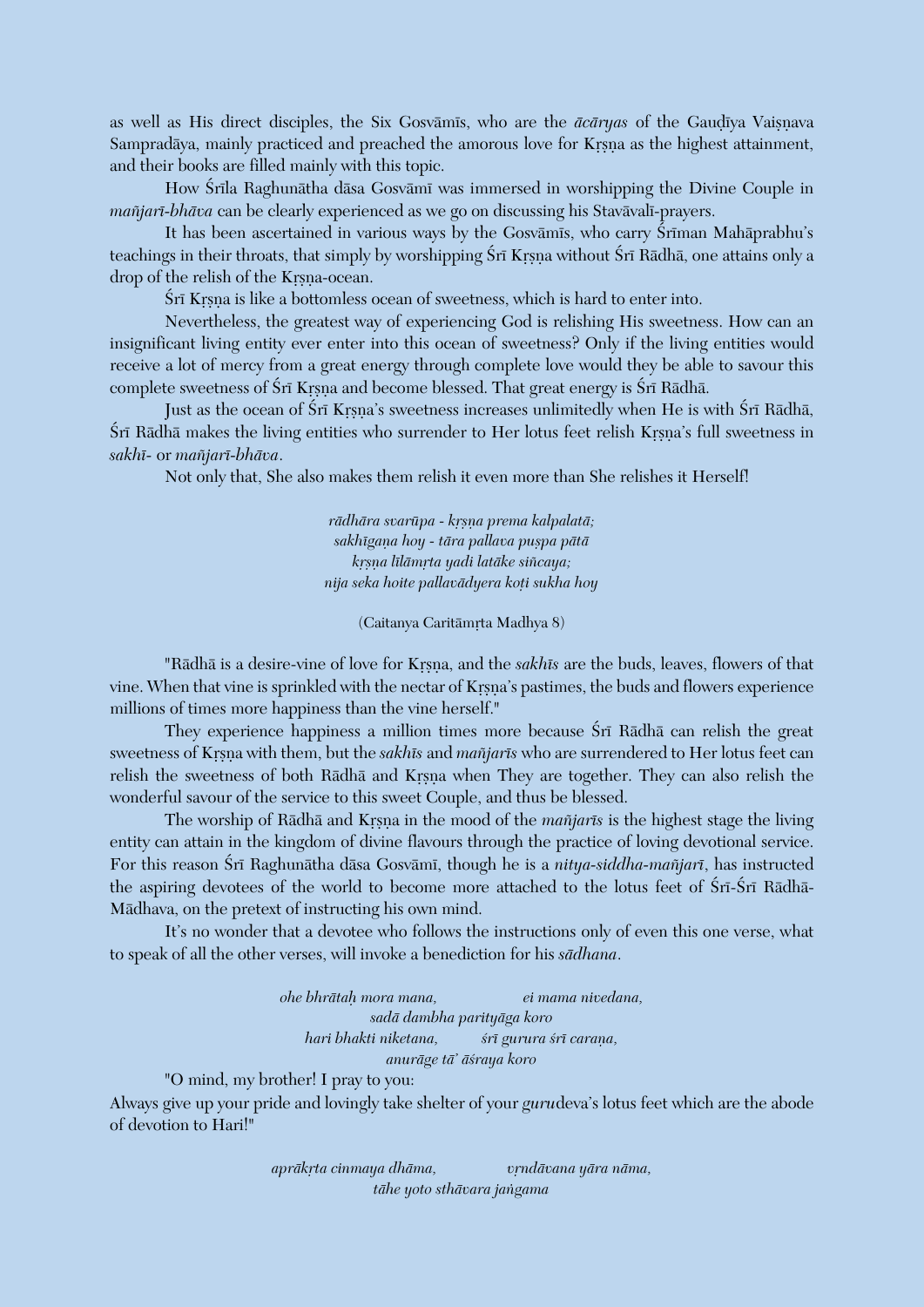as well as His direct disciples, the Six Gosvamis, who are the *ācāryas* of the Gaudīya Vaisnava Sampradāya, mainly practiced and preached the amorous love for Krsna as the highest attainment, and their books are filled mainly with this topic.

How Śrīla Raghunātha dāsa Gosvāmī was immersed in worshipping the Divine Couple in *mañjarī-bhāva* can be clearly experienced as we go on discussing his Stavāvalī-prayers.

It has been ascertained in various ways by the Gosvāmīs, who carry Śrīman Mahāprabhu's teachings in their throats, that simply by worshipping Śrī Krsna without Śrī Rādhā, one attains only a drop of the relish of the Krsna-ocean.

Śrī Krsna is like a bottomless ocean of sweetness, which is hard to enter into.

Nevertheless, the greatest way of experiencing God is relishing His sweetness. How can an insignificant living entity ever enter into this ocean of sweetness? Only if the living entities would receive a lot of mercy from a great energy through complete love would they be able to savour this complete sweetness of Śrī Krsna and become blessed. That great energy is Śrī Rādhā.

Just as the ocean of Śrī Krsna's sweetness increases unlimitedly when He is with Śrī Rādhā, Śrī Rādhā makes the living entities who surrender to Her lotus feet relish Krsna's full sweetness in *sakhé-* or *maïjaré-bhäva*.

Not only that, She also makes them relish it even more than She relishes it Herself!

*rādhāra svarūpa - krsņa prema kalpalatā; sakhégaëa hoy - tära pallava puñpa pätä kåñëa lélämåta yadi latäke siïcaya; nija seka hoite pallavädyera koöi sukha hoy*

(Caitanya Caritāmrta Madhya 8)

"Rādhā is a desire-vine of love for Krsna, and the *sakhīs* are the buds, leaves, flowers of that vine. When that vine is sprinkled with the nectar of Krsna's pastimes, the buds and flowers experience millions of times more happiness than the vine herself."

They experience happiness a million times more because Srī Rādhā can relish the great sweetness of Krsna with them, but the *sakhis* and *mañjaris* who are surrendered to Her lotus feet can relish the sweetness of both Rādhā and Krsna when They are together. They can also relish the wonderful savour of the service to this sweet Couple, and thus be blessed.

The worship of Rādhā and Krsna in the mood of the *mañjarīs* is the highest stage the living entity can attain in the kingdom of divine flavours through the practice of loving devotional service. For this reason Śrī Raghunātha dāsa Gosvāmī, though he is a *nitya-siddha-mañjarī*, has instructed the aspiring devotees of the world to become more attached to the lotus feet of Sri-Sri Radha-Mädhava, on the pretext of instructing his own mind.

It's no wonder that a devotee who follows the instructions only of even this one verse, what to speak of all the other verses, will invoke a benediction for his *sädhana*.

> *ohe bhrätaù mora mana, ei mama nivedana, sadä dambha parityäga koro hari bhakti niketana, çré gurura çré caraëa, anuräge tä' äçraya koro*

"O mind, my brother! I pray to you:

Always give up your pride and lovingly take shelter of your *guru*deva's lotus feet which are the abode of devotion to Hari!"

> aprākrta cinmaya dhāma, vietoria *vāra nāma, tähe yoto sthävara jaìgama*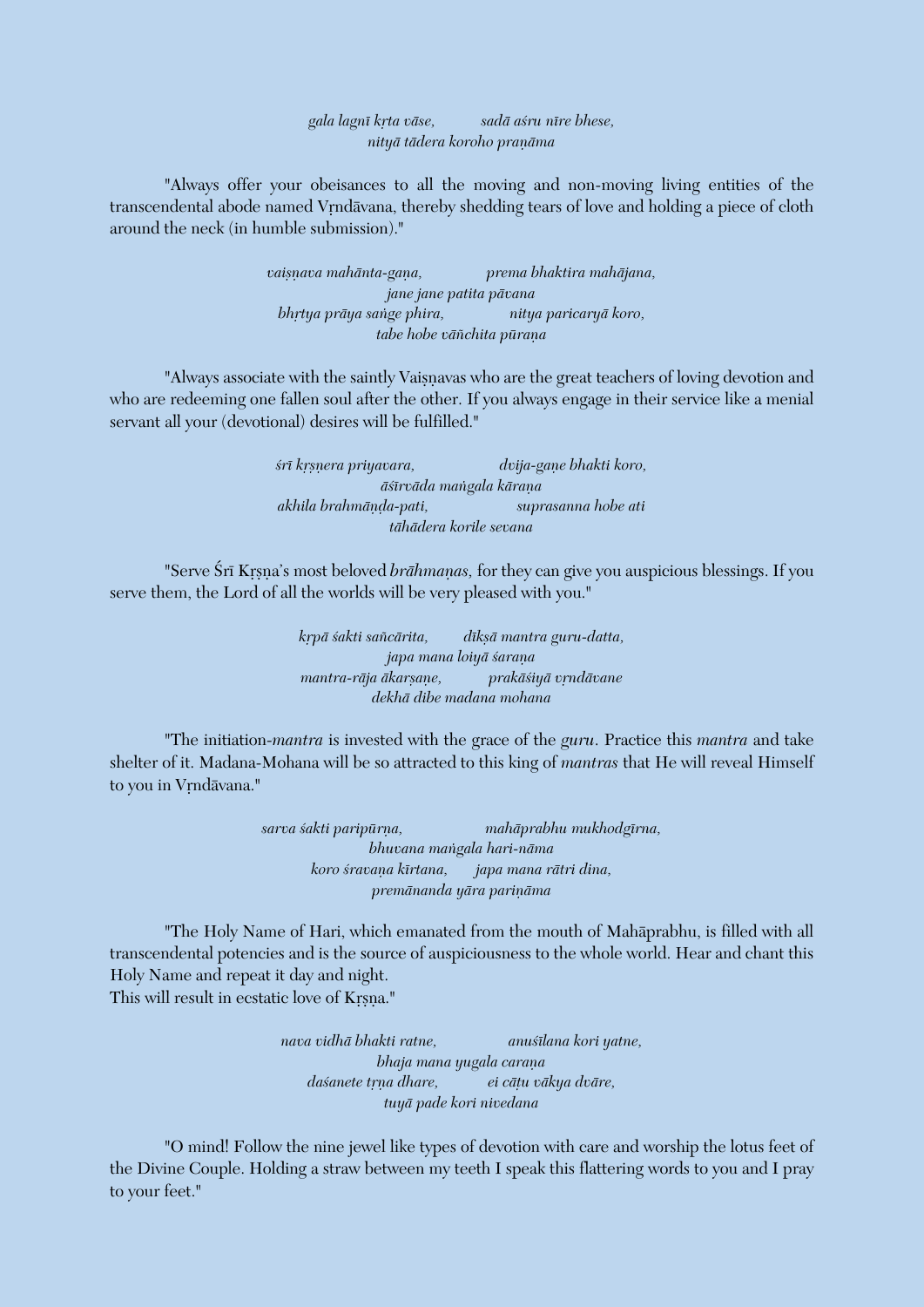*gala lagné kåta väse, sadä açru nére bhese, nityā tādera koroho praņāma* 

"Always offer your obeisances to all the moving and non-moving living entities of the transcendental abode named Vrndāvana, thereby shedding tears of love and holding a piece of cloth around the neck (in humble submission)."

> vaisnava mahānta-gana, prema bhaktira mahājana, *jane jane patita pävana bhåtya präya saìge phira, nitya paricaryä koro, tabe hobe vāñchita pūraņa*

"Always associate with the saintly Vaisnavas who are the great teachers of loving devotion and who are redeeming one fallen soul after the other. If you always engage in their service like a menial servant all your (devotional) desires will be fulfilled."

> *çré kåñëera priyavara, dvija-gaëe bhakti koro, äçérväda maìgala käraëa akhila brahmäëòa-pati, suprasanna hobe ati tähädera korile sevana*

"Serve Śrī Krsna's most beloved *brāhmanas*, for they can give you auspicious blessings. If you serve them, the Lord of all the worlds will be very pleased with you."

> *kåpä çakti saïcärita, dékñä mantra guru-datta, japa mana loiyā śaraņa mantra-rāja ākarsane, prakāśiyā vrndāvane dekhä dibe madana mohana*

"The initiation-*mantra* is invested with the grace of the *guru*. Practice this *mantra* and take shelter of it. Madana-Mohana will be so attracted to this king of *mantras* that He will reveal Himself to you in Vrndāvana."

> *sarva çakti paripürëa, mahäprabhu mukhodgérna, bhuvana maìgala hari-näma koro çravaëa kértana, japa mana rätri dina,*  $p$ remānanda yāra pariņāma

"The Holy Name of Hari, which emanated from the mouth of Mahäprabhu, is filled with all transcendental potencies and is the source of auspiciousness to the whole world. Hear and chant this Holy Name and repeat it day and night. This will result in ecstatic love of Krsna."

> *nava vidhä bhakti ratne, anuçélana kori yatne, bhaja mana yugala carana daçanete tåëa dhare, ei cäöu väkya dväre, tuyä pade kori nivedana*

"O mind! Follow the nine jewel like types of devotion with care and worship the lotus feet of the Divine Couple. Holding a straw between my teeth I speak this flattering words to you and I pray to your feet."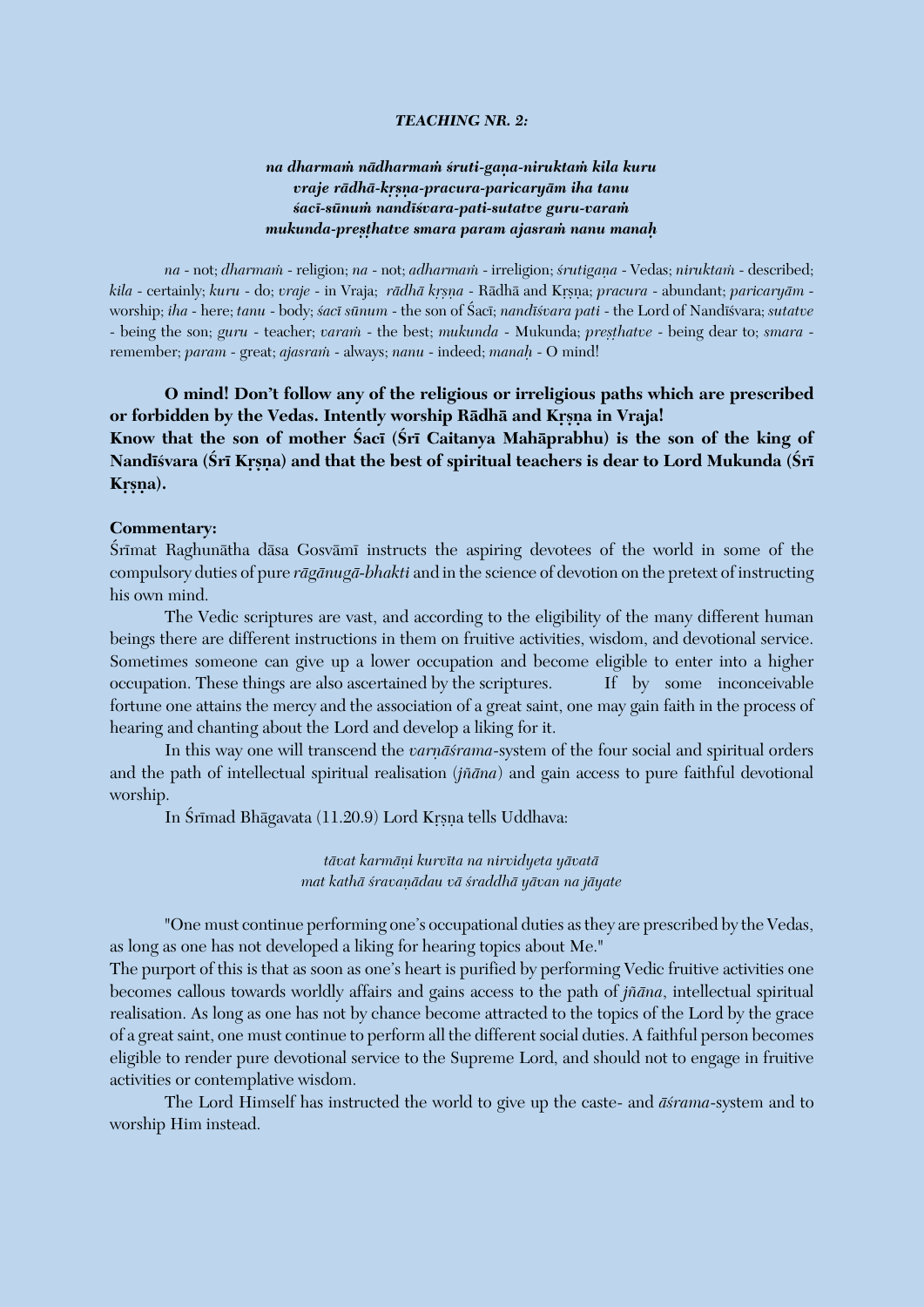#### *TEACHING NR. 2:*

## *na dharmaà nädharmaà çruti-gaëa-niruktaà kila kuru vraje rädhä-kåñëa-pracura-paricaryäm iha tanu çacé-sünuà nandéçvara-pati-sutatve guru-varaà mukunda-preñöhatve smara param ajasraà nanu manaù*

*na* - not; *dharmaà* - religion; *na* - not; *adharmaà* - irreligion; *çrutigaëa* - Vedas; *niruktaà* - described; *kila* - certainly; *kuru* - do; *vraje* - in Vraja; *rādhā krsna* - Rādhā and Krsna; *pracura* - abundant; *paricaryām* worship; *iha* - here; *tanu* - body; *çacé sünum* - the son of Çacé; *nandéçvara pati* - the Lord of Nandéçvara; *sutatve* - being the son; *guru* - teacher; *varam* - the best; *mukunda* - Mukunda; *presthatve* - being dear to; *smara* remember; *param* - great; *ajasraà* - always; *nanu* - indeed; *manaù* - O mind!

**O mind! Don't follow any of the religious or irreligious paths which are prescribed**  or forbidden by the Vedas. Intently worship Rādhā and Krsna in Vraja! Know that the son of mother Saci (Sri Caitanya Mahāprabhu) is the son of the king of Nandīśvara (Śrī Krsna) and that the best of spiritual teachers is dear to Lord Mukunda (Śrī Krsna).

#### **Commentary:**

Srimat Raghunātha dāsa Gosvāmi instructs the aspiring devotees of the world in some of the compulsory duties of pure *rägänugä-bhakti* and in the science of devotion on the pretext of instructing his own mind.

The Vedic scriptures are vast, and according to the eligibility of the many different human beings there are different instructions in them on fruitive activities, wisdom, and devotional service. Sometimes someone can give up a lower occupation and become eligible to enter into a higher occupation. These things are also ascertained by the scriptures. If by some inconceivable fortune one attains the mercy and the association of a great saint, one may gain faith in the process of hearing and chanting about the Lord and develop a liking for it.

In this way one will transcend the *varnāsrama*-system of the four social and spiritual orders and the path of intellectual spiritual realisation (*jïäna*) and gain access to pure faithful devotional worship.

In Śrīmad Bhāgavata (11.20.9) Lord Krsna tells Uddhava:

*tävat karmäëi kurvéta na nirvidyeta yävatä mat kathä çravaëädau vä çraddhä yävan na jäyate*

"One must continue performing one's occupational duties as they are prescribed by the Vedas, as long as one has not developed a liking for hearing topics about Me."

The purport of this is that as soon as one's heart is purified by performing Vedic fruitive activities one becomes callous towards worldly affairs and gains access to the path of *jïäna*, intellectual spiritual realisation. As long as one has not by chance become attracted to the topics of the Lord by the grace of a great saint, one must continue to perform all the different social duties. A faithful person becomes eligible to render pure devotional service to the Supreme Lord, and should not to engage in fruitive activities or contemplative wisdom.

The Lord Himself has instructed the world to give up the caste- and *äçrama*-system and to worship Him instead.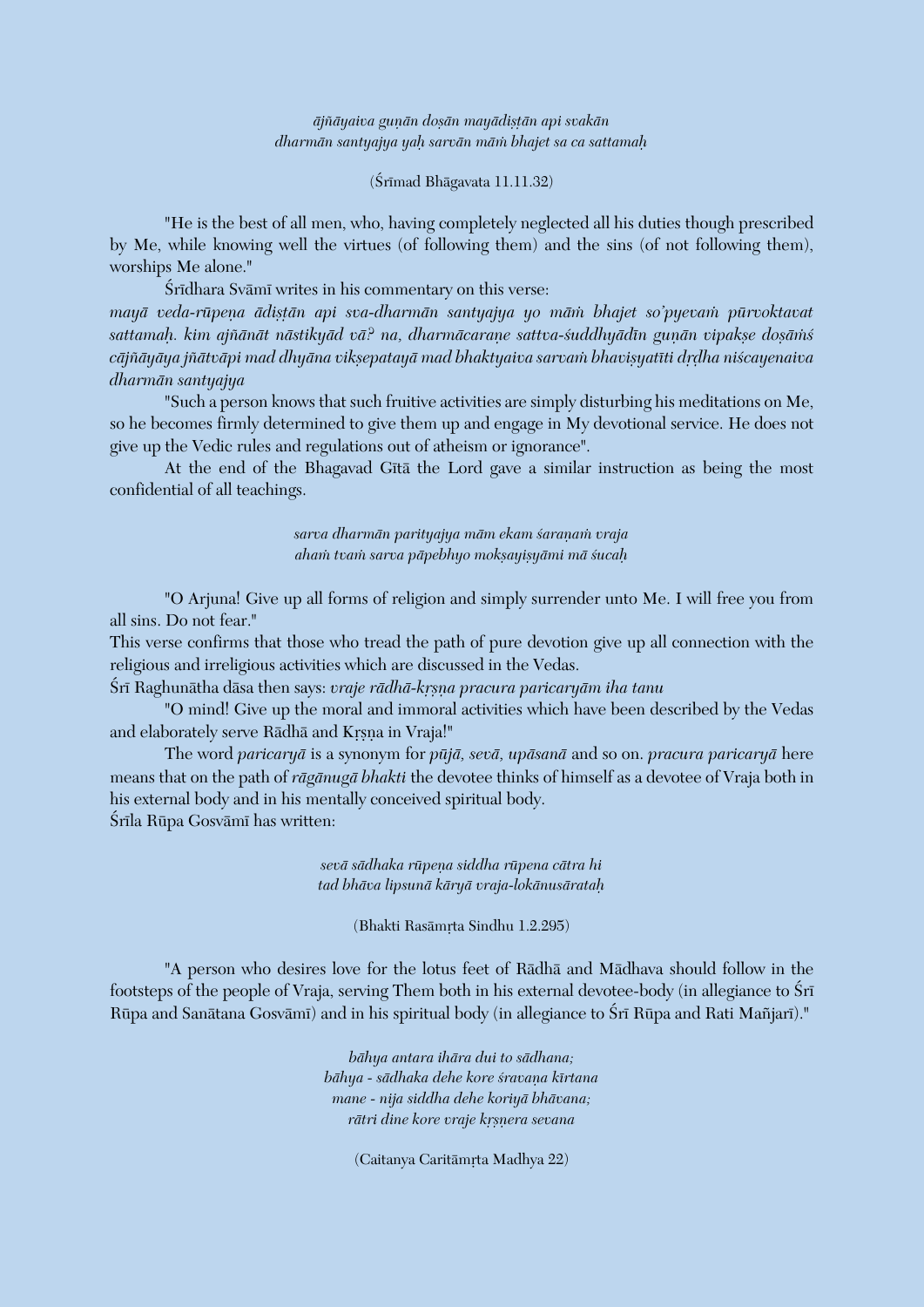$\bar{a}$ jñ $\bar{a}$ yaiva gunān doṣān mayādiṣṭān api svakān *dharmän santyajya yaù sarvän mäà bhajet sa ca sattamaù*

 $(Sr<sub>Imad</sub> Bhāgavata 11.11.32)$ 

"He is the best of all men, who, having completely neglected all his duties though prescribed by Me, while knowing well the virtues (of following them) and the sins (of not following them), worships Me alone."

Śrīdhara Svāmī writes in his commentary on this verse:

*mayā veda-rūpeņa ādistān api sva-dharmān santyajya yo mām bhajet so'pyevam pūrvoktavat* sattamah. kim ajñānāt nāstikyād vā? na, dharmācarane sattva-suddhyādīn gunān vipakse dosāms cājñāyāya jñātvāpi mad dhyāna vikṣepatayā mad bhaktyaiva sarvam bhaviṣyatīti dṛḍha niścayenaiva *dharmän santyajya*

"Such a person knows that such fruitive activities are simply disturbing his meditations on Me, so he becomes firmly determined to give them up and engage in My devotional service. He does not give up the Vedic rules and regulations out of atheism or ignorance".

At the end of the Bhagavad Gītā the Lord gave a similar instruction as being the most confidential of all teachings.

> *sarva dharmän parityajya mäm ekam çaraëaà vraja ahaà tvaà sarva päpebhyo mokñayiñyämi mä çucaù*

"O Arjuna! Give up all forms of religion and simply surrender unto Me. I will free you from all sins. Do not fear."

This verse confirms that those who tread the path of pure devotion give up all connection with the religious and irreligious activities which are discussed in the Vedas.

Śrī Raghunātha dāsa then says: *vraje rādhā-kṛṣṇa pracura paricaryām iha tanu* 

"O mind! Give up the moral and immoral activities which have been described by the Vedas and elaborately serve Rādhā and Krsna in Vraja!"

The word *paricaryä* is a synonym for *püjä, sevä, upäsanä* and so on. *pracura paricaryä* here means that on the path of *rägänugä bhakti* the devotee thinks of himself as a devotee of Vraja both in his external body and in his mentally conceived spiritual body. Śrīla Rūpa Gosvāmī has written:

> *sevä sädhaka rüpeëa siddha rüpena cätra hi tad bhäva lipsunä käryä vraja-lokänusärataù*

> > (Bhakti Rasāmrta Sindhu 1.2.295)

"A person who desires love for the lotus feet of Rädhä and Mädhava should follow in the footsteps of the people of Vraja, serving Them both in his external devotee-body (in allegiance to Śrī Rūpa and Sanātana Gosvāmī) and in his spiritual body (in allegiance to Śrī Rūpa and Rati Mañjarī)."

> *bähya antara ihära dui to sädhana; bähya - sädhaka dehe kore çravaëa kértana mane - nija siddha dehe koriyä bhävana; rātri dine kore vraje krsnera sevana*

> > (Caitanya Caritāmrta Madhya 22)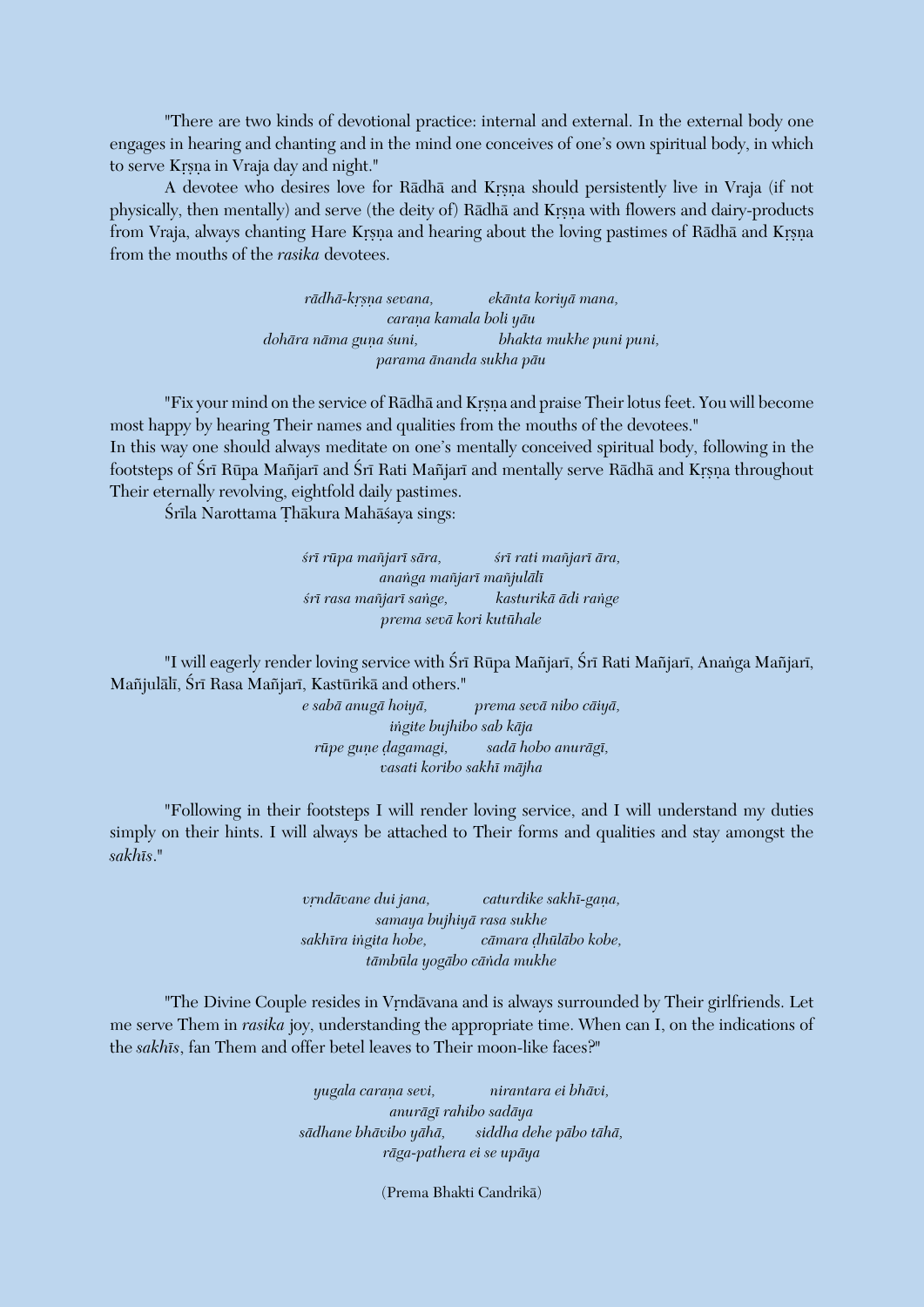"There are two kinds of devotional practice: internal and external. In the external body one engages in hearing and chanting and in the mind one conceives of one's own spiritual body, in which to serve Krsna in Vraja day and night."

A devotee who desires love for Rādhā and Krsna should persistently live in Vraja (if not physically, then mentally) and serve (the deity of) Rādhā and Krsna with flowers and dairy-products from Vraja, always chanting Hare Krsna and hearing about the loving pastimes of Rādhā and Krsna from the mouths of the *rasika* devotees.

> *rädhä-kåñëa sevana, ekänta koriyä mana, caraëa kamala boli yäu dohāra nāma guņa śuni,* bhakta mukhe puni puni, *parama änanda sukha päu*

"Fix your mind on the service of Rādhā and Krsna and praise Their lotus feet. You will become most happy by hearing Their names and qualities from the mouths of the devotees."

In this way one should always meditate on one's mentally conceived spiritual body, following in the footsteps of Śrī Rūpa Mañjarī and Śrī Rati Mañjarī and mentally serve Rādhā and Krsna throughout Their eternally revolving, eightfold daily pastimes.

Śrīla Narottama Thākura Mahāśaya sings:

*çré rüpa maïjaré sära, çré rati maïjaré ära, anaìga maïjaré maïjulälé çré rasa maïjaré saìge, kasturikä ädi raìge prema sevä kori kutühale*

"I will eagerly render loving service with Śrī Rūpa Mañjarī, Śrī Rati Mañjarī, Anaṅga Mañjarī, Mañjulālī, Śrī Rasa Mañjarī, Kastūrikā and others."

> *e sabä anugä hoiyä, prema sevä nibo cäiyä, iìgite bujhibo sab käja rüpe guëe òagamagi, sadä hobo anurägé, vasati koribo sakhé mäjha*

"Following in their footsteps I will render loving service, and I will understand my duties simply on their hints. I will always be attached to Their forms and qualities and stay amongst the *sakhés*."

> *vrndāvane dui jana, caturdike sakhī-gana, samaya bujhiyä rasa sukhe sakhéra iìgita hobe, cämara òhüläbo kobe, tämbüla yogäbo cäìda mukhe*

"The Divine Couple resides in Vrndāvana and is always surrounded by Their girlfriends. Let me serve Them in *rasika* joy, understanding the appropriate time. When can I, on the indications of the *sakhés*, fan Them and offer betel leaves to Their moon-like faces?"

> *yugala caraëa sevi, nirantara ei bhävi, anurägé rahibo sadäya sädhane bhävibo yähä, siddha dehe päbo tähä, räga-pathera ei se upäya*

> > (Prema Bhakti Candrikä)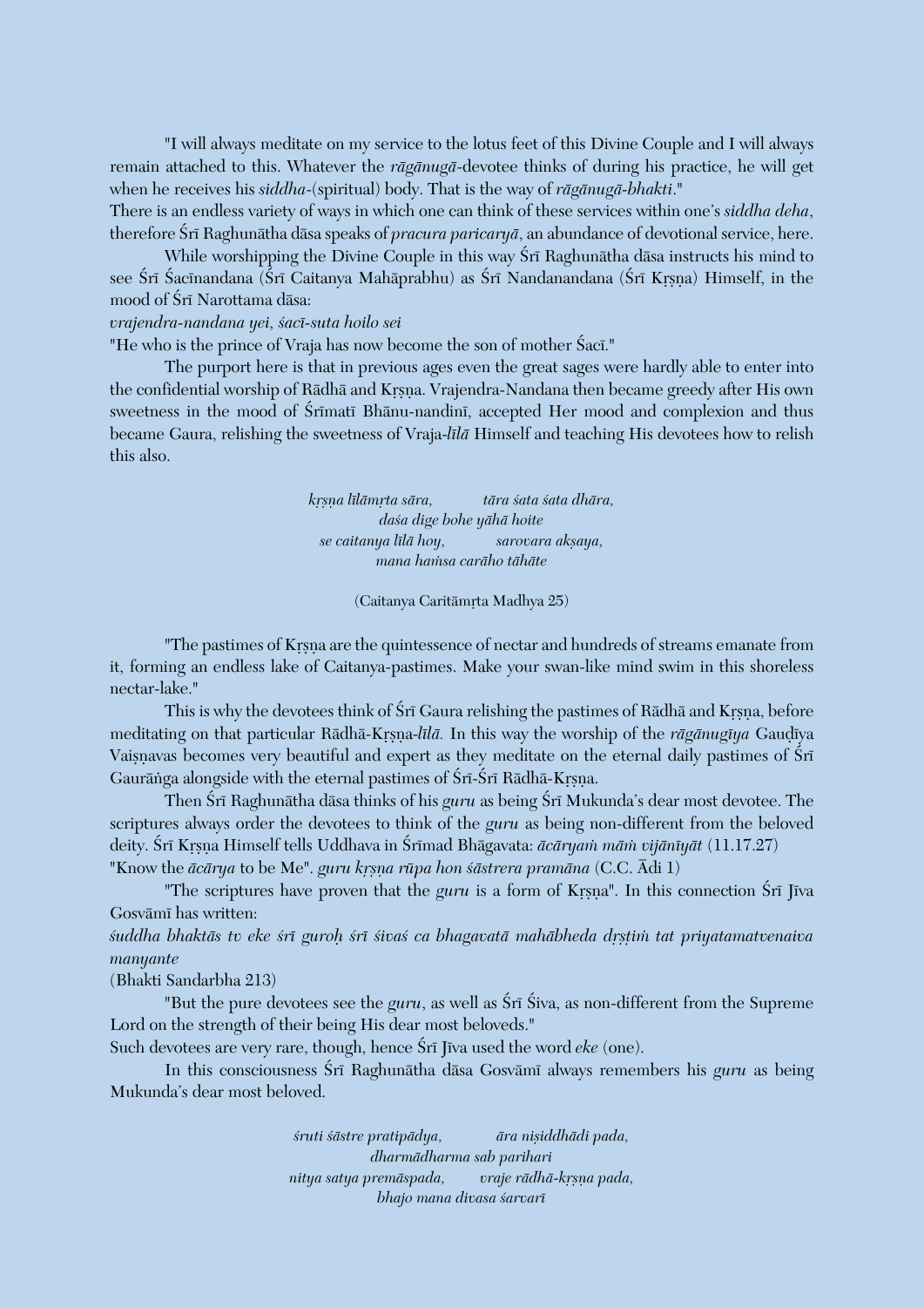"I will always meditate on my service to the lotus feet of this Divine Couple and I will always remain attached to this. Whatever the *rägänugä*-devotee thinks of during his practice, he will get when he receives his *siddha*-(spiritual) body. That is the way of *rägänugä-bhakti*." There is an endless variety of ways in which one can think of these services within one's *siddha deha*,

therefore Śrī Raghunātha dāsa speaks of *pracura paricaryā*, an abundance of devotional service, here. While worshipping the Divine Couple in this way Śrī Raghunātha dāsa instructs his mind to see Śrī Śacīnandana (Śrī Caitanya Mahāprabhu) as Śrī Nandanandana (Śrī Kŗṣṇa) Himself, in the mood of Śrī Narottama dāsa:

#### *vrajendra-nandana yei, çacé-suta hoilo sei*

"He who is the prince of Vraja has now become the son of mother Saci."

The purport here is that in previous ages even the great sages were hardly able to enter into the confidential worship of Rādhā and Krsna. Vrajendra-Nandana then became greedy after His own sweetness in the mood of Śrīmatī Bhānu-nandinī, accepted Her mood and complexion and thus became Gaura, relishing the sweetness of Vraja-*lélä* Himself and teaching His devotees how to relish this also.

> *kåñëa lélämåta sära, tära çata çata dhära, daça dige bohe yähä hoite se caitanya lélä hoy, sarovara akñaya, mana haàsa caräho tähäte*

> > (Caitanya Caritāmrta Madhya 25)

"The pastimes of Krsna are the quintessence of nectar and hundreds of streams emanate from it, forming an endless lake of Caitanya-pastimes. Make your swan-like mind swim in this shoreless nectar-lake."

This is why the devotees think of Śrī Gaura relishing the pastimes of Rādhā and Krsna, before meditating on that particular Rādhā-Krsna-*līlā*. In this way the worship of the *rāgānugīya* Gaudīya Vaisnavas becomes very beautiful and expert as they meditate on the eternal daily pastimes of Śrī Gaurānga alongside with the eternal pastimes of Śrī-Śrī Rādhā-Krsna.

Then Śrī Raghunātha dāsa thinks of his *guru* as being Śrī Mukunda's dear most devotee. The scriptures always order the devotees to think of the *guru* as being non-different from the beloved deity. Śrī Krsna Himself tells Uddhava in Śrīmad Bhāgavata: *ācāryam mām vijānīyāt* (11.17.27) "Know the *ācārya* to be Me". *guru krsna rūpa hon śāstrera pramāna* (C.C. Ādi 1)

"The scriptures have proven that the *guru* is a form of Krsna". In this connection Śrī Jīva Gosvāmī has written:

*çuddha bhaktäs tv eke çré guroù çré çivaç ca bhagavatä mahäbheda dåñöià tat priyatamatvenaiva manyante*

(Bhakti Sandarbha 213)

"But the pure devotees see the *guru*, as well as  $\hat{S}r\bar{\mathrm{i}}\,\hat{S}r\bar{\mathrm{i}}\,s$  as non-different from the Supreme Lord on the strength of their being His dear most beloveds."

Such devotees are very rare, though, hence Sri Jiva used the word *eke* (one).

In this consciousness Śrī Raghunātha dāsa Gosvāmī always remembers his *guru* as being Mukunda's dear most beloved.

> *çruti çästre pratipädya, ära niñiddhädi pada, dharmädharma sab parihari nitya satya premäspada, vraje rädhä-kåñëa pada, bhajo mana divasa çarvaré*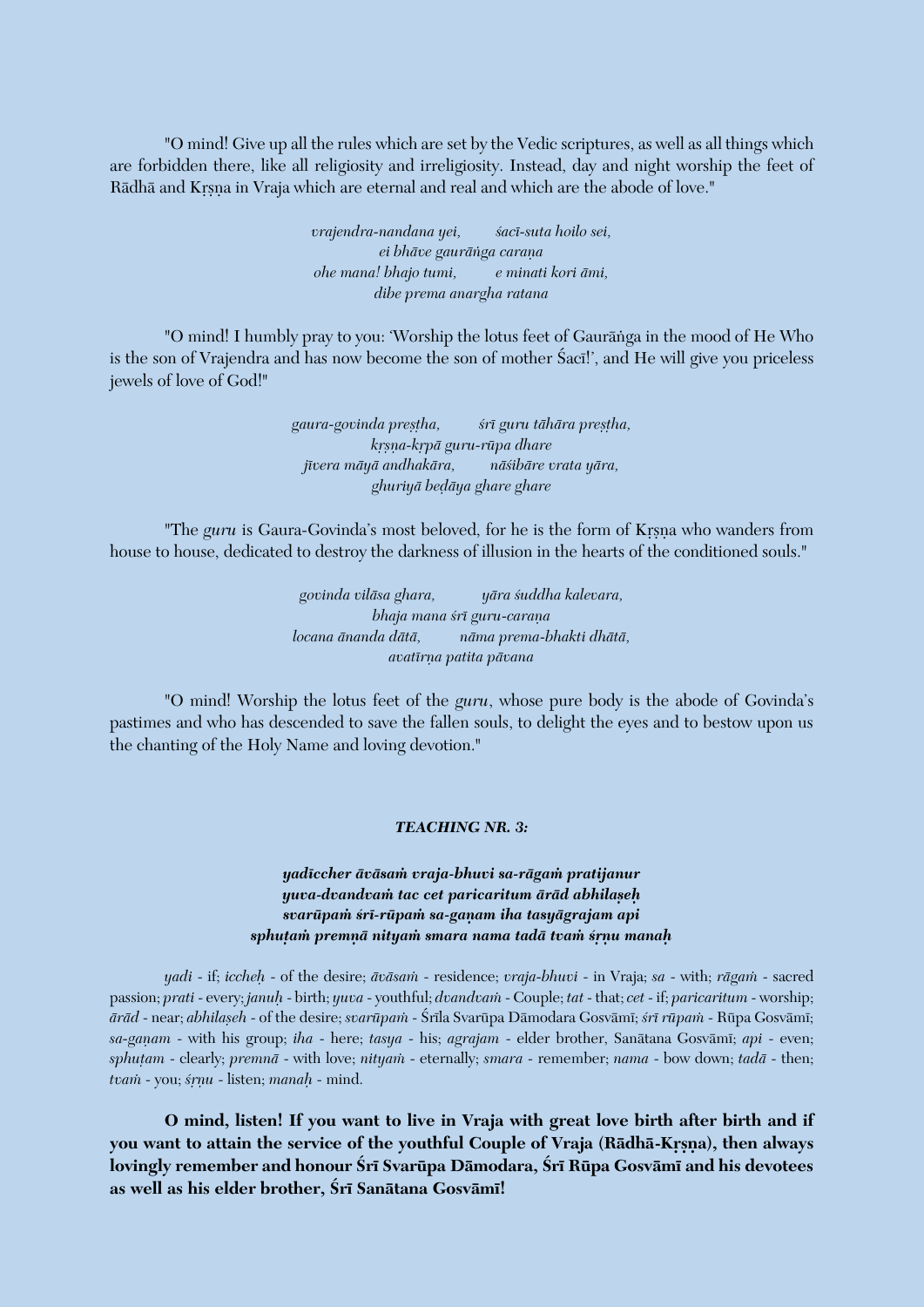"O mind! Give up all the rules which are set by the Vedic scriptures, as well as all things which are forbidden there, like all religiosity and irreligiosity. Instead, day and night worship the feet of Rādhā and Krsna in Vraja which are eternal and real and which are the abode of love."

> *vrajendra-nandana yei, sacī-suta hoilo sei,*  $ei$  bhāve gaurāṅga carana *ohe mana! bhajo tumi, e minati kori ämi, dibe prema anargha ratana*

"O mind! I humbly pray to you: 'Worship the lotus feet of Gauräìga in the mood of He Who is the son of Vrajendra and has now become the son of mother Saci!', and He will give you priceless jewels of love of God!"

> *gaura-govinda preñöha, çré guru tähära preñöha, kåñëa-kåpä guru-rüpa dhare jévera mäyä andhakära, näçibäre vrata yära, ghuriyä beòäya ghare ghare*

"The *guru* is Gaura-Govinda's most beloved, for he is the form of Krsna who wanders from house to house, dedicated to destroy the darkness of illusion in the hearts of the conditioned souls."

> *govinda viläsa ghara, yära çuddha kalevara, bhaja mana śrī guru-carana locana änanda dätä, näma prema-bhakti dhätä, avatérëa patita pävana*

"O mind! Worship the lotus feet of the *guru*, whose pure body is the abode of Govinda's pastimes and who has descended to save the fallen souls, to delight the eyes and to bestow upon us the chanting of the Holy Name and loving devotion."

#### *TEACHING NR. 3:*

## *yadéccher äväsaà vraja-bhuvi sa-rägaà pratijanur yuva-dvandvaà tac cet paricaritum äräd abhilañeù svarüpaà çré-rüpaà sa-gaëam iha tasyägrajam api sphuöaà premëä nityaà smara nama tadä tvaà çåëu manaù*

*yadi* - if; *iccheù* - of the desire; *äväsaà* - residence; *vraja-bhuvi* - in Vraja; *sa* - with; *rägaà* - sacred passion; *prati* - every; *januù* - birth; *yuva* - youthful; *dvandvaà* - Couple; *tat* - that; *cet* - if; *paricaritum* - worship; *äräd* - near; *abhilañeh* - of the desire; *svarüpaà* - Çréla Svarüpa Dämodara Gosvämé; *çré rüpaà* - Rüpa Gosvämé; *sa-gaëam* - with his group; *iha* - here; *tasya* - his; *agrajam* - elder brother, Sanätana Gosvämé; *api* - even; *sphuöam* - clearly; *premnä* - with love; *nityaà* - eternally; *smara* - remember; *nama* - bow down; *tadä* - then; *tvaà* - you; *çåëu* - listen; *manaù* - mind.

**O mind, listen! If you want to live in Vraja with great love birth after birth and if**  you want to attain the service of the youthful Couple of Vraja (Rādhā-Kṛṣṇa), then always lovingly remember and honour Śrī Svarūpa Dāmodara, Śrī Rūpa Gosvāmī and his devotees **as well as his elder brother, Çré Sanätana Gosvämé!**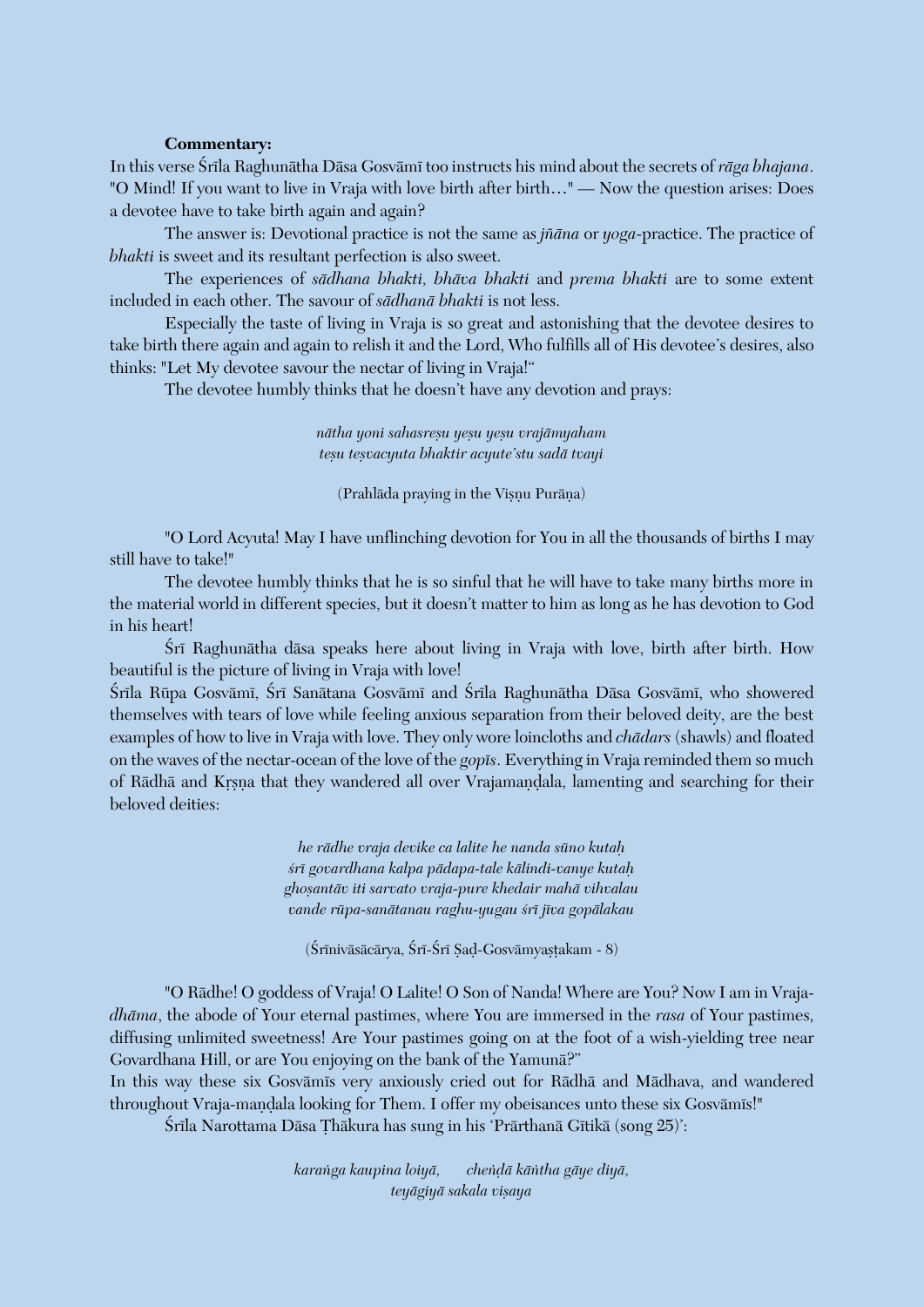#### **Commentary:**

In this verse Śrīla Raghunātha Dāsa Gosvāmī too instructs his mind about the secrets of *rāga bhajana*. "O Mind! If you want to live in Vraja with love birth after birth…" – Now the question arises: Does a devotee have to take birth again and again?

The answer is: Devotional practice is not the same as *jïäna* or *yoga*-practice. The practice of *bhakti* is sweet and its resultant perfection is also sweet.

The experiences of *sädhana bhakti, bhäva bhakti* and *prema bhakti* are to some extent included in each other. The savour of *sädhanä bhakti* is not less.

Especially the taste of living in Vraja is so great and astonishing that the devotee desires to take birth there again and again to relish it and the Lord, Who fulfills all of His devotee's desires, also thinks: "Let My devotee savour the nectar of living in Vraja!"

The devotee humbly thinks that he doesn't have any devotion and prays:

*nätha yoni sahasreñu yeñu yeñu vrajämyaham teñu teñvacyuta bhaktir acyute'stu sadä tvayi*

(Prahlāda praying in the Vișnu Purāņa)

"O Lord Acyuta! May I have unflinching devotion for You in all the thousands of births I may still have to take!"

The devotee humbly thinks that he is so sinful that he will have to take many births more in the material world in different species, but it doesn't matter to him as long as he has devotion to God in his heart!

Śrī Raghunātha dāsa speaks here about living in Vraja with love, birth after birth. How beautiful is the picture of living in Vraja with love!

Śrīla Rūpa Gosvāmī, Śrī Sanātana Gosvāmī and Śrīla Raghunātha Dāsa Gosvāmī, who showered themselves with tears of love while feeling anxious separation from their beloved deity, are the best examples of how to live in Vraja with love. They only wore loincloths and *chädars* (shawls) and floated on the waves of the nectar-ocean of the love of the *gopés*. Everything in Vraja reminded them so much of Rādhā and Krsna that they wandered all over Vrajamandala, lamenting and searching for their beloved deities:

> *he rädhe vraja devike ca lalite he nanda süno kutaù çré govardhana kalpa pädapa-tale kälindi-vanye kutaù ghoñantäv iti sarvato vraja-pure khedair mahä vihvalau vande rüpa-sanätanau raghu-yugau çré jéva gopälakau*

(Śrīnivāsācārya, Śrī-Śrī Ṣaḍ-Gosvāmyaṣṭakam - 8)

"O Rädhe! O goddess of Vraja! O Lalite! O Son of Nanda! Where are You? Now I am in Vraja*dhäma*, the abode of Your eternal pastimes, where You are immersed in the *rasa* of Your pastimes, diffusing unlimited sweetness! Are Your pastimes going on at the foot of a wish-yielding tree near Govardhana Hill, or are You enjoying on the bank of the Yamunä?"

In this way these six Gosvāmīs very anxiously cried out for Rādhā and Mādhava, and wandered throughout Vraja-mandala looking for Them. I offer my obeisances unto these six Gosvāmīs!"

Śrīla Narottama Dāsa Thākura has sung in his 'Prārthanā Gītikā (song 25)':

*karaìga kaupina loiyä, cheìòä käìtha gäye diyä, teyägiyä sakala viñaya*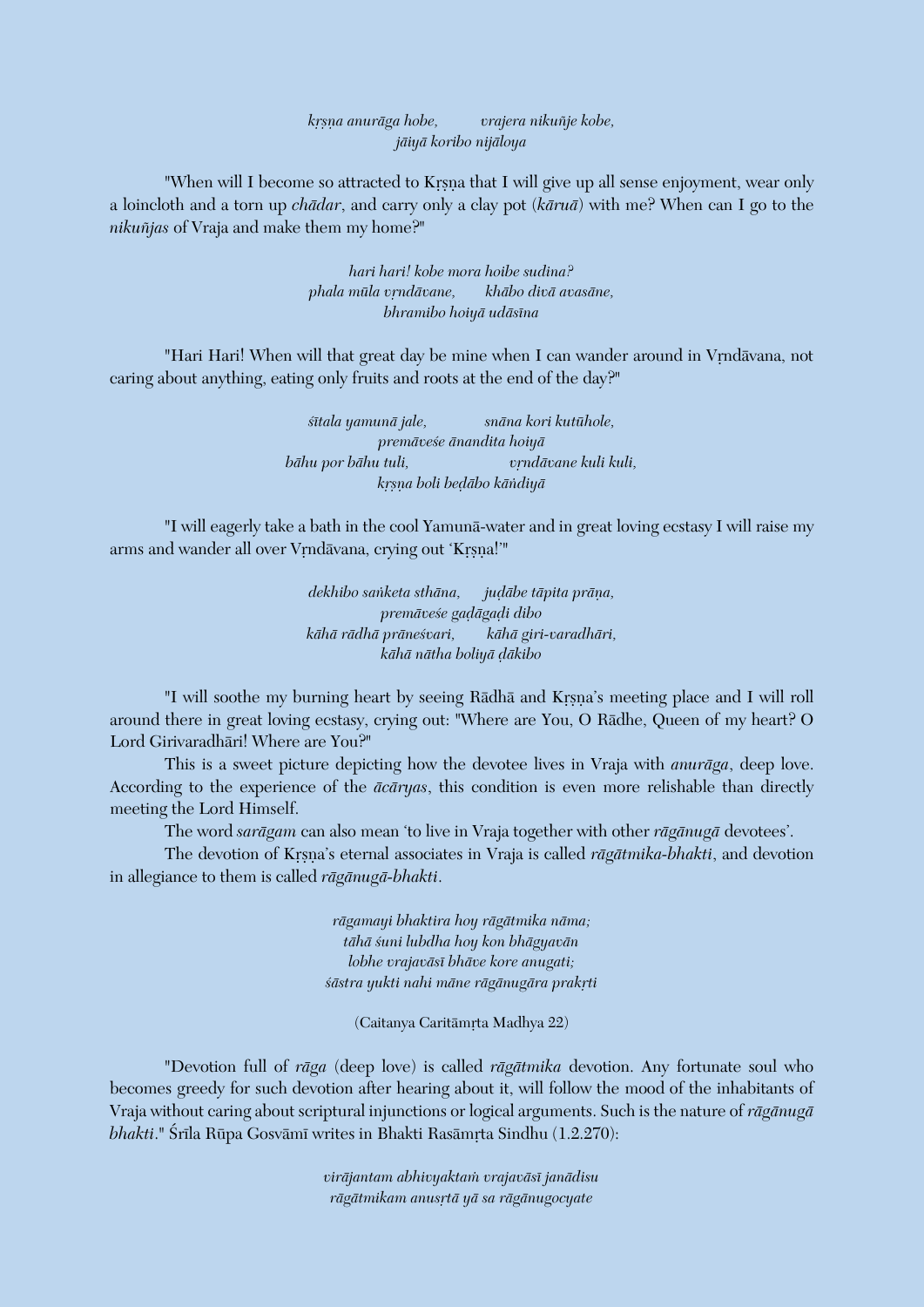*kåñëa anuräga hobe, vrajera nikuïje kobe, jäiyä koribo nijäloya*

"When will I become so attracted to Krsna that I will give up all sense enjoyment, wear only a loincloth and a torn up *chädar*, and carry only a clay pot (*käruä*) with me? When can I go to the *nikuïjas* of Vraja and make them my home?"

> *hari hari! kobe mora hoibe sudina? phala müla våndävane, khäbo divä avasäne, bhramibo hoiyä udäséna*

"Hari Hari! When will that great day be mine when I can wander around in Vrndävana, not caring about anything, eating only fruits and roots at the end of the day?"

> *çétala yamunä jale, snäna kori kutühole, premäveçe änandita hoiyä bāhu por bāhu tuli,* v*rndāvane kuli kuli, kåñëa boli beòäbo käìdiyä*

"I will eagerly take a bath in the cool Yamunä-water and in great loving ecstasy I will raise my arms and wander all over Vrndävana, crying out 'Krsna!'"

> *dekhibo sanketa sthāna, judābe tāpita prāna, premäveçe gaòägaòi dibo kähä rädhä präneçvari, kähä giri-varadhäri, kähä nätha boliyä òäkibo*

"I will soothe my burning heart by seeing Rādhā and Krsna's meeting place and I will roll around there in great loving ecstasy, crying out: "Where are You, O Rädhe, Queen of my heart? O Lord Girivaradhäri! Where are You?"

This is a sweet picture depicting how the devotee lives in Vraja with *anuräga*, deep love. According to the experience of the *äcäryas*, this condition is even more relishable than directly meeting the Lord Himself.

The word *sarägam* can also mean 'to live in Vraja together with other *rägänugä* devotees'.

The devotion of Krsna's eternal associates in Vraja is called *rāgātmika-bhakti*, and devotion in allegiance to them is called *rägänugä-bhakti*.

> *rägamayi bhaktira hoy rägätmika näma; tähä çuni lubdha hoy kon bhägyavän lobhe vrajaväsé bhäve kore anugati;*   $s\bar{a}$ stra yukti nahi māne rāgānugāra prakrti

> > (Caitanya Caritāmrta Madhya 22)

"Devotion full of *räga* (deep love) is called *rägätmika* devotion. Any fortunate soul who becomes greedy for such devotion after hearing about it, will follow the mood of the inhabitants of Vraja without caring about scriptural injunctions or logical arguments. Such is the nature of *rägänugä bhakti*." Śrīla Rūpa Gosvāmī writes in Bhakti Rasāmrta Sindhu (1.2.270):

> *viräjantam abhivyaktaà vrajaväsé janädisu rägätmikam anusåtä yä sa rägänugocyate*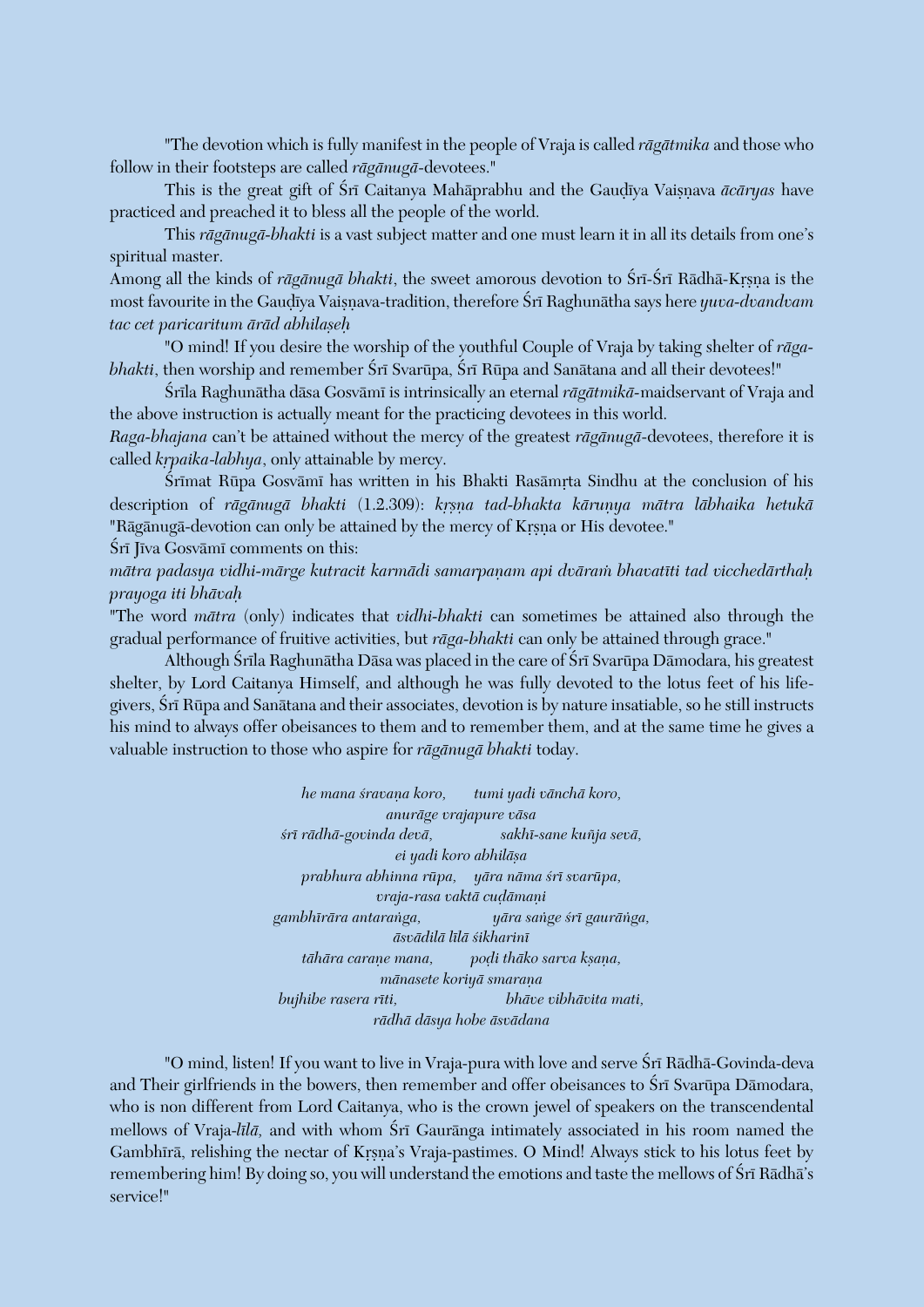"The devotion which is fully manifest in the people of Vraja is called *rägätmika* and those who follow in their footsteps are called *rägänugä*-devotees."

This is the great gift of Śrī Caitanya Mahāprabhu and the Gaudīya Vaisnava *ācāryas* have practiced and preached it to bless all the people of the world.

This *rägänugä-bhakti* is a vast subject matter and one must learn it in all its details from one's spiritual master.

Among all the kinds of *rāgānugā bhakti*, the sweet amorous devotion to Śrī-Śrī Rādhā-Krsna is the most favourite in the Gaudīya Vaisnava-tradition, therefore Śrī Raghunātha says here *yuva-dvandvam tac cet paricaritum äräd abhilañeù*

"O mind! If you desire the worship of the youthful Couple of Vraja by taking shelter of *rägabhakti*, then worship and remember Śrī Svarūpa, Śrī Rūpa and Sanātana and all their devotees!"

Śrīla Raghunātha dāsa Gosvāmī is intrinsically an eternal *rāgātmikā*-maidservant of Vraja and the above instruction is actually meant for the practicing devotees in this world.

*Raga-bhajana* can't be attained without the mercy of the greatest *rägänugä*-devotees, therefore it is called *krpaika-labhya*, only attainable by mercy.

Śrīmat Rūpa Gosvāmī has written in his Bhakti Rasāmrta Sindhu at the conclusion of his description of rāgānugā bhakti (1.2.309): krsņa tad-bhakta kāruņya mātra lābhaika hetukā "Rāgānugā-devotion can only be attained by the mercy of Krsna or His devotee."

Śrī Jīva Gosvāmī comments on this:

mātra padasya vidhi-mārge kutracit karmādi samarpanam api dvāram bhavatīti tad vicchedārthah *prayoga iti bhävaù*

"The word *mätra* (only) indicates that *vidhi-bhakti* can sometimes be attained also through the gradual performance of fruitive activities, but *räga-bhakti* can only be attained through grace."

Although Śrīla Raghunātha Dāsa was placed in the care of Śrī Svarūpa Dāmodara, his greatest shelter, by Lord Caitanya Himself, and although he was fully devoted to the lotus feet of his lifegivers, Śrī Rūpa and Sanātana and their associates, devotion is by nature insatiable, so he still instructs his mind to always offer obeisances to them and to remember them, and at the same time he gives a valuable instruction to those who aspire for *rägänugä bhakti* today.

> *he mana çravaëa koro, tumi yadi vänchä koro, anuräge vrajapure väsa çré rädhä-govinda devä, sakhé-sane kuïja sevä, ei yadi koro abhiläña prabhura abhinna rüpa, yära näma çré svarüpa, vraja-rasa vaktā cudāmaņi gambhérära antaraìga, yära saìge çré gauräìga, äsvädilä lélä çikhariné*  $t\bar{a}h\bar{a}ra$  carane mana, podi thāko sarva ksana, *mānasete koriyā smarana bujhibe rasera réti, bhäve vibhävita mati, rädhä däsya hobe äsvädana*

"O mind, listen! If you want to live in Vraja-pura with love and serve Śrī Rādhā-Govinda-deva and Their girlfriends in the bowers, then remember and offer obeisances to Śrī Svarūpa Dāmodara, who is non different from Lord Caitanya, who is the crown jewel of speakers on the transcendental mellows of Vraja-*lélä,* and with whom Çré Gauränga intimately associated in his room named the Gambhīrā, relishing the nectar of Krsna's Vraja-pastimes. O Mind! Always stick to his lotus feet by remembering him! By doing so, you will understand the emotions and taste the mellows of Srī Rādhā's service!"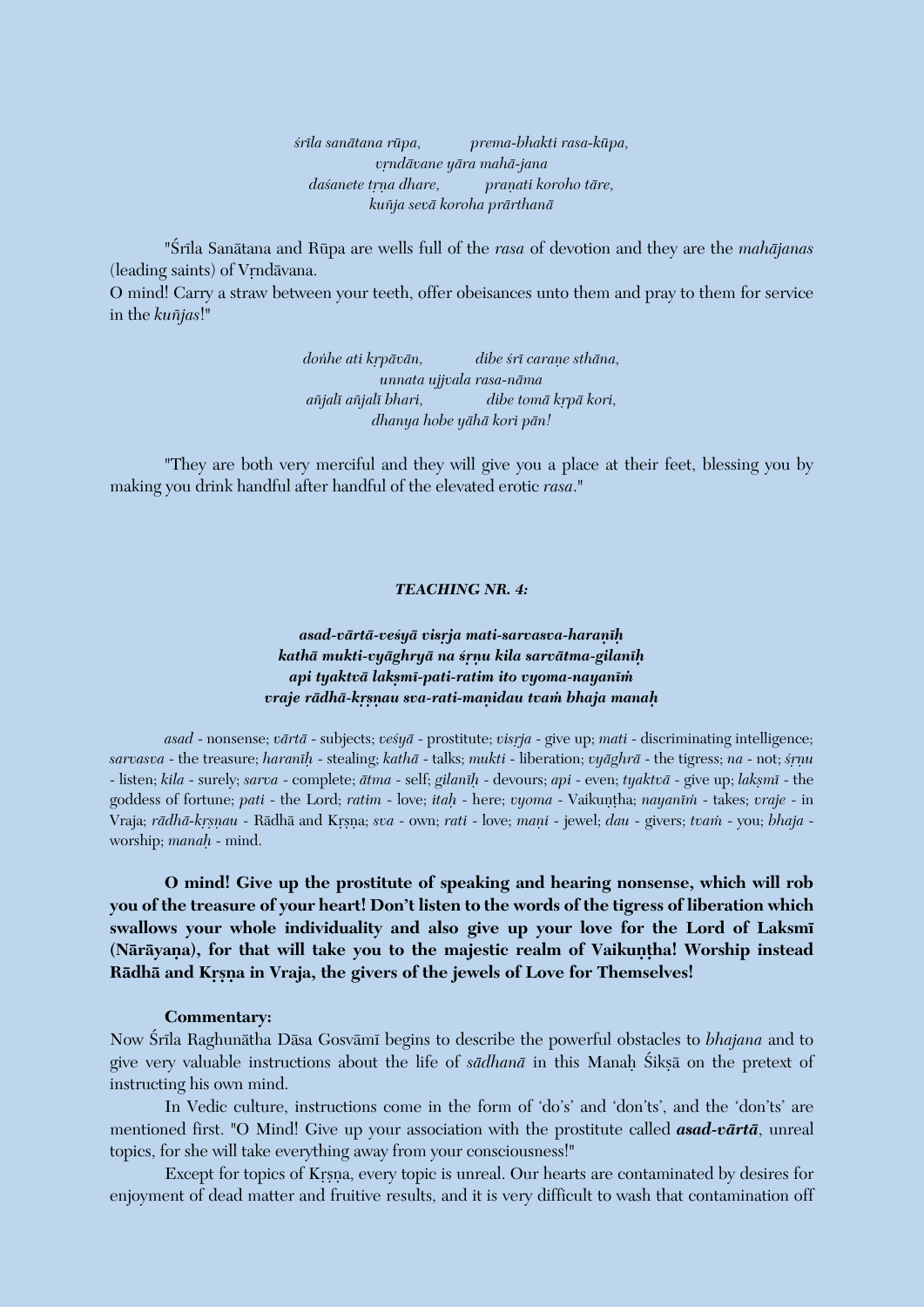*çréla sanätana rüpa, prema-bhakti rasa-küpa, våndävane yära mahä-jana dasanete trna dhare, pranati koroho tāre, kuïja sevä koroha prärthanä*

"Śrīla Sanātana and Rūpa are wells full of the *rasa* of devotion and they are the *mahājanas* (leading saints) of Vrndāvana.

O mind! Carry a straw between your teeth, offer obeisances unto them and pray to them for service in the *kuïjas*!"

> donhe ati krpāvān, dibe *śrī carane sthāna*, *unnata ujjvala rasa-näma aïjalé aïjalé bhari, dibe tomä kåpä kori, dhanya hobe yähä kori pän!*

"They are both very merciful and they will give you a place at their feet, blessing you by making you drink handful after handful of the elevated erotic *rasa*."

#### *TEACHING NR. 4:*

## *asad-värtä-veçyä visåja mati-sarvasva-haraëéù kathä mukti-vyäghryä na çåëu kila sarvätma-gilanéù api tyaktvä lakñmé-pati-ratim ito vyoma-nayanéà vraje rādhā-krsnau sva-rati-manidau tvam bhaja manah*

*asad* - nonsense; *vārtā* - subjects; *ves<sup>i</sup>yā* - prostitute; *visrja* - give up; *mati* - discriminating intelligence; *sarvasva* - the treasure; *haranéù* - stealing; *kathä* - talks; *mukti* - liberation; *vyäghrä* - the tigress; *na* - not; *çåëu* - listen; *kila* - surely; *sarva* - complete; *ätma* - self; *gilanéù* - devours; *api* - even; *tyaktvä* - give up; *lakñmé* - the goddess of fortune; *pati* - the Lord; *ratim* - love; *itah* - here; *vyoma* - Vaikuntha; *nayanīm* - takes; *vraje* - in Vraja; *rādhā-kṛṣṇau* - Rādhā and Kṛṣṇa; *sva* - own; *rati* - love; *maṇi* - jewel; *dau* - givers; *tvam* - you; *bhaja* worship; *manaù* - mind.

**O mind! Give up the prostitute of speaking and hearing nonsense, which will rob you of the treasure of your heart! Don't listen to the words of the tigress of liberation which swallows your whole individuality and also give up your love for the Lord of Laksmé**  (Nārāyana), for that will take you to the majestic realm of Vaikuntha! Worship instead Rādhā and Krsna in Vraja, the givers of the jewels of Love for Themselves!

#### **Commentary:**

Now Çréla Raghunätha Däsa Gosvämé begins to describe the powerful obstacles to *bhajana* and to give very valuable instructions about the life of *sādhanā* in this Manah Śikṣā on the pretext of instructing his own mind.

In Vedic culture, instructions come in the form of 'do's' and 'don'ts', and the 'don'ts' are mentioned first. "O Mind! Give up your association with the prostitute called *asad-värtä*, unreal topics, for she will take everything away from your consciousness!"

Except for topics of Krsna, every topic is unreal. Our hearts are contaminated by desires for enjoyment of dead matter and fruitive results, and it is very difficult to wash that contamination off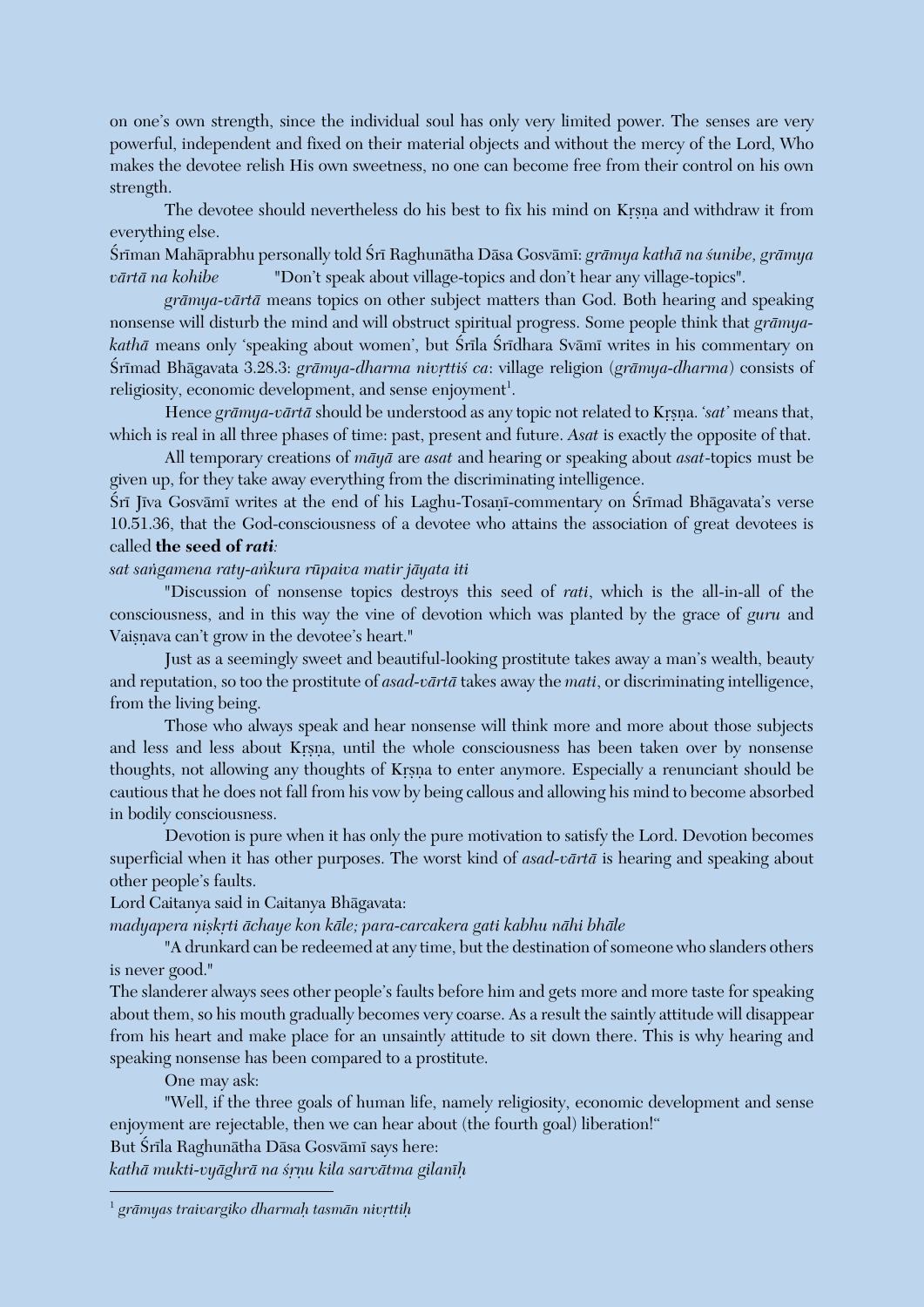on one's own strength, since the individual soul has only very limited power. The senses are very powerful, independent and fixed on their material objects and without the mercy of the Lord, Who makes the devotee relish His own sweetness, no one can become free from their control on his own strength.

The devotee should nevertheless do his best to fix his mind on Krsna and withdraw it from everything else.

Çréman Mahäprabhu personally told Çré Raghunätha Däsa Gosvämé: *grämya kathä na çunibe, grämya värtä na kohibe* "Don't speak about village-topics and don't hear any village-topics".

*grämya-värtä* means topics on other subject matters than God. Both hearing and speaking nonsense will disturb the mind and will obstruct spiritual progress. Some people think that *grämya*kathā means only 'speaking about women', but Śrīla Śrīdhara Svāmī writes in his commentary on Śrīmad Bhāgavata 3.28.3: *grāmya-dharma nivrttiś ca: village religion (grāmya-dharma)* consists of religiosity, economic development, and sense enjoyment<sup>1</sup>.

Hence grāmya-vārtā should be understood as any topic not related to Krsna. '*sat*' means that, which is real in all three phases of time: past, present and future. *Asat* is exactly the opposite of that.

All temporary creations of *mäyä* are *asat* and hearing or speaking about *asat*-topics must be given up, for they take away everything from the discriminating intelligence.

Śrī Jīva Gosvāmī writes at the end of his Laghu-Tosanī-commentary on Śrīmad Bhāgavata's verse 10.51.36, that the God-consciousness of a devotee who attains the association of great devotees is called **the seed of** *rati:* 

*sat saìgamena raty-aìkura rüpaiva matir jäyata iti*

"Discussion of nonsense topics destroys this seed of *rati*, which is the all-in-all of the consciousness, and in this way the vine of devotion which was planted by the grace of *guru* and Vaisnava can't grow in the devotee's heart."

Just as a seemingly sweet and beautiful-looking prostitute takes away a man's wealth, beauty and reputation, so too the prostitute of *asad-värtä* takes away the *mati*, or discriminating intelligence, from the living being.

Those who always speak and hear nonsense will think more and more about those subjects and less and less about Krsna, until the whole consciousness has been taken over by nonsense thoughts, not allowing any thoughts of Krsna to enter anymore. Especially a renunciant should be cautious that he does not fall from his vow by being callous and allowing his mind to become absorbed in bodily consciousness.

Devotion is pure when it has only the pure motivation to satisfy the Lord. Devotion becomes superficial when it has other purposes. The worst kind of *asad-värtä* is hearing and speaking about other people's faults.

Lord Caitanya said in Caitanya Bhägavata:

*madyapera niskrti āchaye kon kāle; para-carcakera gati kabhu nāhi bhāle* 

"A drunkard can be redeemed at any time, but the destination of someone who slanders others is never good."

The slanderer always sees other people's faults before him and gets more and more taste for speaking about them, so his mouth gradually becomes very coarse. As a result the saintly attitude will disappear from his heart and make place for an unsaintly attitude to sit down there. This is why hearing and speaking nonsense has been compared to a prostitute.

One may ask:

 $\overline{a}$ 

"Well, if the three goals of human life, namely religiosity, economic development and sense enjoyment are rejectable, then we can hear about (the fourth goal) liberation!"

But Śrīla Raghunātha Dāsa Gosvāmī says here:

*kathä mukti-vyäghrä na çåëu kila sarvätma gilanéù*

 $^{\rm 1}$  grāmyas traivargiko dharmaḥ tasmān nivṛttiḥ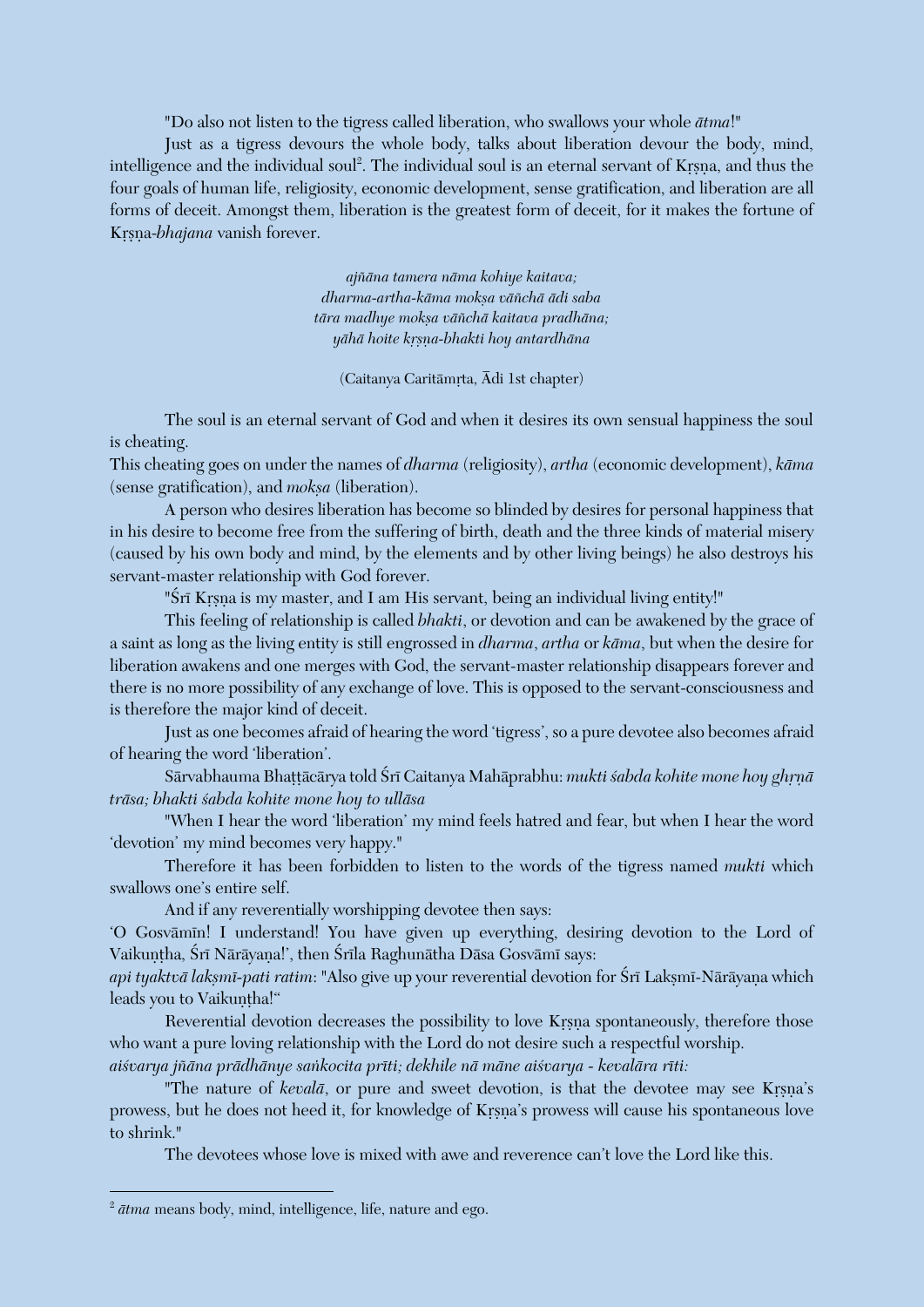"Do also not listen to the tigress called liberation, who swallows your whole *ätma*!"

Just as a tigress devours the whole body, talks about liberation devour the body, mind, intelligence and the individual soul<sup>2</sup>. The individual soul is an eternal servant of Kṛṣṇa, and thus the four goals of human life, religiosity, economic development, sense gratification, and liberation are all forms of deceit. Amongst them, liberation is the greatest form of deceit, for it makes the fortune of Krsna-*bhajana* vanish forever.

> *ajïäna tamera näma kohiye kaitava; dharma-artha-käma mokña väïchä ädi saba* tāra madhye moksa vāñchā kaitava pradhāna; *yähä hoite kåñëa-bhakti hoy antardhäna*

 $(Ca$ itanya Caritāmrta, Ādi 1st chapter)

The soul is an eternal servant of God and when it desires its own sensual happiness the soul is cheating.

This cheating goes on under the names of *dharma* (religiosity), *artha* (economic development), *käma* (sense gratification), and *moksa* (liberation).

A person who desires liberation has become so blinded by desires for personal happiness that in his desire to become free from the suffering of birth, death and the three kinds of material misery (caused by his own body and mind, by the elements and by other living beings) he also destroys his servant-master relationship with God forever.

"Śrī Krsņa is my master, and I am His servant, being an individual living entity!"

This feeling of relationship is called *bhakti*, or devotion and can be awakened by the grace of a saint as long as the living entity is still engrossed in *dharma*, *artha* or *käma*, but when the desire for liberation awakens and one merges with God, the servant-master relationship disappears forever and there is no more possibility of any exchange of love. This is opposed to the servant-consciousness and is therefore the major kind of deceit.

Just as one becomes afraid of hearing the word 'tigress', so a pure devotee also becomes afraid of hearing the word 'liberation'.

Sārvabhauma Bhattācārya told Śrī Caitanya Mahāprabhu: *mukti śabda kohite mone hoy ghrņā träsa; bhakti çabda kohite mone hoy to ulläsa*

"When I hear the word 'liberation' my mind feels hatred and fear, but when I hear the word 'devotion' my mind becomes very happy."

Therefore it has been forbidden to listen to the words of the tigress named *mukti* which swallows one's entire self.

And if any reverentially worshipping devotee then says:

'O Gosvāmīn! I understand! You have given up everything, desiring devotion to the Lord of Vaikuntha, Śrī Nārāyana!', then Śrīla Raghunātha Dāsa Gosvāmī says:

*api tyaktvā laksmī-pati ratim*: "Also give up your reverential devotion for Śrī Laksmī-Nārāyana which leads you to Vaikuntha!"

Reverential devotion decreases the possibility to love Krsna spontaneously, therefore those who want a pure loving relationship with the Lord do not desire such a respectful worship.

*aiçvarya jïäna prädhänye saìkocita préti; dekhile nä mäne aiçvarya - kevalära réti:*

"The nature of *kevalā*, or pure and sweet devotion, is that the devotee may see Krsna's prowess, but he does not heed it, for knowledge of Krsna's prowess will cause his spontaneous love to shrink."

The devotees whose love is mixed with awe and reverence can't love the Lord like this.

 $\overline{a}$ 

<sup>2</sup> *ätma* means body, mind, intelligence, life, nature and ego.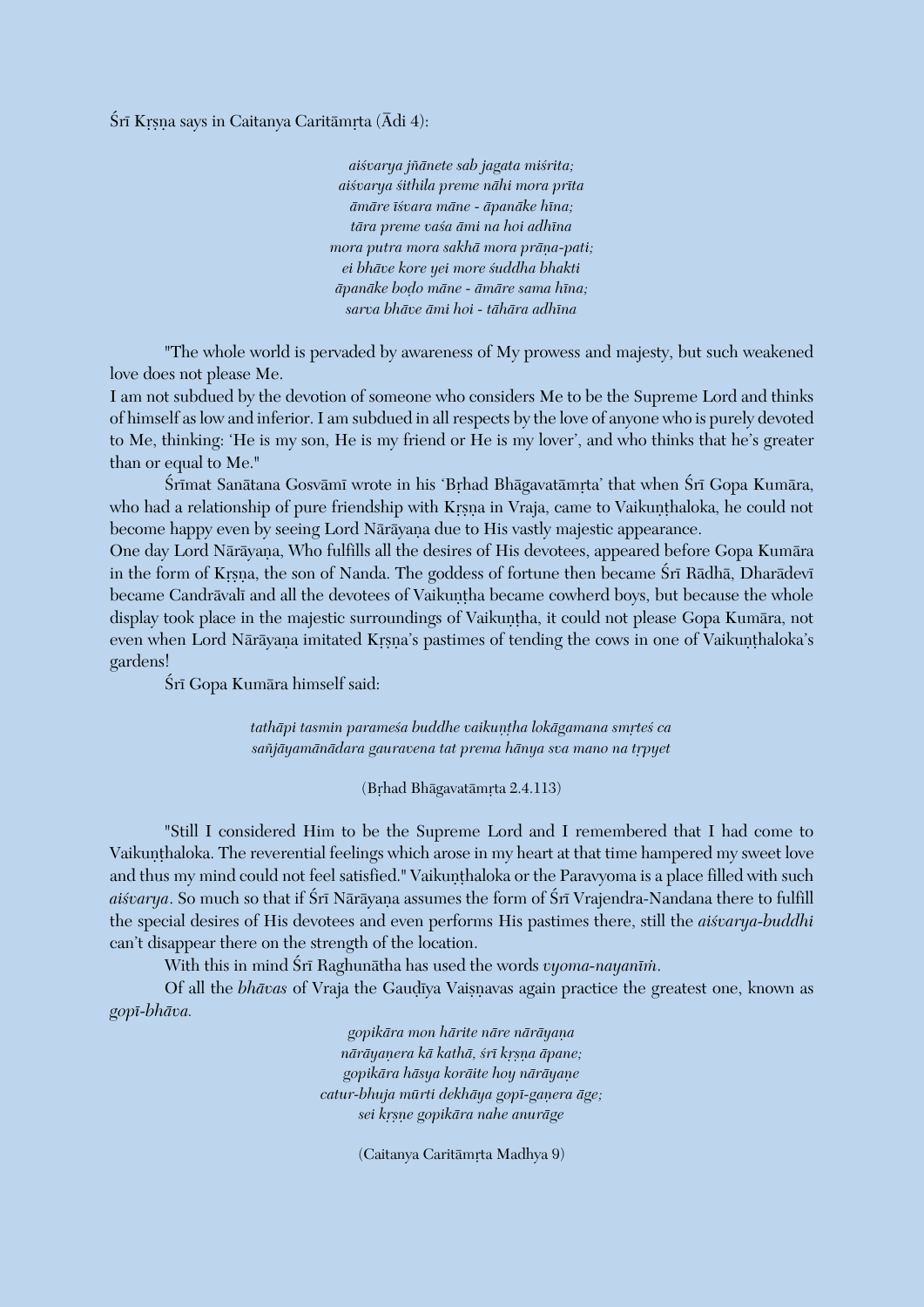Śrī Krsna says in Caitanya Caritāmrta (Ādi 4):

*aiçvarya jïänete sab jagata miçrita; aiçvarya çithila preme nähi mora préta ämäre éçvara mäne - äpanäke héna; tära preme vaça ämi na hoi adhéna mora putra mora sakhā mora prāna-pati; ei bhäve kore yei more çuddha bhakti äpanäke boòo mäne - ämäre sama héna; sarva bhäve ämi hoi - tähära adhéna*

"The whole world is pervaded by awareness of My prowess and majesty, but such weakened love does not please Me.

I am not subdued by the devotion of someone who considers Me to be the Supreme Lord and thinks of himself as low and inferior. I am subdued in all respects by the love of anyone who is purely devoted to Me, thinking: 'He is my son, He is my friend or He is my lover', and who thinks that he's greater than or equal to Me."

Śrīmat Sanātana Gosvāmī wrote in his 'Brhad Bhāgavatāmrta' that when Śrī Gopa Kumāra, who had a relationship of pure friendship with Krsna in Vraja, came to Vaikunthaloka, he could not become happy even by seeing Lord Nārāyana due to His vastly majestic appearance.

One day Lord Nārāyana, Who fulfills all the desires of His devotees, appeared before Gopa Kumāra in the form of Krsna, the son of Nanda. The goddess of fortune then became Śrī Rādhā, Dharādevī became Candrāvalī and all the devotees of Vaikuntha became cowherd boys, but because the whole display took place in the majestic surroundings of Vaikuntha, it could not please Gopa Kumāra, not even when Lord Nārāyana imitated Krsna's pastimes of tending the cows in one of Vaikunthaloka's gardens!

Śrī Gopa Kumāra himself said:

tathāpi tasmin parameśa buddhe vaikuntha lokāgamana smrteś ca sañjāyamānādara gauravena tat prema hānya sva mano na trpyet

(Brhad Bhāgavatāmrta 2.4.113)

"Still I considered Him to be the Supreme Lord and I remembered that I had come to Vaikunthaloka. The reverential feelings which arose in my heart at that time hampered my sweet love and thus my mind could not feel satisfied." Vaikunthaloka or the Paravyoma is a place filled with such aisvarya. So much so that if Srī Nārāyaṇa assumes the form of Srī Vrajendra-Nandana there to fulfill the special desires of His devotees and even performs His pastimes there, still the *aiçvarya-buddhi* can't disappear there on the strength of the location.

With this in mind Śrī Raghunātha has used the words *vyoma-nayanīm*.

Of all the *bhāvas* of Vraja the Gaudīya Vaisnavas again practice the greatest one, known as *gopé-bhäva.*

> *gopikāra mon hārite nāre nārāyana näräyaëera kä kathä, çré kåñëa äpane; gopikära häsya koräite hoy näräyaëe*  $catur-bhuja mūrti dekhāya gopī-gapera āge;$ *sei kåñëe gopikära nahe anuräge*

> > (Caitanya Caritāmrta Madhya 9)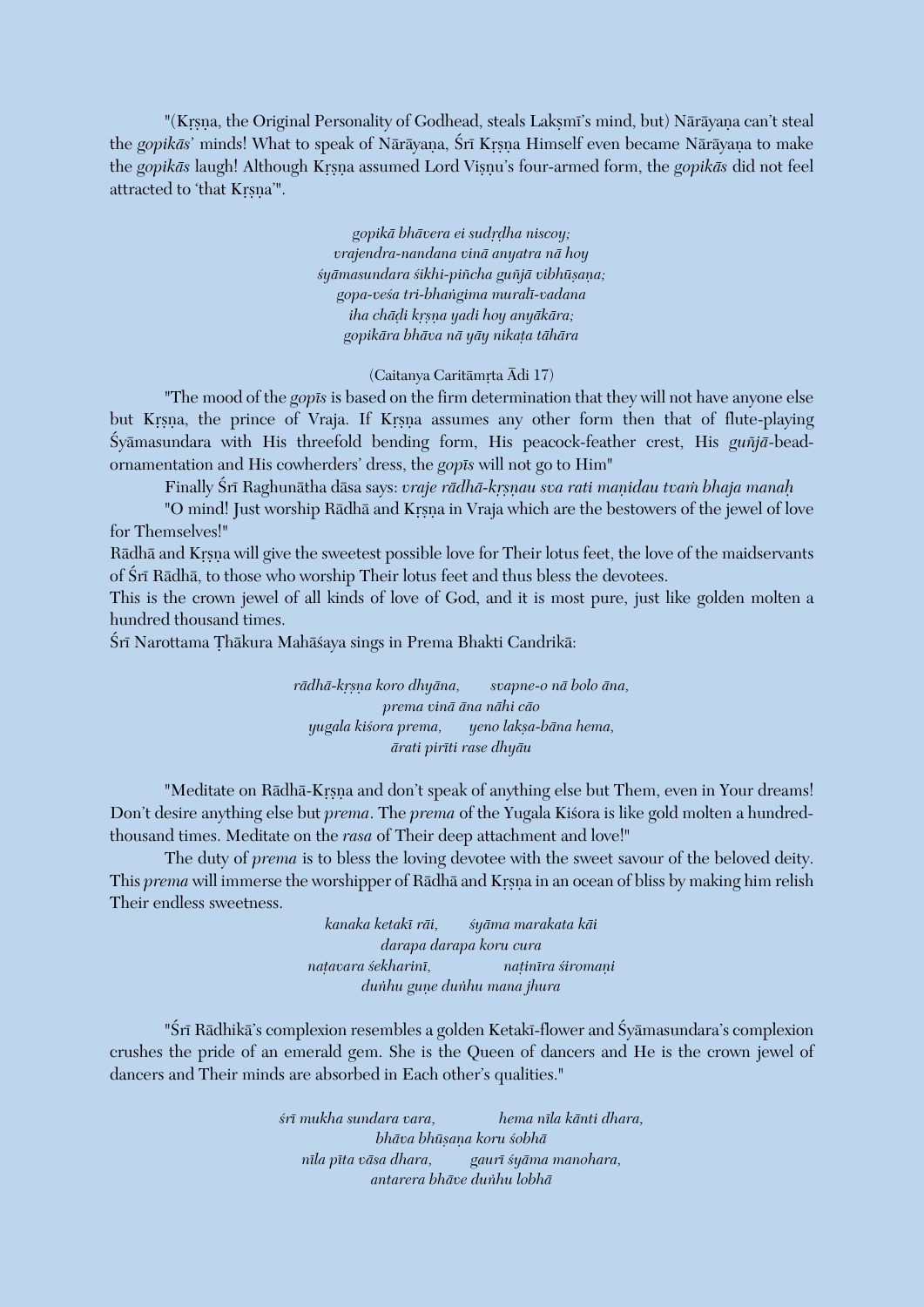"(Krsna, the Original Personality of Godhead, steals Laksmi's mind, but) Näräyana can't steal the gopikās' minds! What to speak of Nārāyaṇa, Śrī Kṛṣṇa Himself even became Nārāyaṇa to make the *gopikās* laugh! Although Krsna assumed Lord Visnu's four-armed form, the *gopikās* did not feel attracted to 'that Krsna'".

> gopikā bhāvera ei sudrdha niscoy; *vrajendra-nandana vinä anyatra nä hoy*  $sy\bar{a}$ masundara śikhi-piñcha guñjā vibhūṣana; *gopa-veça tri-bhaìgima muralé-vadana iha chäòi kåñëa yadi hoy anyäkära; gopikära bhäva nä yäy nikaöa tähära*

> > $(Ca$ itanya Caritāmrta  $\bar{A}$ di 17)

"The mood of the *gopés* is based on the firm determination that they will not have anyone else but Krsna, the prince of Vraja. If Krsna assumes any other form then that of flute-playing Çyämasundara with His threefold bending form, His peacock-feather crest, His *guïjä*-beadornamentation and His cowherders' dress, the *gopés* will not go to Him"

Finally Śrī Raghunātha dāsa says: *vraje rādhā-krsnau sva rati manidau tvam bhaja manah* 

"O mind! Just worship Rādhā and Krsna in Vraja which are the bestowers of the jewel of love for Themselves!"

Rādhā and Krsna will give the sweetest possible love for Their lotus feet, the love of the maidservants of Śrī Rādhā, to those who worship Their lotus feet and thus bless the devotees.

This is the crown jewel of all kinds of love of God, and it is most pure, just like golden molten a hundred thousand times.

Śrī Narottama Thākura Mahāśaya sings in Prema Bhakti Candrikā:

*rädhä-kåñëa koro dhyäna, svapne-o nä bolo äna, prema vinä äna nähi cäo yugala kiçora prema, yeno lakña-bäna hema, ärati piréti rase dhyäu*

"Meditate on Rādhā-Krsna and don't speak of anything else but Them, even in Your dreams! Don't desire anything else but *prema*. The *prema* of the Yugala Kisora is like gold molten a hundredthousand times. Meditate on the *rasa* of Their deep attachment and love!"

The duty of *prema* is to bless the loving devotee with the sweet savour of the beloved deity. This *prema* will immerse the worshipper of Rādhā and Krsna in an ocean of bliss by making him relish Their endless sweetness.

> *kanaka ketaké räi, çyäma marakata käi darapa darapa koru cura naöavara çekhariné, naöinéra çiromaëi duìhu guëe duìhu mana jhura*

"Śrī Rādhikā's complexion resembles a golden Ketakī-flower and Śyāmasundara's complexion crushes the pride of an emerald gem. She is the Queen of dancers and He is the crown jewel of dancers and Their minds are absorbed in Each other's qualities."

> *çré mukha sundara vara, hema néla känti dhara, bhäva bhüñaëa koru çobhä néla péta väsa dhara, gauré çyäma manohara, antarera bhäve duìhu lobhä*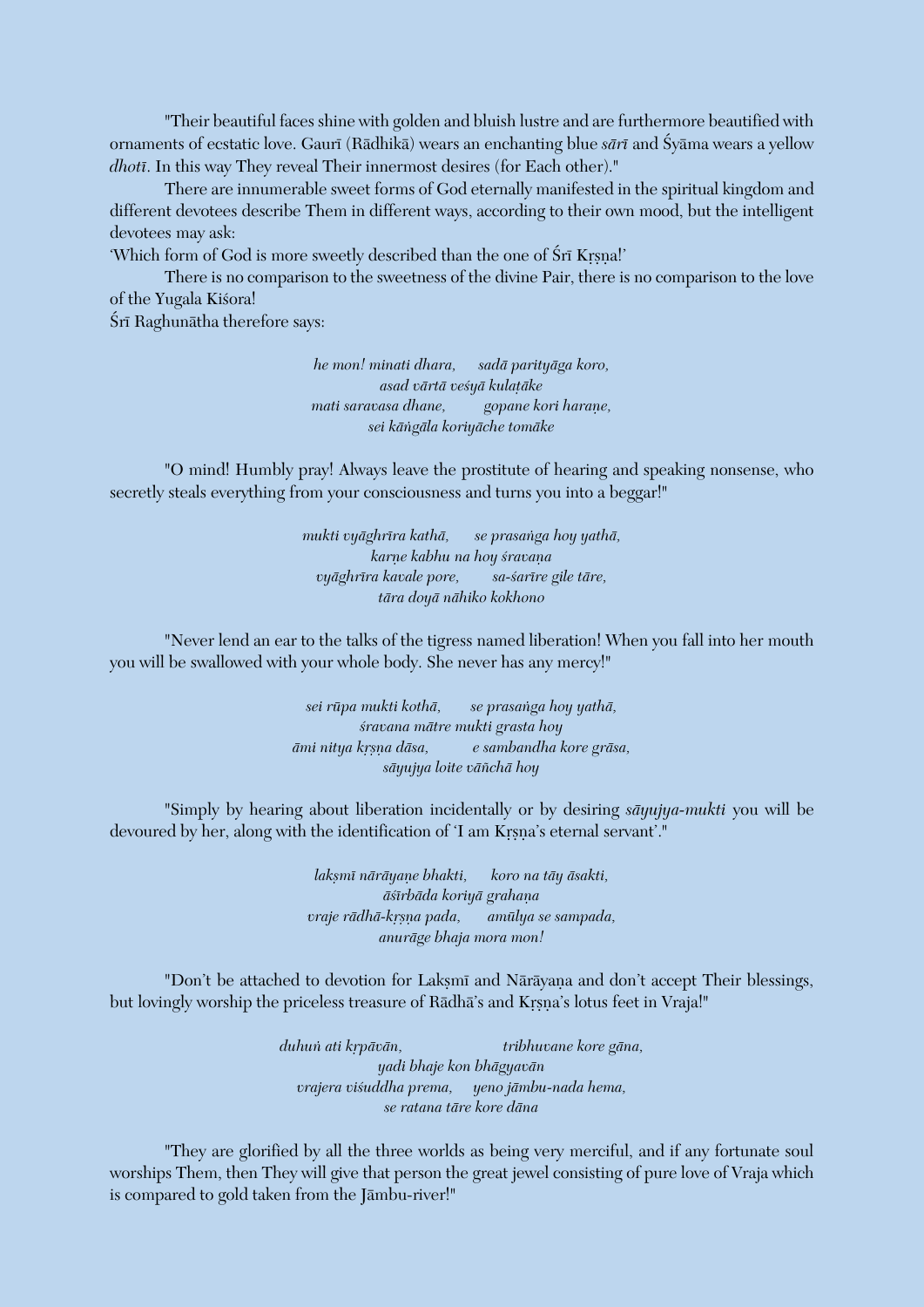"Their beautiful faces shine with golden and bluish lustre and are furthermore beautified with ornaments of ecstatic love. Gaurī (Rādhikā) wears an enchanting blue *sārī* and Śyāma wears a yellow *dhoti*. In this way They reveal Their innermost desires (for Each other)."

There are innumerable sweet forms of God eternally manifested in the spiritual kingdom and different devotees describe Them in different ways, according to their own mood, but the intelligent devotees may ask:

'Which form of God is more sweetly described than the one of Sri Krsna!'

There is no comparison to the sweetness of the divine Pair, there is no comparison to the love of the Yugala Kiśora!

Śrī Raghunātha therefore says:

*he mon! minati dhara, sadä parityäga koro, asad värtä veçyä kulaöäke mati saravasa dhane, gopane kori harane, sei käìgäla koriyäche tomäke*

"O mind! Humbly pray! Always leave the prostitute of hearing and speaking nonsense, who secretly steals everything from your consciousness and turns you into a beggar!"

> *mukti vyäghréra kathä, se prasaìga hoy yathä, karne kabhu na hoy śravana vyäghréra kavale pore, sa-çarére gile täre, tära doyä nähiko kokhono*

"Never lend an ear to the talks of the tigress named liberation! When you fall into her mouth you will be swallowed with your whole body. She never has any mercy!"

> *sei rüpa mukti kothä, se prasaìga hoy yathä, çravana mätre mukti grasta hoy ämi nitya kåñëa däsa, e sambandha kore gräsa, säyujya loite väïchä hoy*

"Simply by hearing about liberation incidentally or by desiring *säyujya-mukti* you will be devoured by her, along with the identification of 'I am Krsna's eternal servant'."

> *lakñmé näräyaëe bhakti, koro na täy äsakti, äçérbäda koriyä grahaëa vraje rädhä-kåñëa pada, amülya se sampada, anuräge bhaja mora mon!*

"Don't be attached to devotion for Laksmi and Näräyana and don't accept Their blessings, but lovingly worship the priceless treasure of Rādhā's and Krsna's lotus feet in Vraja!"

> *duhuì ati kåpävän, tribhuvane kore gäna, yadi bhaje kon bhägyavän vrajera viçuddha prema, yeno jämbu-nada hema, se ratana täre kore däna*

"They are glorified by all the three worlds as being very merciful, and if any fortunate soul worships Them, then They will give that person the great jewel consisting of pure love of Vraja which is compared to gold taken from the Jämbu-river!"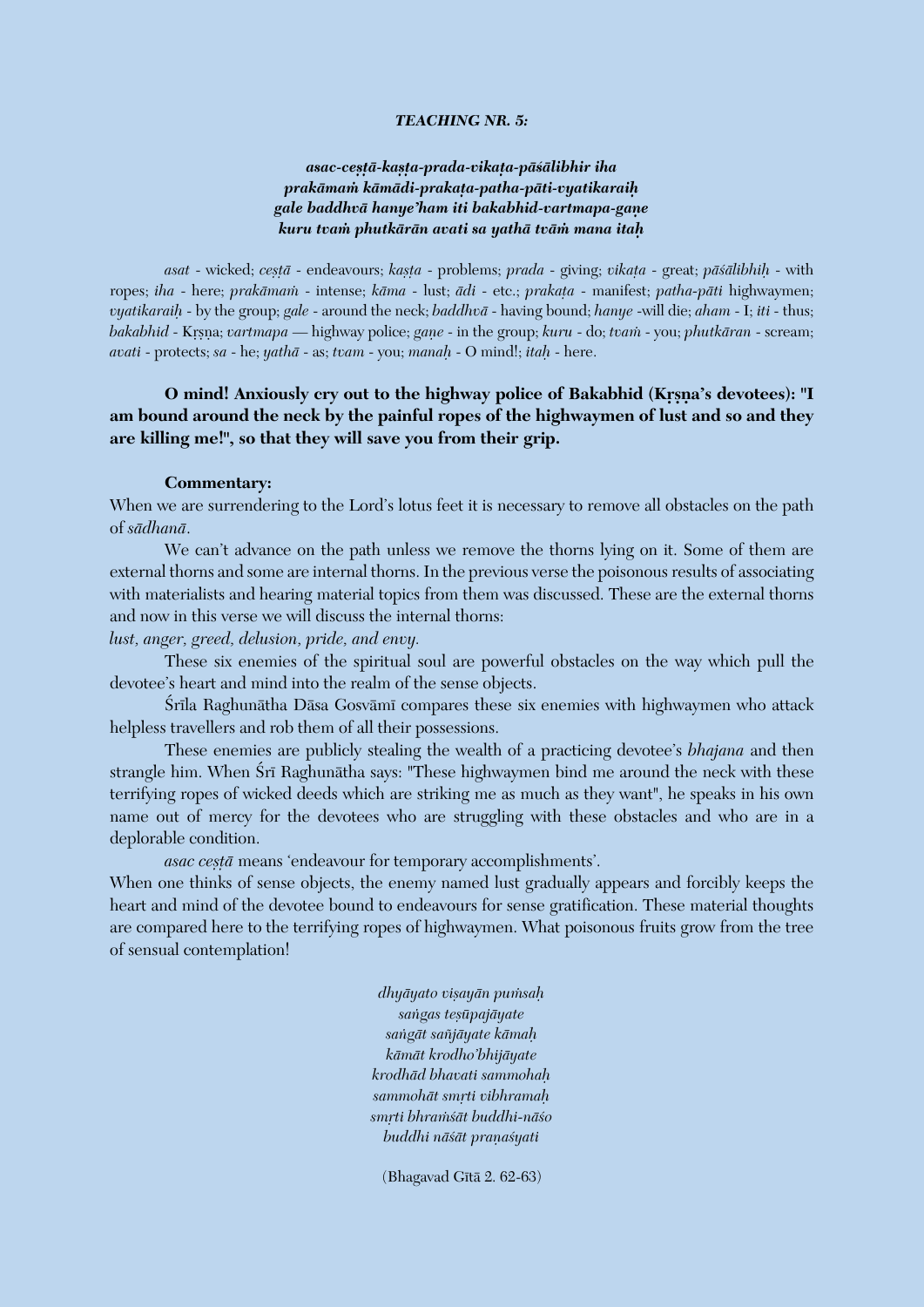#### *TEACHING NR. 5:*

## *asac-ceñöä-kañöa-prada-vikaöa-päçälibhir iha prakämaà kämädi-prakaöa-patha-päti-vyatikaraiù gale baddhvä hanye'ham iti bakabhid-vartmapa-gaëe kuru tvaà phutkärän avati sa yathä tväà mana itaù*

*asat* - wicked; *ceñöä* - endeavours; *kañöa* - problems; *prada* - giving; *vikaöa* - great; *päçälibhiù* - with ropes; *iha* - here; *prakāmam* - intense; *kāma* - lust; *ādi* - etc.; *prakata* - manifest; *patha-pāti* highwaymen; *vyatikaraiù* - by the group; *gale* - around the neck; *baddhvä* - having bound; *hanye* -will die; *aham* - I; *iti* - thus; *bakabhid* - Krsna; *vartmapa* — highway police; *gane* - in the group; *kuru* - do; *tvam* - you; *phutkāran* - scream; *avati* - protects; *sa* - he; *yathä* - as; *tvam* - you; *manaù* - O mind!; *itaù* - here.

## **O** mind! Anxiously cry out to the highway police of Bakabhid (Krsna's devotees): "I **am bound around the neck by the painful ropes of the highwaymen of lust and so and they are killing me!", so that they will save you from their grip.**

#### **Commentary:**

When we are surrendering to the Lord's lotus feet it is necessary to remove all obstacles on the path of *sädhanä*.

We can't advance on the path unless we remove the thorns lying on it. Some of them are external thorns and some are internal thorns. In the previous verse the poisonous results of associating with materialists and hearing material topics from them was discussed. These are the external thorns and now in this verse we will discuss the internal thorns:

*lust, anger, greed, delusion, pride, and envy.* 

These six enemies of the spiritual soul are powerful obstacles on the way which pull the devotee's heart and mind into the realm of the sense objects.

Śrīla Raghunātha Dāsa Gosvāmī compares these six enemies with highwaymen who attack helpless travellers and rob them of all their possessions.

These enemies are publicly stealing the wealth of a practicing devotee's *bhajana* and then strangle him. When Srī Raghunātha says: "These highwaymen bind me around the neck with these terrifying ropes of wicked deeds which are striking me as much as they want", he speaks in his own name out of mercy for the devotees who are struggling with these obstacles and who are in a deplorable condition.

asac ceșță means 'endeavour for temporary accomplishments'.

When one thinks of sense objects, the enemy named lust gradually appears and forcibly keeps the heart and mind of the devotee bound to endeavours for sense gratification. These material thoughts are compared here to the terrifying ropes of highwaymen. What poisonous fruits grow from the tree of sensual contemplation!

> *dhyäyato viñayän puàsaù saìgas teñüpajäyate saìgät saïjäyate kämaù kämät krodho'bhijäyate krodhäd bhavati sammohaù sammohät småti vibhramaù småti bhraàçät buddhi-näço buddhi nāśāt praņaśyati*

(Bhagavad Gītā 2. 62-63)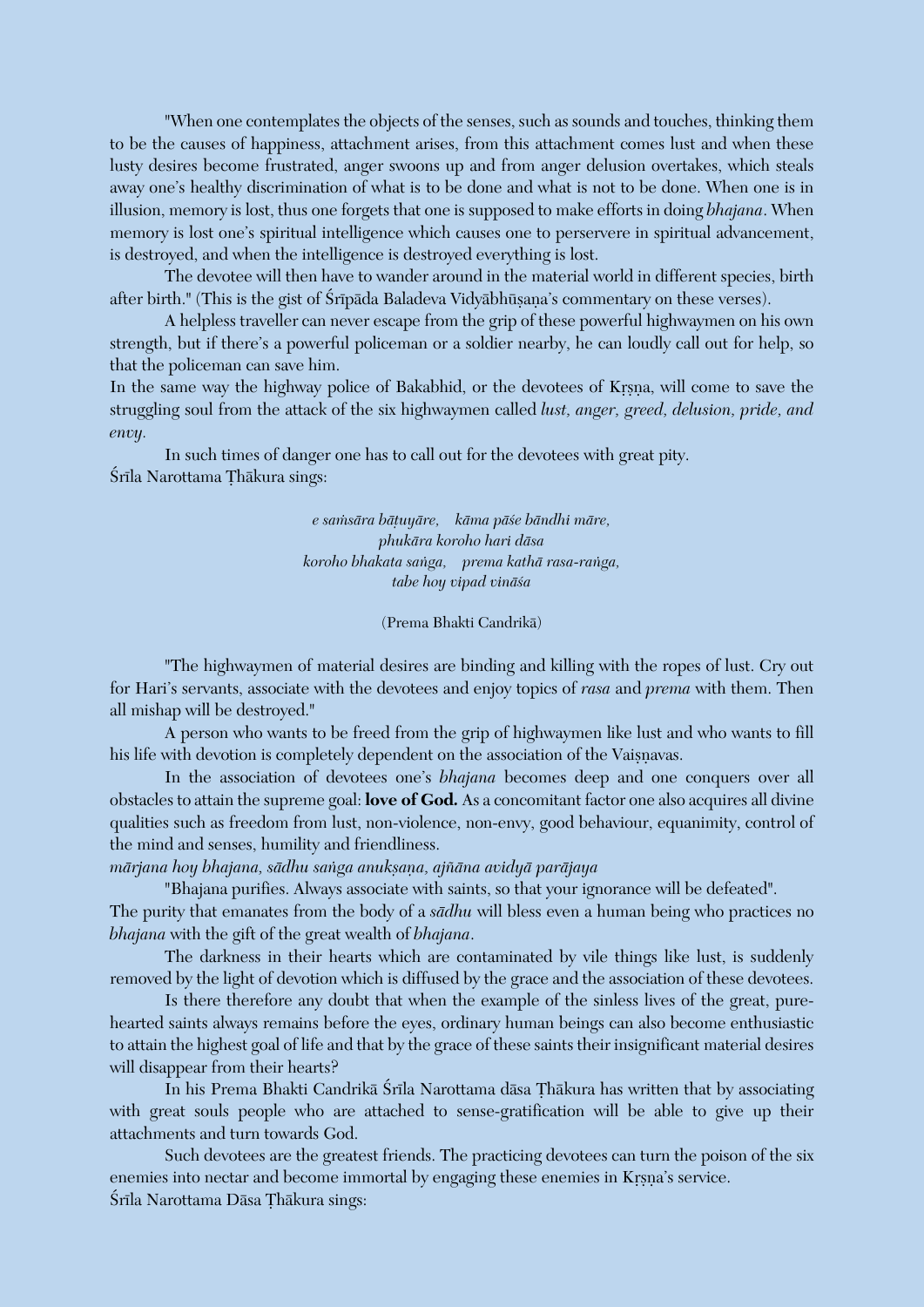"When one contemplates the objects of the senses, such as sounds and touches, thinking them to be the causes of happiness, attachment arises, from this attachment comes lust and when these lusty desires become frustrated, anger swoons up and from anger delusion overtakes, which steals away one's healthy discrimination of what is to be done and what is not to be done. When one is in illusion, memory is lost, thus one forgets that one is supposed to make efforts in doing *bhajana*. When memory is lost one's spiritual intelligence which causes one to perservere in spiritual advancement, is destroyed, and when the intelligence is destroyed everything is lost.

The devotee will then have to wander around in the material world in different species, birth after birth." (This is the gist of Śrīpāda Baladeva Vidyābhūsana's commentary on these verses).

A helpless traveller can never escape from the grip of these powerful highwaymen on his own strength, but if there's a powerful policeman or a soldier nearby, he can loudly call out for help, so that the policeman can save him.

In the same way the highway police of Bakabhid, or the devotees of Krsna, will come to save the struggling soul from the attack of the six highwaymen called *lust, anger, greed, delusion, pride, and envy.*

In such times of danger one has to call out for the devotees with great pity. Śrīla Narottama Thākura sings:

> *e saàsära bäöuyäre, käma päçe bändhi märe, phukära koroho hari däsa koroho bhakata saìga, prema kathä rasa-raìga, tabe hoy vipad vinäça*

#### (Prema Bhakti Candrikä)

"The highwaymen of material desires are binding and killing with the ropes of lust. Cry out for Hari's servants, associate with the devotees and enjoy topics of *rasa* and *prema* with them. Then all mishap will be destroyed."

A person who wants to be freed from the grip of highwaymen like lust and who wants to fill his life with devotion is completely dependent on the association of the Vaisnavas.

In the association of devotees one's *bhajana* becomes deep and one conquers over all obstacles to attain the supreme goal: **love of God***.* As a concomitant factor one also acquires all divine qualities such as freedom from lust, non-violence, non-envy, good behaviour, equanimity, control of the mind and senses, humility and friendliness.

*märjana hoy bhajana, sädhu saìga anukñaëa, ajïäna avidyä paräjaya*

"Bhajana purifies. Always associate with saints, so that your ignorance will be defeated".

The purity that emanates from the body of a *sädhu* will bless even a human being who practices no *bhajana* with the gift of the great wealth of *bhajana*.

The darkness in their hearts which are contaminated by vile things like lust, is suddenly removed by the light of devotion which is diffused by the grace and the association of these devotees.

Is there therefore any doubt that when the example of the sinless lives of the great, purehearted saints always remains before the eyes, ordinary human beings can also become enthusiastic to attain the highest goal of life and that by the grace of these saints their insignificant material desires will disappear from their hearts?

In his Prema Bhakti Candrikā Śrīla Narottama dāsa Thākura has written that by associating with great souls people who are attached to sense-gratification will be able to give up their attachments and turn towards God.

Such devotees are the greatest friends. The practicing devotees can turn the poison of the six enemies into nectar and become immortal by engaging these enemies in Krsna's service. Śrīla Narottama Dāsa Thākura sings: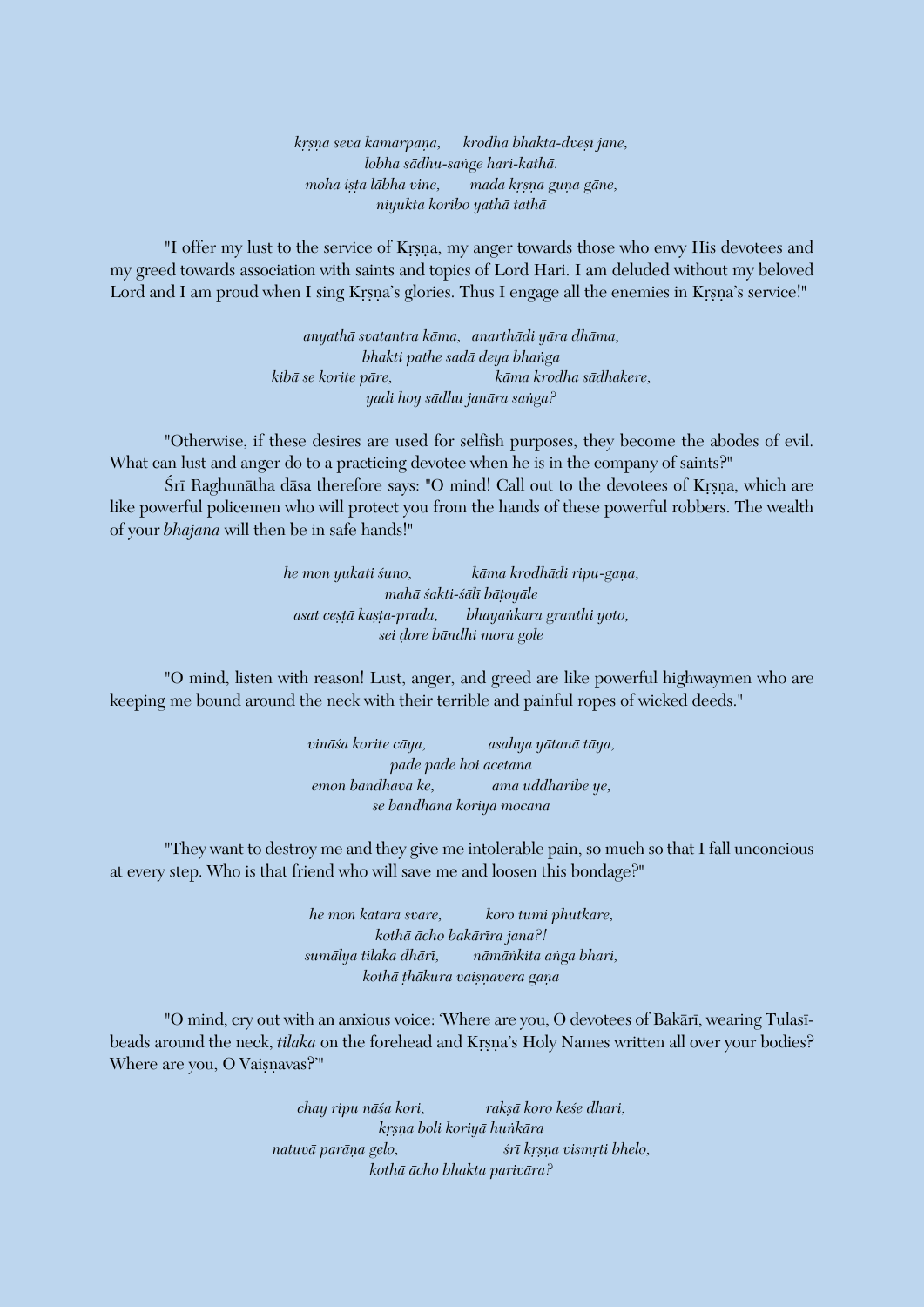*kåñëa sevä kämärpaëa, krodha bhakta-dveñé jane, lobha sädhu-saìge hari-kathä. moha ista lābha vine, mada krsna guna gāne, niyukta koribo yathä tathä*

"I offer my lust to the service of Krsna, my anger towards those who envy His devotees and my greed towards association with saints and topics of Lord Hari. I am deluded without my beloved Lord and I am proud when I sing Krsna's glories. Thus I engage all the enemies in Krsna's service!"

> *anyathä svatantra käma, anarthädi yära dhäma, bhakti pathe sadä deya bhaìga kibä se korite päre, käma krodha sädhakere, yadi hoy sädhu janära saìga?*

"Otherwise, if these desires are used for selfish purposes, they become the abodes of evil. What can lust and anger do to a practicing devotee when he is in the company of saints?"

Śrī Raghunātha dāsa therefore says: "O mind! Call out to the devotees of Krsna, which are like powerful policemen who will protect you from the hands of these powerful robbers. The wealth of your *bhajana* will then be in safe hands!"

> *he mon yukati suno,* käma krodhädi ripu-gana, *mahä çakti-çälé bäöoyäle asat ceñöä kañöa-prada, bhayaìkara granthi yoto, sei òore bändhi mora gole*

"O mind, listen with reason! Lust, anger, and greed are like powerful highwaymen who are keeping me bound around the neck with their terrible and painful ropes of wicked deeds."

> *vinäça korite cäya, asahya yätanä täya, pade pade hoi acetana emon bändhava ke, ämä uddhäribe ye, se bandhana koriyä mocana*

"They want to destroy me and they give me intolerable pain, so much so that I fall unconcious at every step. Who is that friend who will save me and loosen this bondage?"

> *he mon kätara svare, koro tumi phutkäre, kothä ächo bakäréra jana?! sumälya tilaka dhäré, nämäìkita aìga bhari,*  $k$ othā thākura vaisnavera gana

"O mind, cry out with an anxious voice: 'Where are you, O devotees of Bakari, wearing Tulasibeads around the neck, *tilaka* on the forehead and Krsna's Holy Names written all over your bodies? Where are you, O Vaisnavas?'"

> *chay ripu näça kori, rakñä koro keçe dhari, kåñëa boli koriyä huìkära natuvā parāna gelo, šrī krsna vismrti bhelo, kothä ächo bhakta parivära?*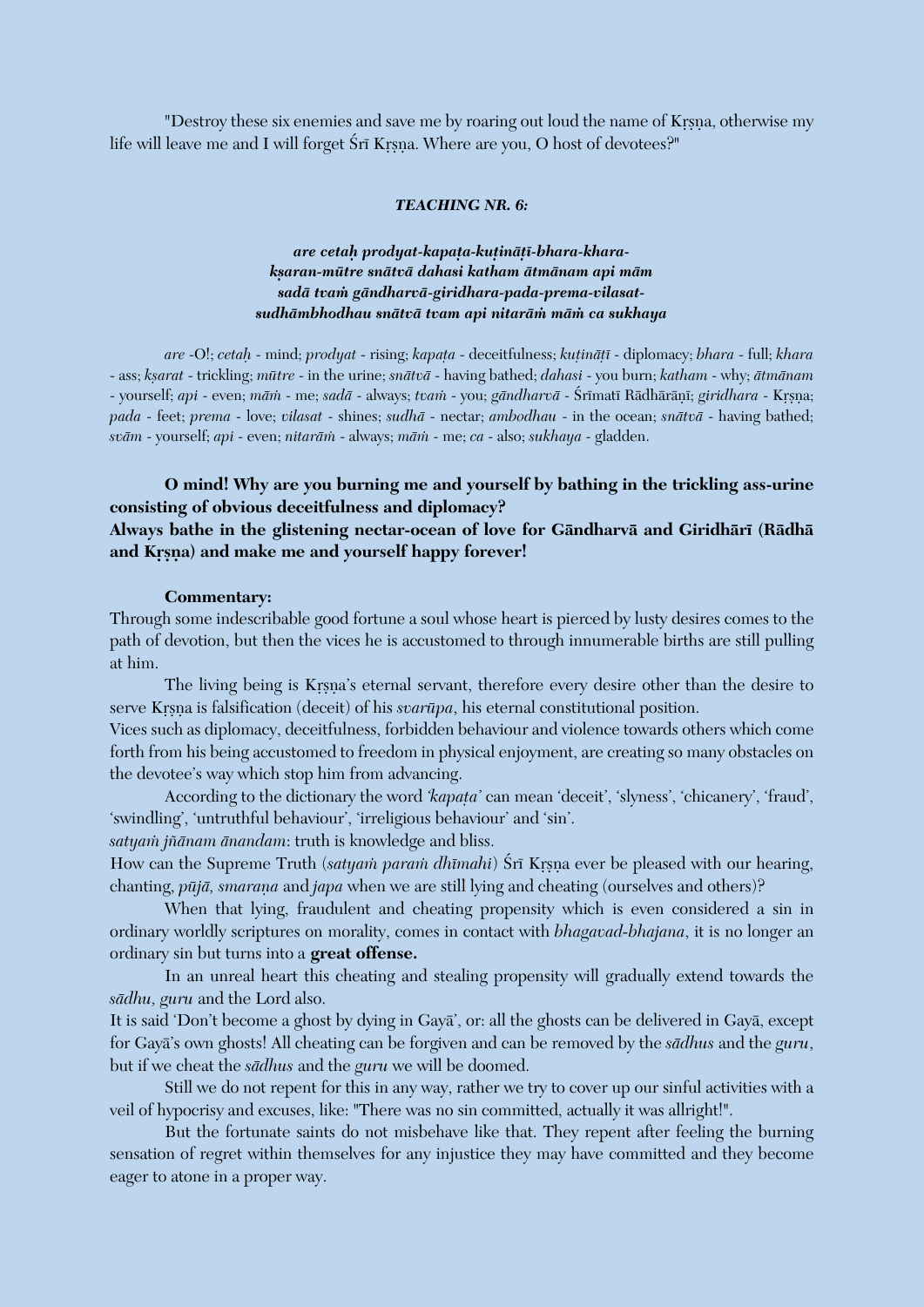"Destroy these six enemies and save me by roaring out loud the name of Krsna, otherwise my life will leave me and I will forget Śrī Krsna. Where are you, O host of devotees?"

#### *TEACHING NR. 6:*

## *are cetaù prodyat-kapaöa-kuöinäöé-bhara-kharakñaran-mütre snätvä dahasi katham ätmänam api mäm sadä tvaà gändharvä-giridhara-pada-prema-vilasatsudhämbhodhau snätvä tvam api nitaräà mäà ca sukhaya*

*are* -O!; *cetaù* - mind; *prodyat* - rising; *kapaöa* - deceitfulness; *kuöinäöé* - diplomacy; *bhara* - full; *khara* - ass; *kñarat* - trickling; *mütre* - in the urine; *snätvä* - having bathed; *dahasi* - you burn; *katham* - why; *ätmänam* - yourself; *api* - even; *mām* - me; *sadā* - always; *tvam* - you; *gāndharvā* - Śrīmatī Rādhārānī; *giridhara* - Kŗṣṇa; *pada* - feet; *prema* - love; *vilasat* - shines; *sudhä* - nectar; *ambodhau* - in the ocean; *snätvä* - having bathed; *sväm* - yourself; *api* - even; *nitaräà* - always; *mäà* - me; *ca* - also; *sukhaya* - gladden.

## **O mind! Why are you burning me and yourself by bathing in the trickling ass-urine consisting of obvious deceitfulness and diplomacy? Always bathe in the glistening nectar-ocean of love for Gändharvä and Giridhäré (Rädhä**

## and Krsna) and make me and yourself happy forever!

#### **Commentary:**

Through some indescribable good fortune a soul whose heart is pierced by lusty desires comes to the path of devotion, but then the vices he is accustomed to through innumerable births are still pulling at him.

The living being is Krsna's eternal servant, therefore every desire other than the desire to serve Krsna is falsification (deceit) of his *svarūpa*, his eternal constitutional position.

Vices such as diplomacy, deceitfulness, forbidden behaviour and violence towards others which come forth from his being accustomed to freedom in physical enjoyment, are creating so many obstacles on the devotee's way which stop him from advancing.

According to the dictionary the word *'kapata'* can mean 'deceit', 'slyness', 'chicanery', 'fraud', 'swindling', 'untruthful behaviour', 'irreligious behaviour' and 'sin'.

*satyaà jïänam änandam*: truth is knowledge and bliss.

How can the Supreme Truth (*satyam param dhīmahi*) Śrī Krsna ever be pleased with our hearing, chanting, *pūjā*, *smaraņa* and *japa* when we are still lying and cheating (ourselves and others)?

When that lying, fraudulent and cheating propensity which is even considered a sin in ordinary worldly scriptures on morality, comes in contact with *bhagavad-bhajana*, it is no longer an ordinary sin but turns into a **great offense.** 

In an unreal heart this cheating and stealing propensity will gradually extend towards the *sädhu, guru* and the Lord also.

It is said 'Don't become a ghost by dying in Gayä', or: all the ghosts can be delivered in Gayä, except for Gayä's own ghosts! All cheating can be forgiven and can be removed by the *sädhus* and the *guru*, but if we cheat the *sädhus* and the *guru* we will be doomed.

Still we do not repent for this in any way, rather we try to cover up our sinful activities with a veil of hypocrisy and excuses, like: "There was no sin committed, actually it was allright!".

But the fortunate saints do not misbehave like that. They repent after feeling the burning sensation of regret within themselves for any injustice they may have committed and they become eager to atone in a proper way.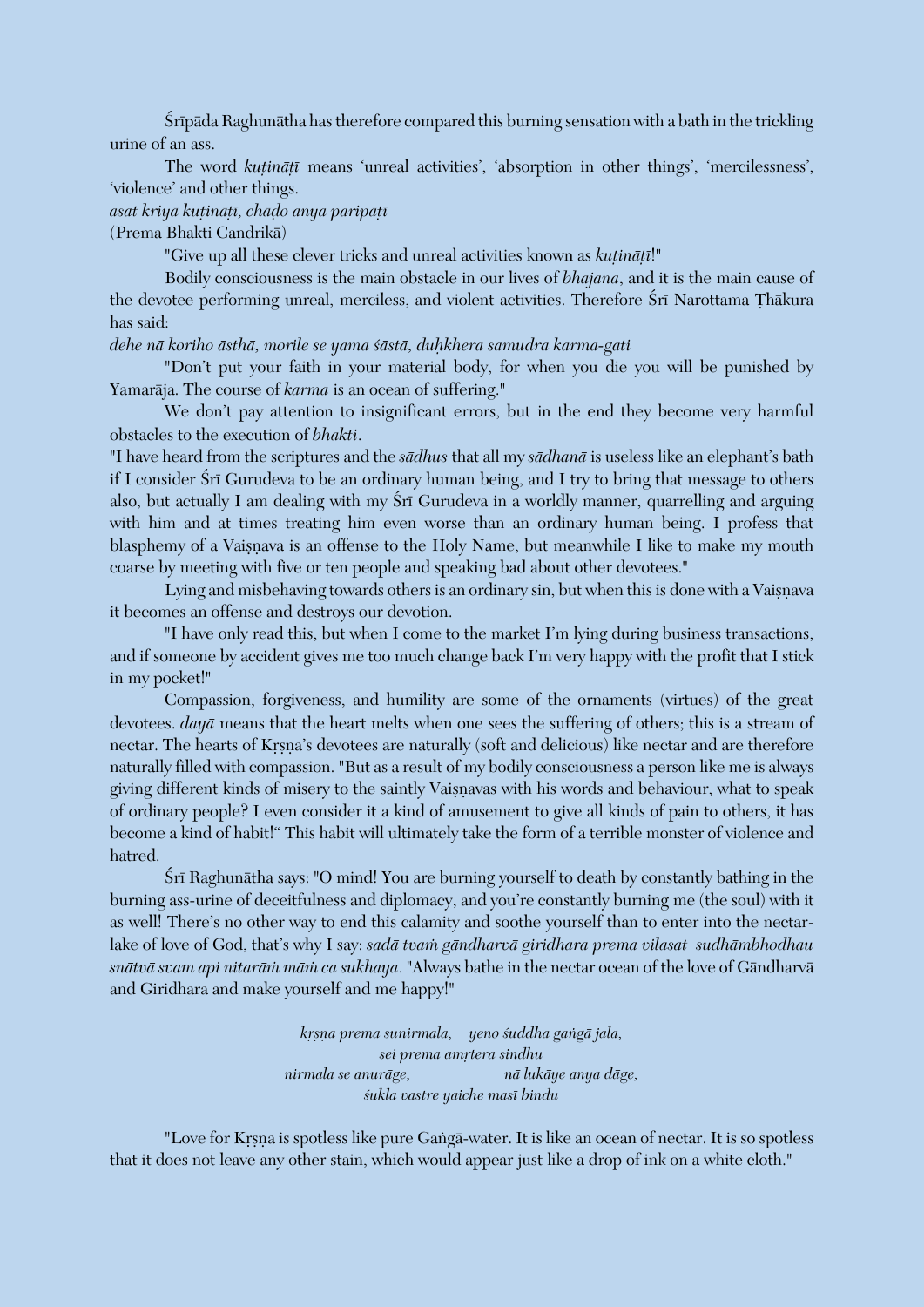Srīpāda Raghunātha has therefore compared this burning sensation with a bath in the trickling urine of an ass.

The word *kutinātī* means 'unreal activities', 'absorption in other things', 'mercilessness', 'violence' and other things.

## *asat kriyä kuöinäöé, chäòo anya paripäöé*

(Prema Bhakti Candrikä)

"Give up all these clever tricks and unreal activities known as *kutinātī*!"

Bodily consciousness is the main obstacle in our lives of *bhajana*, and it is the main cause of the devotee performing unreal, merciless, and violent activities. Therefore Śrī Narottama Thākura has said:

*dehe nä koriho ästhä, morile se yama çästä, duùkhera samudra karma-gati*

"Don't put your faith in your material body, for when you die you will be punished by Yamaräja. The course of *karma* is an ocean of suffering."

We don't pay attention to insignificant errors, but in the end they become very harmful obstacles to the execution of *bhakti*.

"I have heard from the scriptures and the *sädhus* that all my *sädhanä* is useless like an elephant's bath if I consider Śrī Gurudeva to be an ordinary human being, and I try to bring that message to others also, but actually I am dealing with my Śrī Gurudeva in a worldly manner, quarrelling and arguing with him and at times treating him even worse than an ordinary human being. I profess that blasphemy of a Vaisnava is an offense to the Holy Name, but meanwhile I like to make my mouth coarse by meeting with five or ten people and speaking bad about other devotees."

Lying and misbehaving towards others is an ordinary sin, but when this is done with a Vaisnava it becomes an offense and destroys our devotion.

"I have only read this, but when I come to the market I'm lying during business transactions, and if someone by accident gives me too much change back I'm very happy with the profit that I stick in my pocket!"

Compassion, forgiveness, and humility are some of the ornaments (virtues) of the great devotees. *dayä* means that the heart melts when one sees the suffering of others; this is a stream of nectar. The hearts of Krsna's devotees are naturally (soft and delicious) like nectar and are therefore naturally filled with compassion. "But as a result of my bodily consciousness a person like me is always giving different kinds of misery to the saintly Vaisnavas with his words and behaviour, what to speak of ordinary people? I even consider it a kind of amusement to give all kinds of pain to others, it has become a kind of habit!" This habit will ultimately take the form of a terrible monster of violence and hatred.

Srī Raghunātha says: "O mind! You are burning yourself to death by constantly bathing in the burning ass-urine of deceitfulness and diplomacy, and you're constantly burning me (the soul) with it as well! There's no other way to end this calamity and soothe yourself than to enter into the nectarlake of love of God, that's why I say: *sadā tvam gāndharvā giridhara prema vilasat sudhāmbhodhau snätvä svam api nitaräà mäà ca sukhaya*. "Always bathe in the nectar ocean of the love of Gändharvä and Giridhara and make yourself and me happy!"

> *kåñëa prema sunirmala, yeno çuddha gaìgä jala, sei prema amåtera sindhu nirmala se anuräge, nä lukäye anya däge, çukla vastre yaiche masé bindu*

"Love for Krsna is spotless like pure Gangā-water. It is like an ocean of nectar. It is so spotless that it does not leave any other stain, which would appear just like a drop of ink on a white cloth."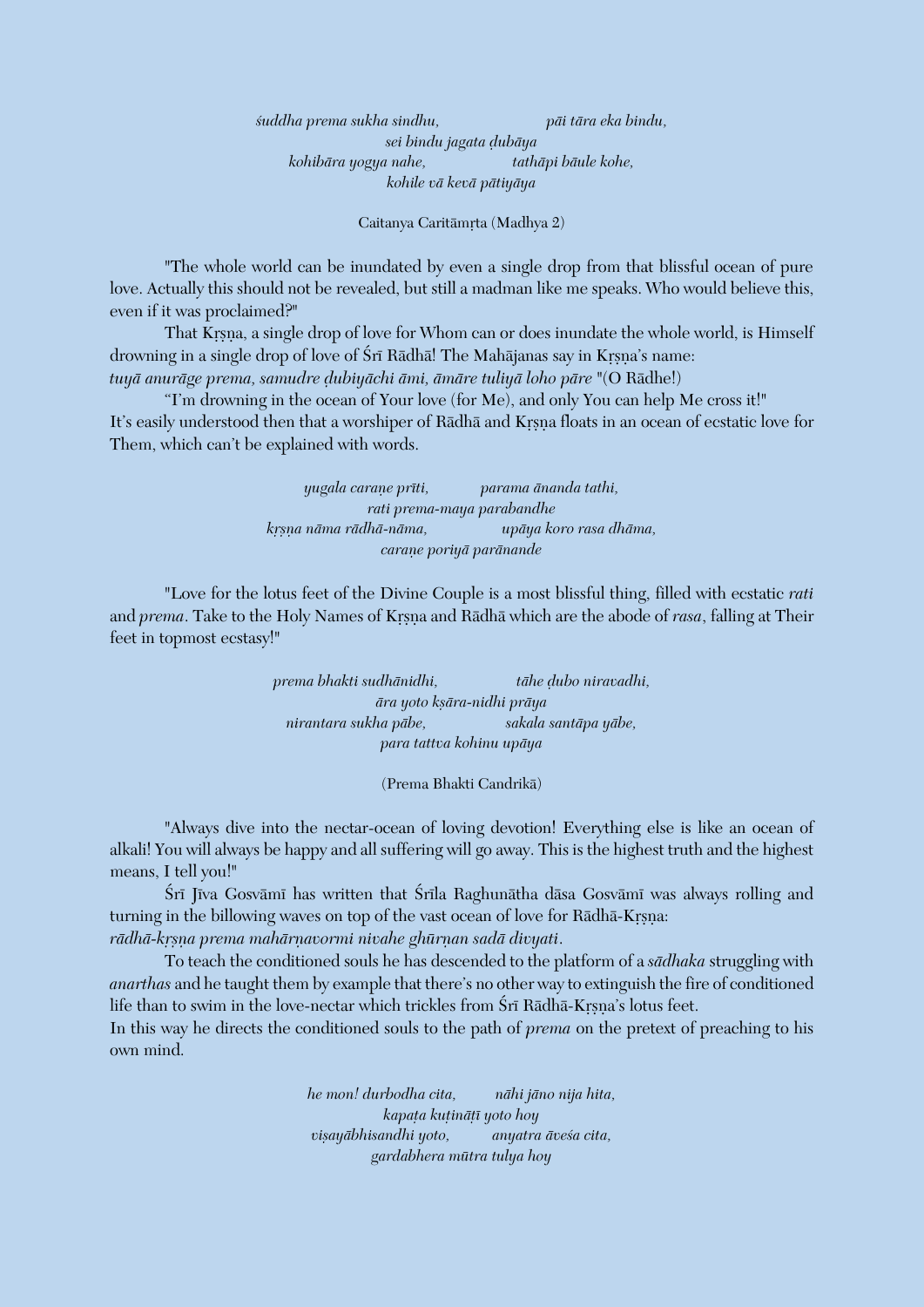*çuddha prema sukha sindhu, päi tära eka bindu, sei bindu jagata òubäya kohibära yogya nahe, tathäpi bäule kohe, kohile vä kevä pätiyäya*

Caitanya Caritāmrta (Madhya 2)

"The whole world can be inundated by even a single drop from that blissful ocean of pure love. Actually this should not be revealed, but still a madman like me speaks. Who would believe this, even if it was proclaimed?"

That Krsna, a single drop of love for Whom can or does inundate the whole world, is Himself drowning in a single drop of love of Śrī Rādhā! The Mahājanas say in Krsna's name: *tuyä anuräge prema, samudre òubiyächi ämi, ämäre tuliyä loho päre* "(O Rädhe!)

"I'm drowning in the ocean of Your love (for Me), and only You can help Me cross it!" It's easily understood then that a worshiper of Rādhā and Krsna floats in an ocean of ecstatic love for Them, which can't be explained with words.

> *yugala caraëe préti, parama änanda tathi, rati prema-maya parabandhe kåñëa näma rädhä-näma, upäya koro rasa dhäma, caraëe poriyä paränande*

"Love for the lotus feet of the Divine Couple is a most blissful thing, filled with ecstatic *rati* and *prema*. Take to the Holy Names of Krsna and Rādhā which are the abode of *rasa*, falling at Their feet in topmost ecstasy!"

> *prema bhakti sudhänidhi, tähe òubo niravadhi,*  $\bar{a}$ ra yoto kṣāra-nidhi prāya *nirantara sukha päbe, sakala santäpa yäbe, para tattva kohinu upäya*

> > (Prema Bhakti Candrikä)

"Always dive into the nectar-ocean of loving devotion! Everything else is like an ocean of alkali! You will always be happy and all suffering will go away. This is the highest truth and the highest means, I tell you!"

Śrī Jīva Gosvāmī has written that Śrīla Raghunātha dāsa Gosvāmī was always rolling and turning in the billowing waves on top of the vast ocean of love for Rādhā-Krsna: rādhā-krsņa prema mahārņavormi nivahe ghūrņan sadā divyati.

To teach the conditioned souls he has descended to the platform of a *sädhaka* struggling with *anarthas* and he taught them by example that there's no other way to extinguish the fire of conditioned life than to swim in the love-nectar which trickles from Śrī Rādhā-Krsna's lotus feet.

In this way he directs the conditioned souls to the path of *prema* on the pretext of preaching to his own mind.

> *he mon! durbodha cita, nähi jäno nija hita, kapaöa kuöinäöé yoto hoy viñayäbhisandhi yoto, anyatra äveça cita, gardabhera mütra tulya hoy*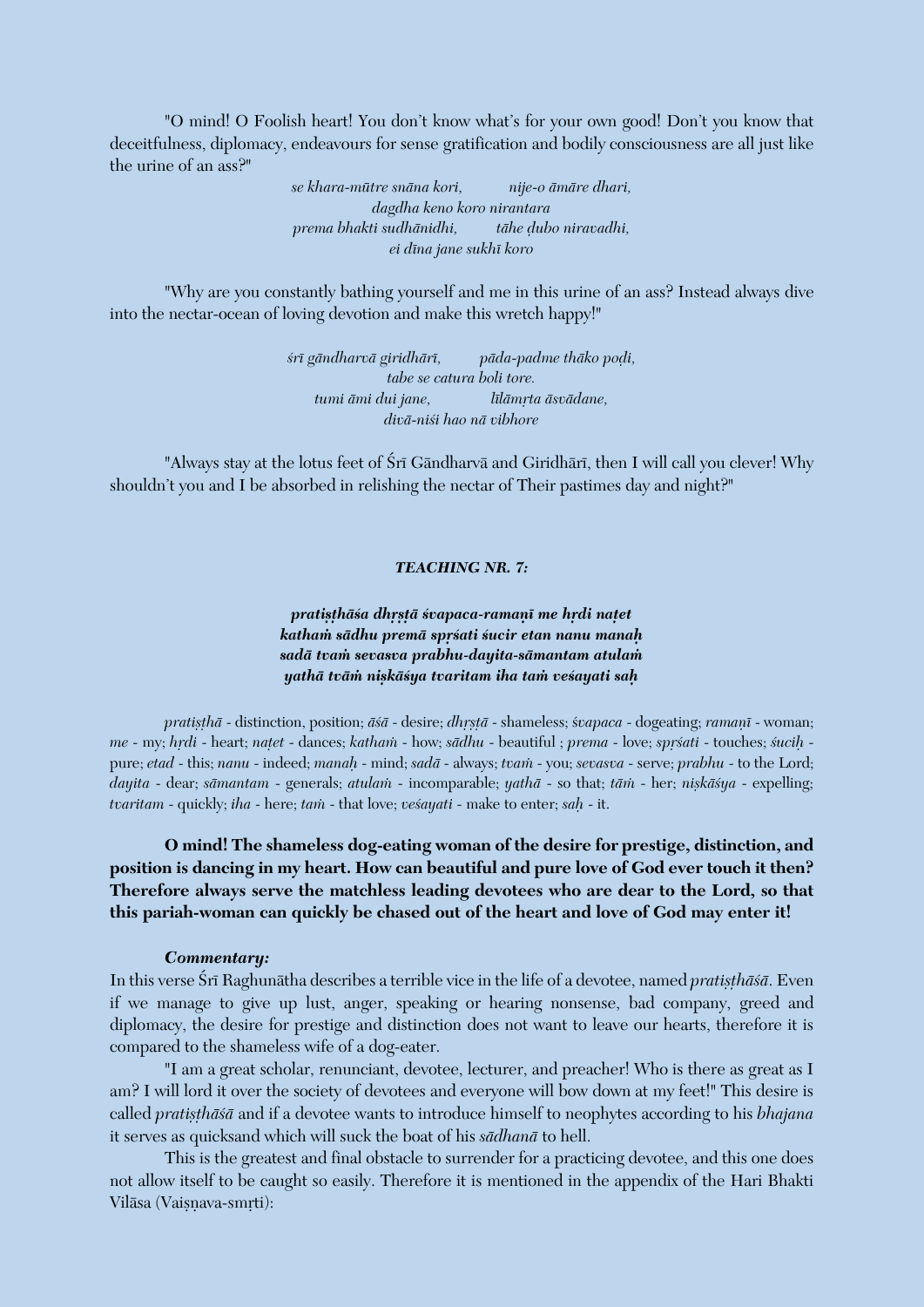"O mind! O Foolish heart! You don't know what's for your own good! Don't you know that deceitfulness, diplomacy, endeavours for sense gratification and bodily consciousness are all just like the urine of an ass?"

> *se khara-mütre snäna kori, nije-o ämäre dhari, dagdha keno koro nirantara prema bhakti sudhänidhi, tähe òubo niravadhi, ei déna jane sukhé koro*

"Why are you constantly bathing yourself and me in this urine of an ass? Instead always dive into the nectar-ocean of loving devotion and make this wretch happy!"

> *çré gändharvä giridhäré, päda-padme thäko poòi, tabe se catura boli tore. tumi ämi dui jane, lélämåta äsvädane, divä-niçi hao nä vibhore*

"Always stay at the lotus feet of Śrī Gāndharvā and Giridhārī, then I will call you clever! Why shouldn't you and I be absorbed in relishing the nectar of Their pastimes day and night?"

#### *TEACHING NR. 7:*

## pratisthāśa dhrstā śvapaca-ramanī me hrdi natet *kathaà sädhu premä spåçati çucir etan nanu manaù sadä tvaà sevasva prabhu-dayita-sämantam atulaà yathä tväà niñkäçya tvaritam iha taà veçayati saù*

*pratișthā* - distinction, position; *āśā* - desire; *dhṛṣṭā* - shameless; *śvapaca* - dogeating; *ramaṇī* - woman; *me* - my; *hrdi* - heart; *natet* - dances; *katham* - how; *sādhu* - beautiful ; *prema* - love; *sprśati* - touches; *śucih* pure; *etad* - this; *nanu* - indeed; *manaù* - mind; *sadä* - always; *tvaà* - you; *sevasva* - serve; *prabhu* - to the Lord; *dayita* - dear; *sāmantam* - generals; *atulam* - incomparable; *yathā* - so that; *tām* - her; *niskāśya* - expelling; *tvaritam* - quickly; *iha* - here; *tam* - that love; *vesayati* - make to enter; *sah* - it.

**O mind! The shameless dog-eating woman of the desire for prestige, distinction, and position is dancing in my heart. How can beautiful and pure love of God ever touch it then? Therefore always serve the matchless leading devotees who are dear to the Lord, so that this pariah-woman can quickly be chased out of the heart and love of God may enter it!**

#### *Commentary:*

In this verse Śrī Raghunātha describes a terrible vice in the life of a devotee, named *pratisthāśā*. Even if we manage to give up lust, anger, speaking or hearing nonsense, bad company, greed and diplomacy, the desire for prestige and distinction does not want to leave our hearts, therefore it is compared to the shameless wife of a dog-eater.

"I am a great scholar, renunciant, devotee, lecturer, and preacher! Who is there as great as I am? I will lord it over the society of devotees and everyone will bow down at my feet!" This desire is called *pratisthāśā* and if a devotee wants to introduce himself to neophytes according to his *bhajana* it serves as quicksand which will suck the boat of his *sädhanä* to hell.

This is the greatest and final obstacle to surrender for a practicing devotee, and this one does not allow itself to be caught so easily. Therefore it is mentioned in the appendix of the Hari Bhakti Vilāsa (Vaisnava-smrti):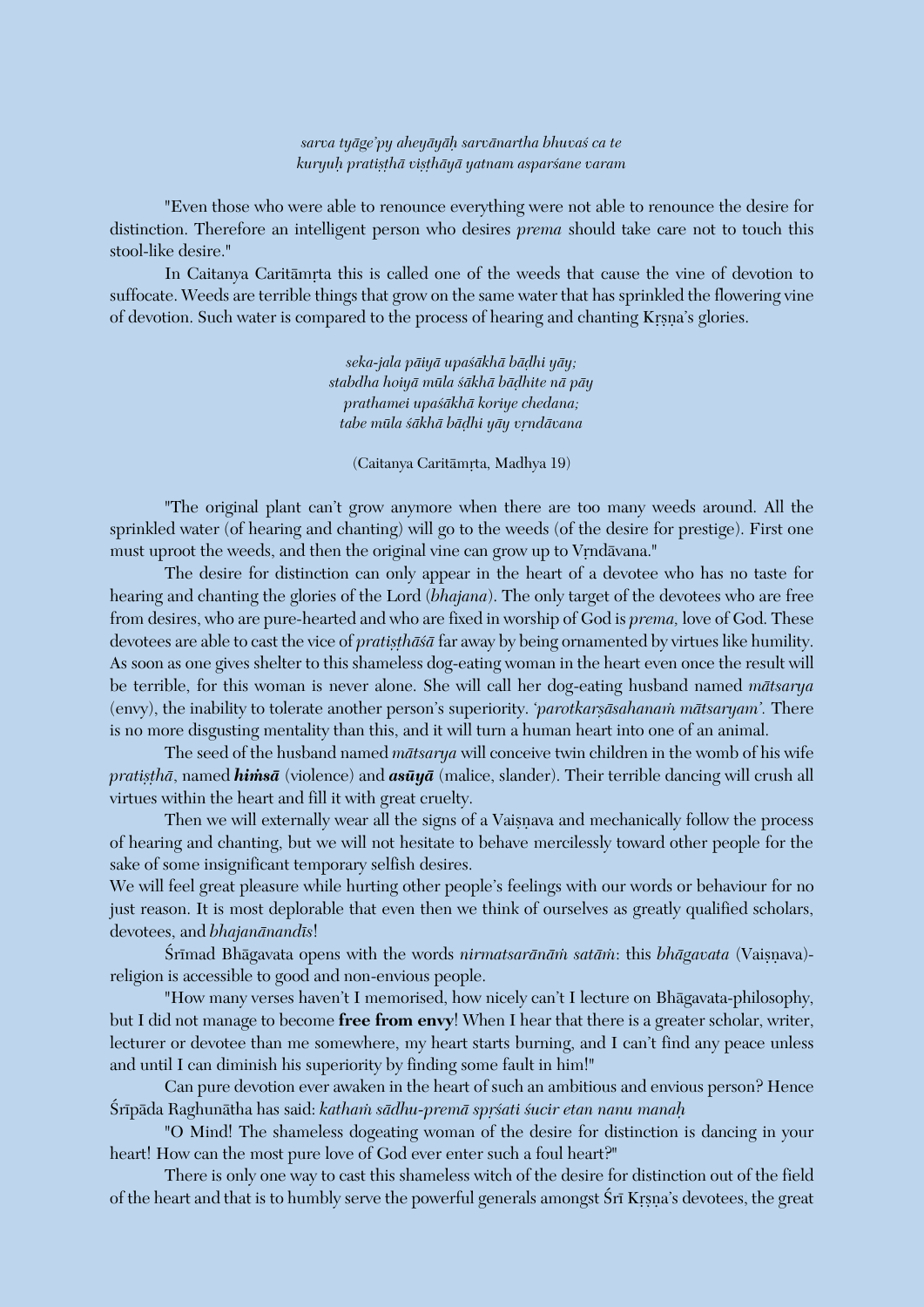*sarva tyäge'py aheyäyäù sarvänartha bhuvaç ca te kuryuù pratiñöhä viñöhäyä yatnam asparçane varam*

"Even those who were able to renounce everything were not able to renounce the desire for distinction. Therefore an intelligent person who desires *prema* should take care not to touch this stool-like desire."

In Caitanya Caritāmrta this is called one of the weeds that cause the vine of devotion to suffocate. Weeds are terrible things that grow on the same water that has sprinkled the flowering vine of devotion. Such water is compared to the process of hearing and chanting Krsna's glories.

> *seka-jala päiyä upaçäkhä bäòhi yäy; stabdha hoiyä müla çäkhä bäòhite nä päy prathamei upaçäkhä koriye chedana; tabe müla çäkhä bäòhi yäy våndävana*

(Caitanya Caritāmrta, Madhya 19)

"The original plant can't grow anymore when there are too many weeds around. All the sprinkled water (of hearing and chanting) will go to the weeds (of the desire for prestige). First one must uproot the weeds, and then the original vine can grow up to Vrndāvana."

The desire for distinction can only appear in the heart of a devotee who has no taste for hearing and chanting the glories of the Lord (*bhajana*). The only target of the devotees who are free from desires, who are pure-hearted and who are fixed in worship of God is *prema,* love of God. These devotees are able to cast the vice of *pratisthasa* far away by being ornamented by virtues like humility. As soon as one gives shelter to this shameless dog-eating woman in the heart even once the result will be terrible, for this woman is never alone. She will call her dog-eating husband named *mätsarya* (envy), the inability to tolerate another person's superiority. '*parotkarsāsahanam mātsaryam*'. There is no more disgusting mentality than this, and it will turn a human heart into one of an animal.

The seed of the husband named *mätsarya* will conceive twin children in the womb of his wife *pratișthā*, named *himsā* (violence) and *asūyā* (malice, slander). Their terrible dancing will crush all virtues within the heart and fill it with great cruelty.

Then we will externally wear all the signs of a Vaisnava and mechanically follow the process of hearing and chanting, but we will not hesitate to behave mercilessly toward other people for the sake of some insignificant temporary selfish desires.

We will feel great pleasure while hurting other people's feelings with our words or behaviour for no just reason. It is most deplorable that even then we think of ourselves as greatly qualified scholars, devotees, and *bhajanānandīs*!

Śrīmad Bhāgavata opens with the words *nirmatsarānām satām*: this *bhāgavata* (Vaisnava)religion is accessible to good and non-envious people.

"How many verses haven't I memorised, how nicely can't I lecture on Bhägavata-philosophy, but I did not manage to become **free from envy**! When I hear that there is a greater scholar, writer, lecturer or devotee than me somewhere, my heart starts burning, and I can't find any peace unless and until I can diminish his superiority by finding some fault in him!"

Can pure devotion ever awaken in the heart of such an ambitious and envious person? Hence Śrīpāda Raghunātha has said: *katham sādhu-premā sprśati śucir etan nanu manah* 

"O Mind! The shameless dogeating woman of the desire for distinction is dancing in your heart! How can the most pure love of God ever enter such a foul heart?"

There is only one way to cast this shameless witch of the desire for distinction out of the field of the heart and that is to humbly serve the powerful generals amongst Sri Krsna's devotees, the great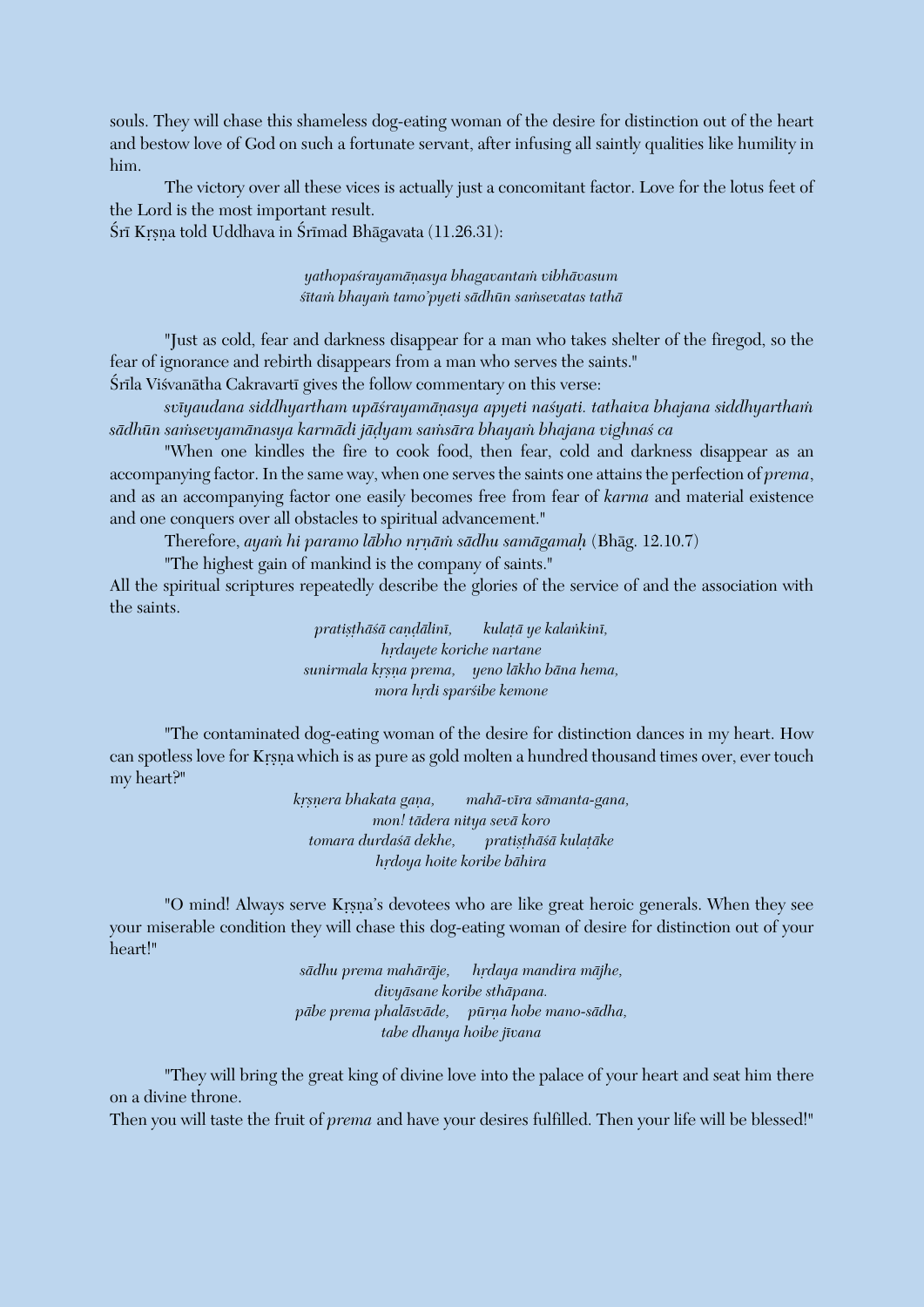souls. They will chase this shameless dog-eating woman of the desire for distinction out of the heart and bestow love of God on such a fortunate servant, after infusing all saintly qualities like humility in him.

The victory over all these vices is actually just a concomitant factor. Love for the lotus feet of the Lord is the most important result.

Śrī Krsna told Uddhava in Śrīmad Bhāgavata (11.26.31):

*yathopaçrayamäëasya bhagavantaà vibhävasum*  $s$ ītam bhayam tamo'pyeti sādhūn samsevatas tathā

"Just as cold, fear and darkness disappear for a man who takes shelter of the firegod, so the fear of ignorance and rebirth disappears from a man who serves the saints."

Śrīla Viśvanātha Cakravartī gives the follow commentary on this verse:

*svéyaudana siddhyartham upäçrayamäëasya apyeti naçyati. tathaiva bhajana siddhyarthaà sädhün saàsevyamänasya karmädi jäòyam saàsära bhayaà bhajana vighnaç ca*

"When one kindles the fire to cook food, then fear, cold and darkness disappear as an accompanying factor. In the same way, when one serves the saints one attains the perfection of *prema*, and as an accompanying factor one easily becomes free from fear of *karma* and material existence and one conquers over all obstacles to spiritual advancement."

Therefore, *ayaà hi paramo läbho nåëäà sädhu samägamaù* (Bhäg. 12.10.7)

"The highest gain of mankind is the company of saints."

All the spiritual scriptures repeatedly describe the glories of the service of and the association with the saints.

> pratisthāśā caṇḍālinī, kulatā ye kalaṅkinī, *hrdayete koriche nartane sunirmala kåñëa prema, yeno läkho bäna hema, mora hrdi sparśibe kemone*

"The contaminated dog-eating woman of the desire for distinction dances in my heart. How can spotless love for Krsna which is as pure as gold molten a hundred thousand times over, ever touch my heart?"

> *kåñëera bhakata gaëa, mahä-véra sämanta-gana, mon! tädera nitya sevä koro*  $t$ omara durdaśā dekhe, pratisthāśā kulatāke *hådoya hoite koribe bähira*

"O mind! Always serve Krsna's devotees who are like great heroic generals. When they see your miserable condition they will chase this dog-eating woman of desire for distinction out of your heart!"

> sādhu prema mahārāje, hrdaya mandira mājhe, *divyäsane koribe sthäpana. päbe prema phaläsväde, pürëa hobe mano-sädha, tabe dhanya hoibe jévana*

"They will bring the great king of divine love into the palace of your heart and seat him there on a divine throne.

Then you will taste the fruit of *prema* and have your desires fulfilled. Then your life will be blessed!"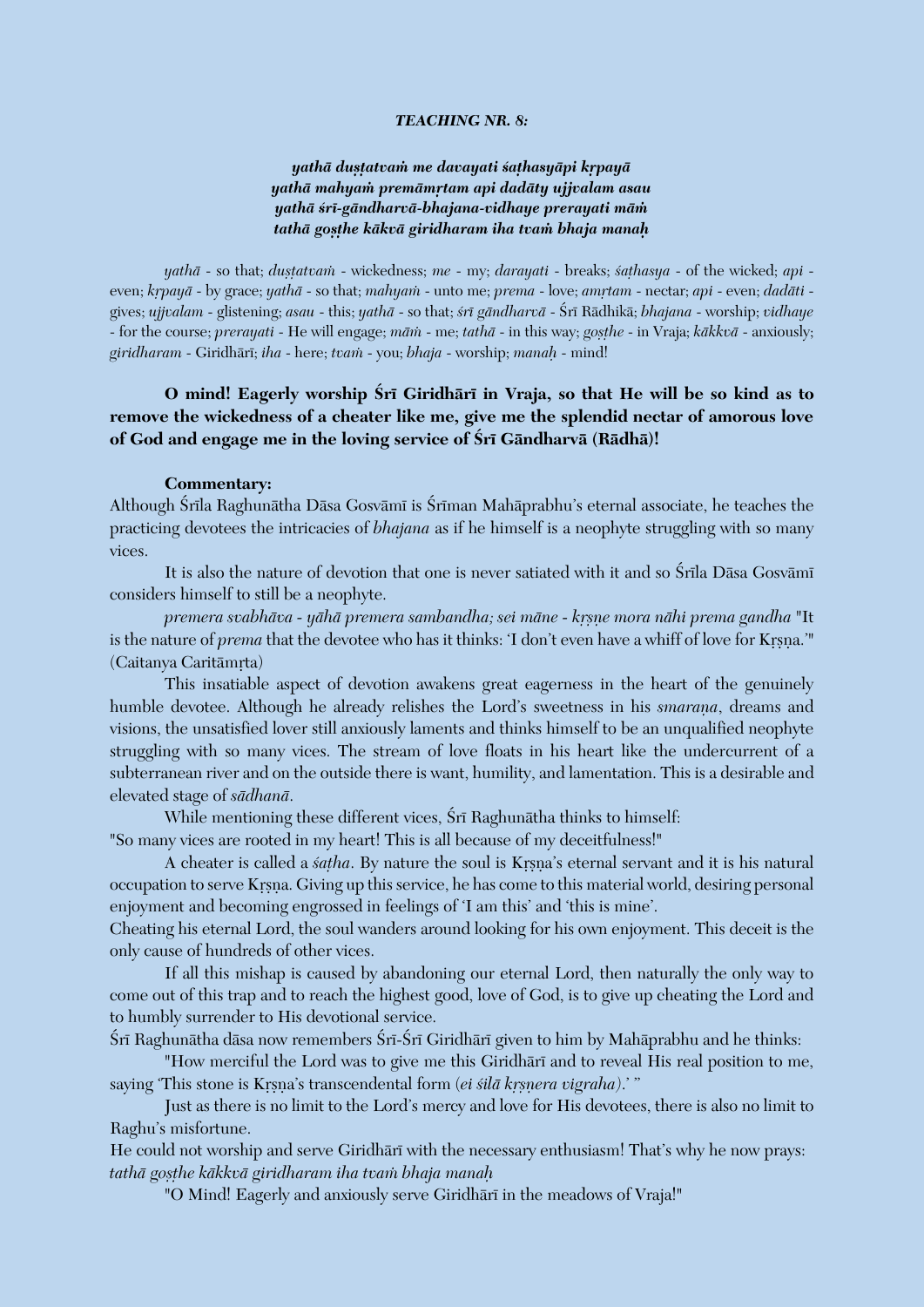#### *TEACHING NR. 8:*

## *yathä duñöatvaà me davayati çaöhasyäpi kåpayä yathä mahyaà premämåtam api dadäty ujjvalam asau yathä çré-gändharvä-bhajana-vidhaye prerayati mäà tathä goñöhe käkvä giridharam iha tvaà bhaja manaù*

*yathā* - so that; *duṣṭatvam* - wickedness; *me* - my; *darayati* - breaks; *śaṭhasya* - of the wicked; *api* even; *krpayā* - by grace; *yathā* - so that; *mahyam* - unto me; *prema* - love; *amrtam* - nectar; *api* - even; *dadāti* gives; *ujjvalam* - glistening; *asau* - this; *yathä* - so that; *çré gändharvä* - Çré Rädhikä; *bhajana* - worship; *vidhaye* - for the course; *prerayati* - He will engage; *mām* - me; *tathā* - in this way; *gosthe* - in Vraja; *kākkvā* - anxiously; *giridharam* - Giridhäré; *iha* - here; *tvaà* - you; *bhaja* - worship; *manaù* - mind!

## **O mind! Eagerly worship Çré Giridhäré in Vraja, so that He will be so kind as to remove the wickedness of a cheater like me, give me the splendid nectar of amorous love**  of God and engage me in the loving service of Śrī Gāndharvā (Rādhā)!

#### **Commentary:**

Although Śrīla Raghunātha Dāsa Gosvāmī is Śrīman Mahāprabhu's eternal associate, he teaches the practicing devotees the intricacies of *bhajana* as if he himself is a neophyte struggling with so many vices.

It is also the nature of devotion that one is never satiated with it and so Śrīla Dāsa Gosvāmī considers himself to still be a neophyte.

*premera svabhäva - yähä premera sambandha; sei mäne - kåñëe mora nähi prema gandha* "It is the nature of *prema* that the devotee who has it thinks: 'I don't even have a whiff of love for Krsna.'" (Caitanya Caritāmrta)

This insatiable aspect of devotion awakens great eagerness in the heart of the genuinely humble devotee. Although he already relishes the Lord's sweetness in his *smarana*, dreams and visions, the unsatisfied lover still anxiously laments and thinks himself to be an unqualified neophyte struggling with so many vices. The stream of love floats in his heart like the undercurrent of a subterranean river and on the outside there is want, humility, and lamentation. This is a desirable and elevated stage of *sädhanä*.

While mentioning these different vices, Śrī Raghunātha thinks to himself: "So many vices are rooted in my heart! This is all because of my deceitfulness!"

A cheater is called a *satha*. By nature the soul is Krsna's eternal servant and it is his natural occupation to serve Krsna. Giving up this service, he has come to this material world, desiring personal

enjoyment and becoming engrossed in feelings of 'I am this' and 'this is mine'. Cheating his eternal Lord, the soul wanders around looking for his own enjoyment. This deceit is the only cause of hundreds of other vices.

If all this mishap is caused by abandoning our eternal Lord, then naturally the only way to come out of this trap and to reach the highest good, love of God, is to give up cheating the Lord and to humbly surrender to His devotional service.

Śrī Raghunātha dāsa now remembers Śrī-Śrī Giridhārī given to him by Mahāprabhu and he thinks:

"How merciful the Lord was to give me this Giridhari and to reveal His real position to me, saying 'This stone is Krsna's transcendental form (*ei śilā krsnera vigraha*).' "

Just as there is no limit to the Lord's mercy and love for His devotees, there is also no limit to Raghu's misfortune.

He could not worship and serve Giridhari with the necessary enthusiasm! That's why he now prays: *tathä goñöhe käkkvä giridharam iha tvaà bhaja manaù*

"O Mind! Eagerly and anxiously serve Giridhārī in the meadows of Vraja!"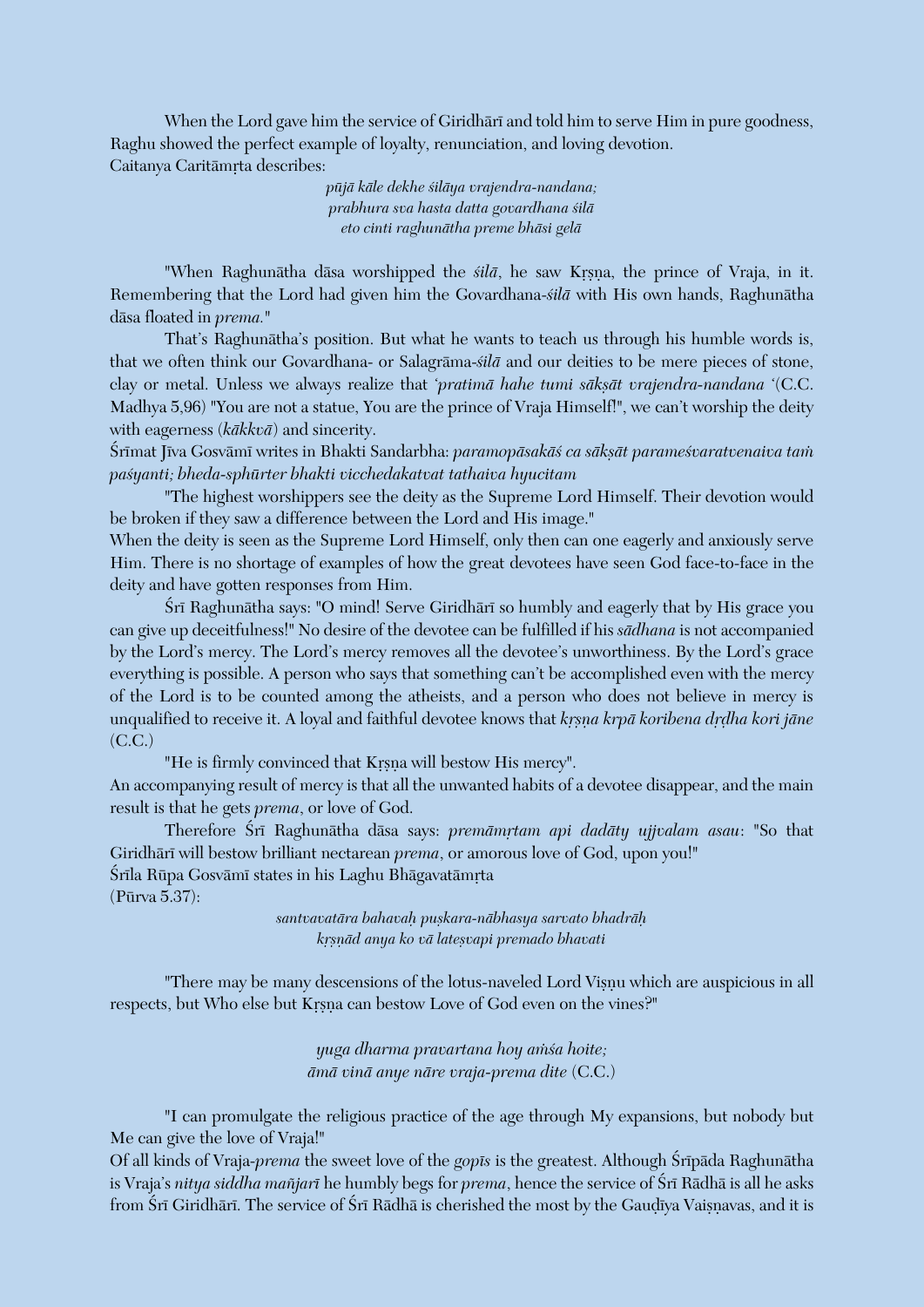When the Lord gave him the service of Giridhari and told him to serve Him in pure goodness, Raghu showed the perfect example of loyalty, renunciation, and loving devotion. Caitanya Caritāmrta describes:

> *püjä käle dekhe çiläya vrajendra-nandana; prabhura sva hasta datta govardhana çilä eto cinti raghunätha preme bhäsi gelä*

"When Raghunātha dāsa worshipped the *silā*, he saw Krsna, the prince of Vraja, in it. Remembering that the Lord had given him the Govardhana-*çilä* with His own hands, Raghunätha däsa floated in *prema.*"

That's Raghunätha's position. But what he wants to teach us through his humble words is, that we often think our Govardhana- or Salagräma-*çilä* and our deities to be mere pieces of stone, clay or metal. Unless we always realize that 'pratimā hahe tumi sākṣāt vrajendra-nandana '(C.C. Madhya 5,96) "You are not a statue, You are the prince of Vraja Himself!", we can't worship the deity with eagerness (*käkkvä*) and sincerity.

Śrīmat Jīva Gosvāmī writes in Bhakti Sandarbha: paramopāsakāś ca sākṣāt parameśvaratvenaiva tam *paçyanti; bheda-sphürter bhakti vicchedakatvat tathaiva hyucitam*

"The highest worshippers see the deity as the Supreme Lord Himself. Their devotion would be broken if they saw a difference between the Lord and His image."

When the deity is seen as the Supreme Lord Himself, only then can one eagerly and anxiously serve Him. There is no shortage of examples of how the great devotees have seen God face-to-face in the deity and have gotten responses from Him.

Śrī Raghunātha says: "O mind! Serve Giridhārī so humbly and eagerly that by His grace you can give up deceitfulness!" No desire of the devotee can be fulfilled if his *sädhana* is not accompanied by the Lord's mercy. The Lord's mercy removes all the devotee's unworthiness. By the Lord's grace everything is possible. A person who says that something can't be accomplished even with the mercy of the Lord is to be counted among the atheists, and a person who does not believe in mercy is unqualified to receive it. A loyal and faithful devotee knows that *krsna krpā koribena drdha kori jāne*  $(CC<sub>c</sub>)$ 

"He is firmly convinced that Krsna will bestow His mercy".

An accompanying result of mercy is that all the unwanted habits of a devotee disappear, and the main result is that he gets *prema*, or love of God.

Therefore Śrī Raghunātha dāsa says: *premāmrtam api dadāty ujjvalam asau*: "So that Giridhārī will bestow brilliant nectarean *prema*, or amorous love of God, upon you!" Śrīla Rūpa Gosvāmī states in his Laghu Bhāgavatāmrta (Pürva 5.37):

*santvavatära bahavaù puñkara-näbhasya sarvato bhadräù kåñëäd anya ko vä lateñvapi premado bhavati*

"There may be many descensions of the lotus-naveled Lord Visnu which are auspicious in all respects, but Who else but Krsna can bestow Love of God even on the vines?"

> *yuga dharma pravartana hoy aàça hoite; ämä vinä anye näre vraja-prema dite* (C.C.)

"I can promulgate the religious practice of the age through My expansions, but nobody but Me can give the love of Vraja!"

Of all kinds of Vraja-*prema* the sweet love of the *gopés* is the greatest. Although Çrépäda Raghunätha is Vraja's *nitya siddha mañjarī* he humbly begs for *prema*, hence the service of Śrī Rādhā is all he asks from Śrī Giridhārī. The service of Śrī Rādhā is cherished the most by the Gaudīya Vaisnavas, and it is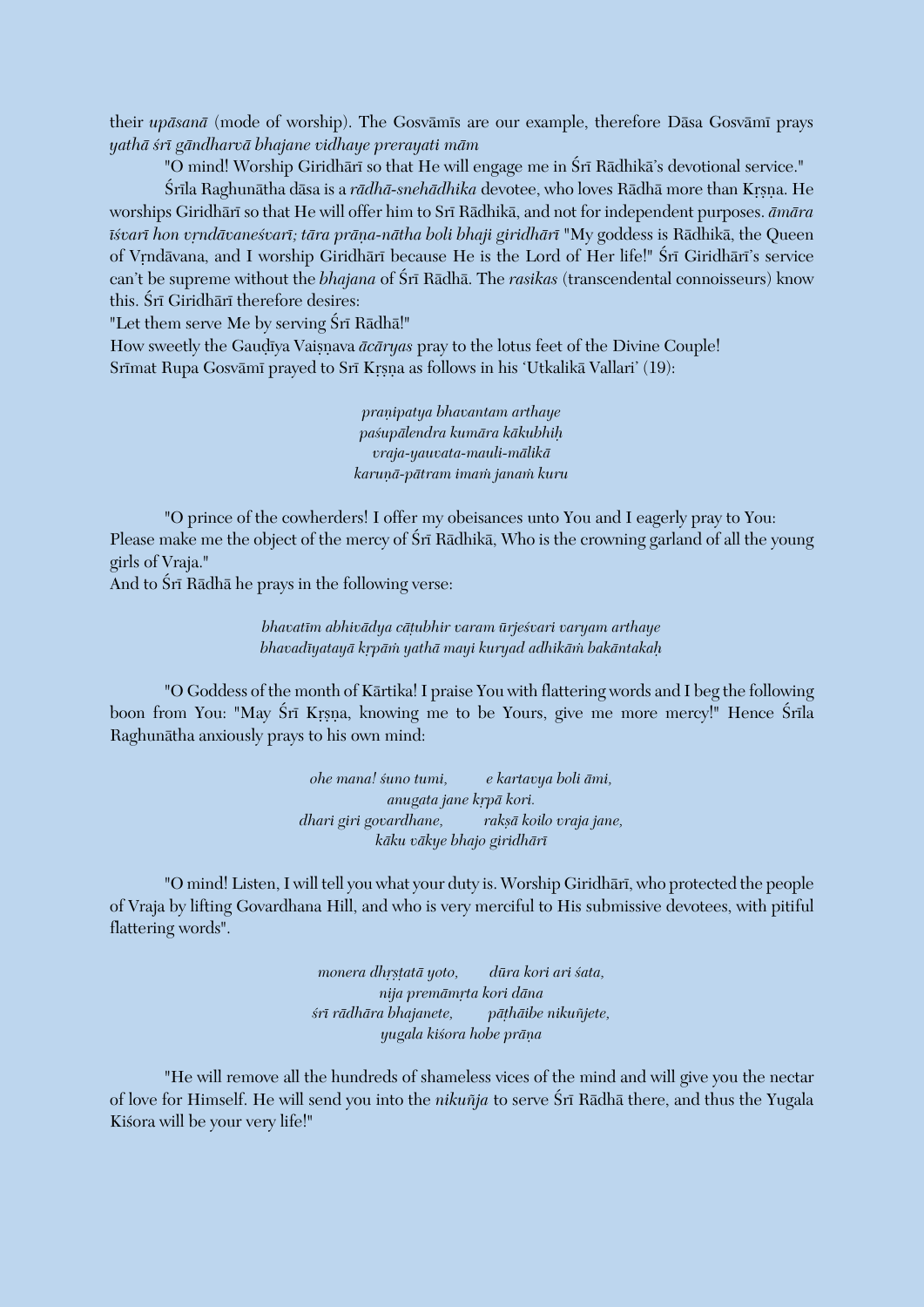their *upäsanä* (mode of worship). The Gosvämés are our example, therefore Däsa Gosvämé prays *yathä çré gändharvä bhajane vidhaye prerayati mäm*

"O mind! Worship Giridhārī so that He will engage me in Śrī Rādhikā's devotional service."

Śrīla Raghunātha dāsa is a *rādhā-snehādhika* devotee, who loves Rādhā more than Krsna. He worships Giridhäré so that He will offer him to Sré Rädhikä, and not for independent purposes. *ämära*   $\bar{i}$ svarī hon vrndāvanesvarī; tāra prāna-nātha boli bhaji giridhārī "My goddess is Rādhikā, the Queen of Vrndävana, and I worship Giridhäri because He is the Lord of Her life!" Śrī Giridhāri's service can't be supreme without the *bhajana* of Śrī Rādhā. The *rasikas* (transcendental connoisseurs) know this. Śrī Giridhārī therefore desires:

"Let them serve Me by serving Śrī Rādhā!"

How sweetly the Gaudiya Vaisnava  $\bar{a}c\bar{a}ryas$  pray to the lotus feet of the Divine Couple! Srīmat Rupa Gosvāmī prayed to Srī Krsna as follows in his 'Utkalikā Vallari' (19):

> *praëipatya bhavantam arthaye paçupälendra kumära käkubhiù vraja-yauvata-mauli-mälikä karuëä-pätram imaà janaà kuru*

"O prince of the cowherders! I offer my obeisances unto You and I eagerly pray to You: Please make me the object of the mercy of Sri Rādhikā, Who is the crowning garland of all the young girls of Vraja."

And to Śrī Rādhā he prays in the following verse:

*bhavatém abhivädya cäöubhir varam ürjeçvari varyam arthaye bhavadéyatayä kåpäà yathä mayi kuryad adhikäà bakäntakaù*

"O Goddess of the month of Kärtika! I praise You with flattering words and I beg the following boon from You: "May Śrī Krsna, knowing me to be Yours, give me more mercy!" Hence Śrīla Raghunätha anxiously prays to his own mind:

> *ohe mana! çuno tumi, e kartavya boli ämi, anugata jane krpā kori. dhari giri govardhane, rakñä koilo vraja jane, käku väkye bhajo giridhäré*

"O mind! Listen, I will tell you what your duty is. Worship Giridhari, who protected the people of Vraja by lifting Govardhana Hill, and who is very merciful to His submissive devotees, with pitiful flattering words".

> *monera dhrstatā yoto, dūra kori ari śata, nija premämåta kori däna çré rädhära bhajanete, päöhäibe nikuïjete, yugala kiçora hobe präëa*

"He will remove all the hundreds of shameless vices of the mind and will give you the nectar of love for Himself. He will send you into the *nikuñja* to serve Śrī Rādhā there, and thus the Yugala Kiśora will be your very life!"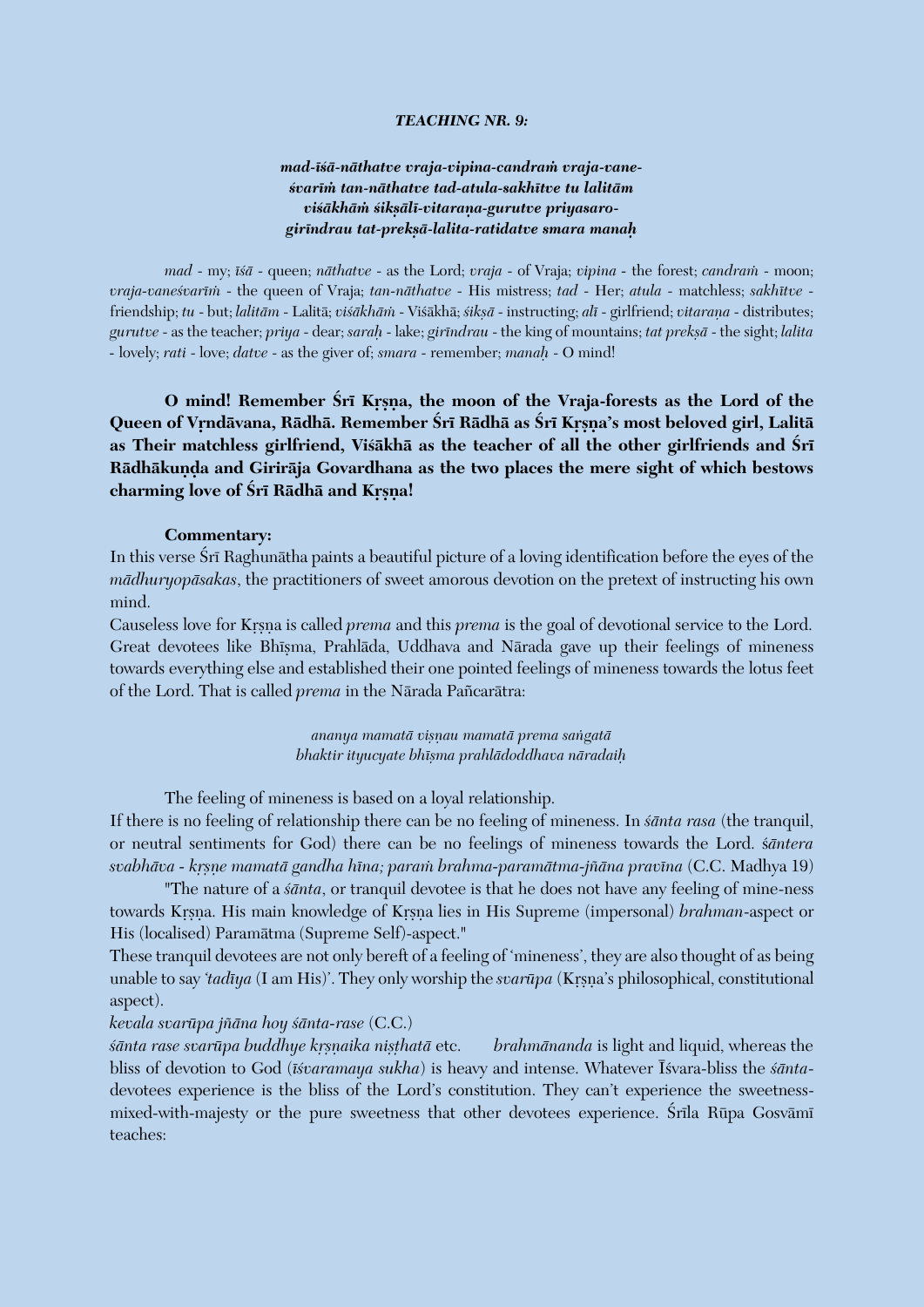#### *TEACHING NR. 9:*

## *mad-éçä-näthatve vraja-vipina-candraà vraja-vaneçvaréà tan-näthatve tad-atula-sakhétve tu lalitäm*  viśākhām śiksālī-vitarana-gurutve priyasaro*giréndrau tat-prekñä-lalita-ratidatve smara manaù*

*mad* - my;  $\overline{i}$ sa - queen; *nathatve* - as the Lord; *vraja* - of Vraja; *vipina* - the forest; *candram* - moon; *vraja-vaneçvaréà* - the queen of Vraja; *tan-näthatve* - His mistress; *tad* - Her; *atula* - matchless; *sakhétve* friendship; *tu* - but; *lalitām* - Lalitā; *viśākhām* - Viśākhā; *śikṣā* - instructing; *alī* - girlfriend; *vitaraṇa* - distributes; *gurutve* - as the teacher; *priya* - dear; *saraù* - lake; *giréndrau* - the king of mountains; *tat prekñä* - the sight; *lalita -* lovely; *rati* - love; *datve* - as the giver of; *smara* - remember; *manaù* - O mind!

**O** mind! Remember Srī Krsna, the moon of the Vraja-forests as the Lord of the **Queen of Våndävana, Rädhä. Remember Çré Rädhä as Çré Kåñëa's most beloved girl, Lalitä**  as Their matchless girlfriend, Visakha as the teacher of all the other girlfriends and Sri Rādhākunda and Girirāja Govardhana as the two places the mere sight of which bestows charming love of Śrī Rādhā and Krsna!

#### **Commentary:**

In this verse Srī Raghunātha paints a beautiful picture of a loving identification before the eyes of the *mädhuryopäsakas*, the practitioners of sweet amorous devotion on the pretext of instructing his own mind.

Causeless love for Krsna is called *prema* and this *prema* is the goal of devotional service to the Lord. Great devotees like Bhisma, Prahlāda, Uddhava and Nārada gave up their feelings of mineness towards everything else and established their one pointed feelings of mineness towards the lotus feet of the Lord. That is called *prema* in the Närada Païcarätra:

> *ananya mamatä viñëau mamatä prema saìgatä bhaktir ityucyate bhéñma prahlädoddhava näradaiù*

The feeling of mineness is based on a loyal relationship.

If there is no feeling of relationship there can be no feeling of mineness. In *çänta rasa* (the tranquil, or neutral sentiments for God) there can be no feelings of mineness towards the Lord. ç*äntera svabhäva - kåñëe mamatä gandha héna; paraà brahma-paramätma-jïäna pravéna* (C.C. Madhya 19)

"The nature of a *çänta*, or tranquil devotee is that he does not have any feeling of mine-ness towards Krsna. His main knowledge of Krsna lies in His Supreme (impersonal) *brahman*-aspect or His (localised) Paramätma (Supreme Self)-aspect."

These tranquil devotees are not only bereft of a feeling of 'mineness', they are also thought of as being unable to say *'tadīya* (I am His)'. They only worship the *svarūpa* (Krsna's philosophical, constitutional aspect).

#### *kevala svarüpa jïäna hoy çänta-rase* (C.C.)

*šānta rase svarūpa buddhye krsnaika nisthatā* etc. *brahmānanda* is light and liquid, whereas the bliss of devotion to God (*éçvaramaya sukha*) is heavy and intense. Whatever Éçvara-bliss the *çänta*devotees experience is the bliss of the Lord's constitution. They can't experience the sweetnessmixed-with-majesty or the pure sweetness that other devotees experience. Śrīla Rūpa Gosvāmī teaches: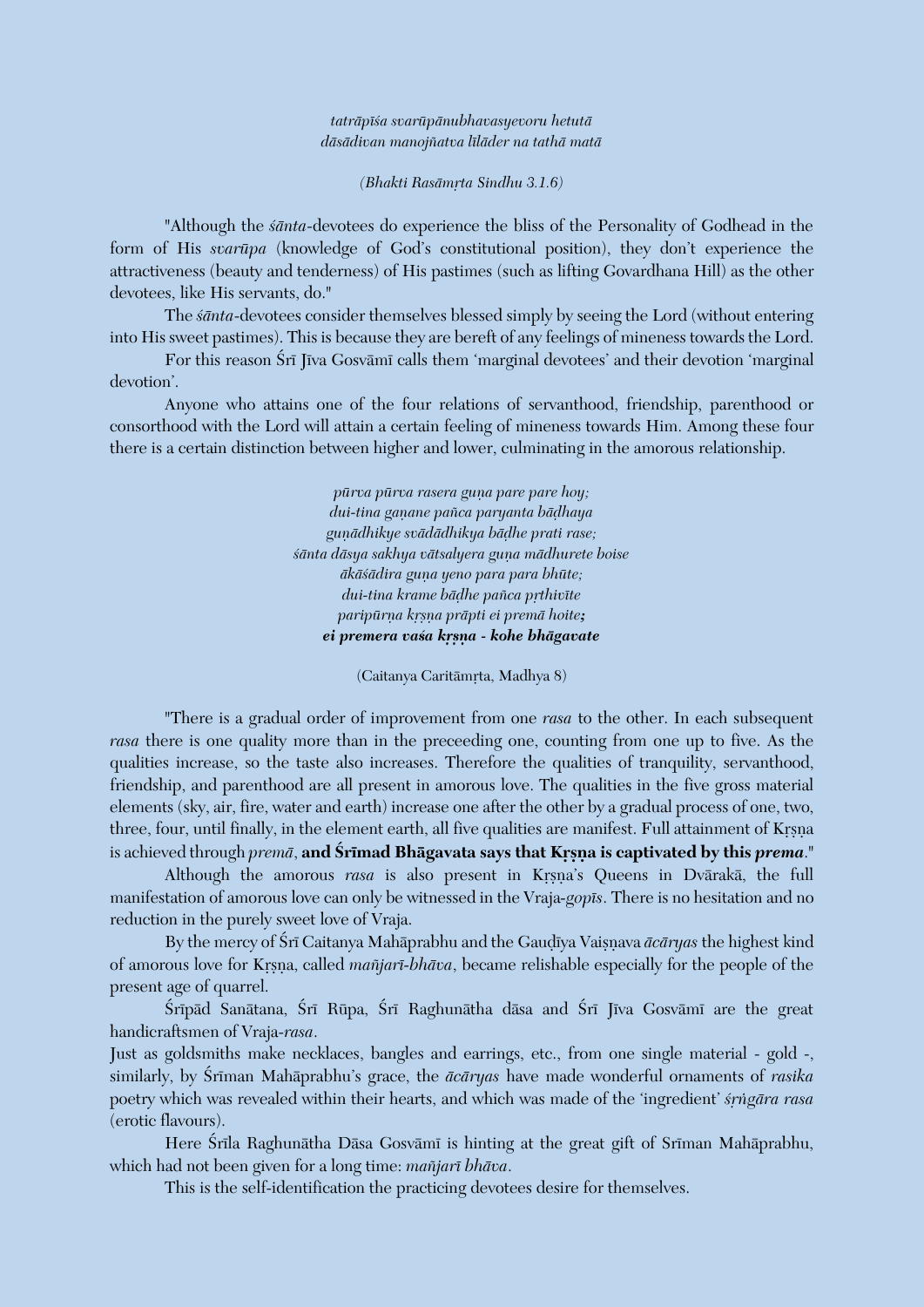#### *taträpéça svarüpänubhavasyevoru hetutä däsädivan manojïatva léläder na tathä matä*

*(Bhakti Rasämåta Sindhu 3.1.6)*

"Although the *çänta*-devotees do experience the bliss of the Personality of Godhead in the form of His *svarüpa* (knowledge of God's constitutional position), they don't experience the attractiveness (beauty and tenderness) of His pastimes (such as lifting Govardhana Hill) as the other devotees, like His servants, do."

The *santa*-devotees consider themselves blessed simply by seeing the Lord (without entering into His sweet pastimes). This is because they are bereft of any feelings of mineness towards the Lord.

For this reason Śrī Jīva Gosvāmī calls them 'marginal devotees' and their devotion 'marginal devotion'.

Anyone who attains one of the four relations of servanthood, friendship, parenthood or consorthood with the Lord will attain a certain feeling of mineness towards Him. Among these four there is a certain distinction between higher and lower, culminating in the amorous relationship.

> $p\bar{u}rva p\bar{u}rva rasera guna pare pare hoy;$ *dui-tina gaëane païca paryanta bäòhaya* guņādhikye svādādhikya bāḍhe prati rase;  $s\bar{a}$ nta dāsya sakhya vātsalyera guņa mādhurete boise  $\bar{a}$ kāśādira guna yeno para para bhūte; *dui-tina krame bādhe pañca prthivīte*  $paripūrna krsna prāpti ei premā hoite;$ *ei premera vaça kåñëa - kohe bhägavate*

> > (Caitanya Caritāmrta, Madhya 8)

"There is a gradual order of improvement from one *rasa* to the other. In each subsequent *rasa* there is one quality more than in the preceeding one, counting from one up to five. As the qualities increase, so the taste also increases. Therefore the qualities of tranquility, servanthood, friendship, and parenthood are all present in amorous love. The qualities in the five gross material elements (sky, air, fire, water and earth) increase one after the other by a gradual process of one, two, three, four, until finally, in the element earth, all five qualities are manifest. Full attainment of Krsna is achieved through *premā*, and **Śrīmad Bhāgavata says that Krsna is captivated by this** *prema*."

Although the amorous *rasa* is also present in Krsna's Queens in Dvārakā, the full manifestation of amorous love can only be witnessed in the Vraja*-gopés*. There is no hesitation and no reduction in the purely sweet love of Vraja.

By the mercy of Śrī Caitanya Mahāprabhu and the Gaudīya Vaisnava *ācāryas* the highest kind of amorous love for Krsna, called *mañjarī-bhāva*, became relishable especially for the people of the present age of quarrel.

Śrīpād Sanātana, Śrī Rūpa, Śrī Raghunātha dāsa and Śrī Jīva Gosvāmī are the great handicraftsmen of Vraja-*rasa*.

Just as goldsmiths make necklaces, bangles and earrings, etc., from one single material - gold -, similarly, by Śrīman Mahāprabhu's grace, the *ācāryas* have made wonderful ornaments of *rasika* poetry which was revealed within their hearts, and which was made of the 'ingredient' *śrngāra rasa* (erotic flavours).

Here Śrīla Raghunātha Dāsa Gosvāmī is hinting at the great gift of Srīman Mahāprabhu, which had not been given for a long time: *maïjaré bhäva*.

This is the self-identification the practicing devotees desire for themselves.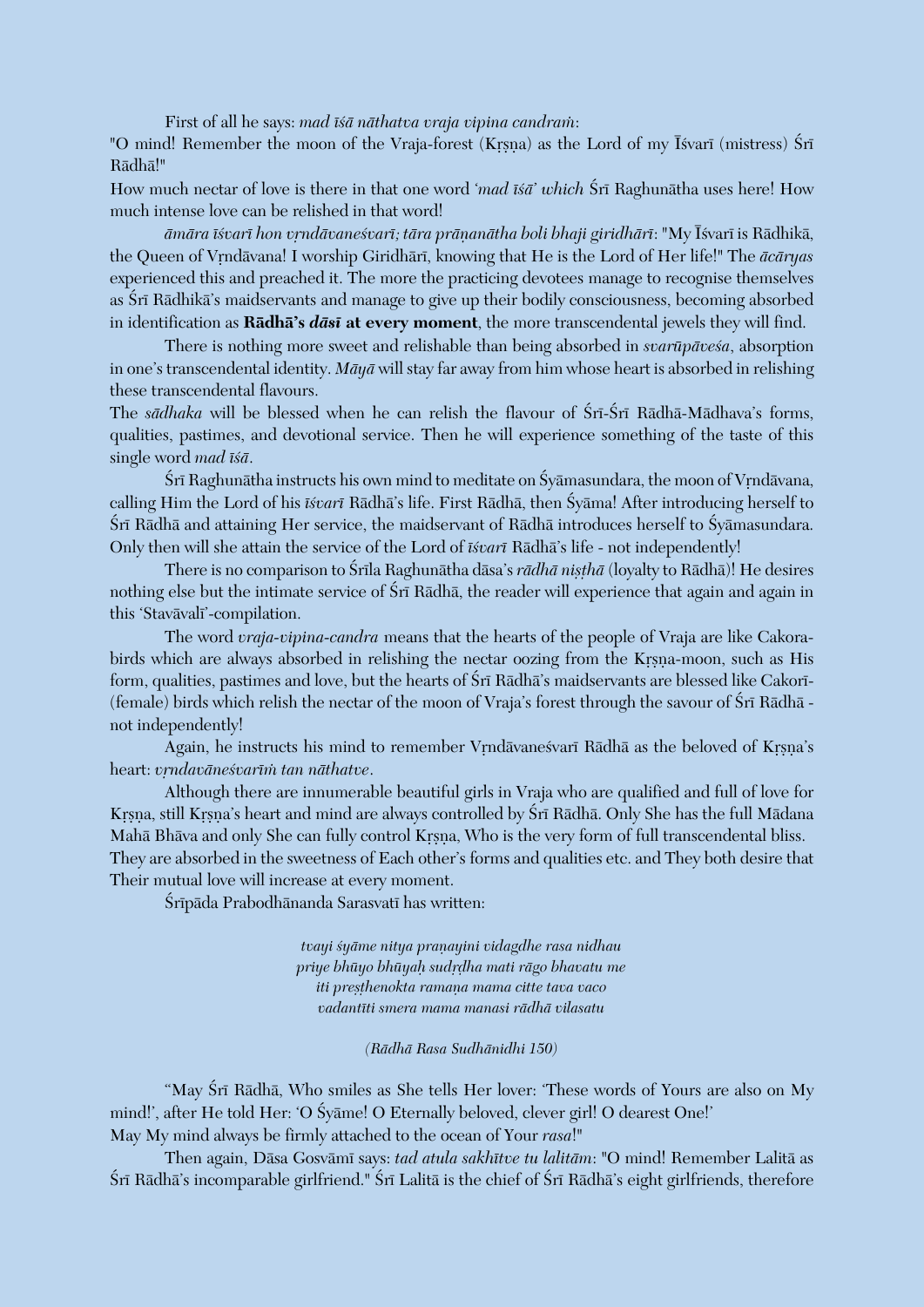First of all he says: *mad īśā nāthatva vraja vipina candram*:

"O mind! Remember the moon of the Vraja-forest (Krsna) as the Lord of my Isvari (mistress) Śrī Rädhä!"

How much nectar of love is there in that one word '*mad isa*' which Sri Raghunatha uses here! How much intense love can be relished in that word!

*ämära éçvaré hon våndävaneçvaré; tära präëanätha boli bhaji giridhäré*: "My Éçvaré is Rädhikä, the Queen of Vrndävana! I worship Giridhäri, knowing that He is the Lord of Her life!" The  $\bar{a}c\bar{a}ryas$ experienced this and preached it. The more the practicing devotees manage to recognise themselves as Śrī Rādhikā's maidservants and manage to give up their bodily consciousness, becoming absorbed in identification as **Rädhä's** *däsé* **at every moment**, the more transcendental jewels they will find.

There is nothing more sweet and relishable than being absorbed in *svarūpāvesa*, absorption in one's transcendental identity. *Mäyä* will stay far away from him whose heart is absorbed in relishing these transcendental flavours.

The *sādhaka* will be blessed when he can relish the flavour of Śrī-Śrī Rādhā-Mādhava's forms, qualities, pastimes, and devotional service. Then he will experience something of the taste of this single word *mad īśā*.

Śrī Raghunātha instructs his own mind to meditate on Śyāmasundara, the moon of Vrndāvana, calling Him the Lord of his *éçvaré* Rädhä's life. First Rädhä, then Çyäma! After introducing herself to Śrī Rādhā and attaining Her service, the maidservant of Rādhā introduces herself to Śyāmasundara. Only then will she attain the service of the Lord of *éçvaré* Rädhä's life - not independently!

There is no comparison to Śrīla Raghunātha dāsa's *rādhā nisthā* (loyalty to Rādhā)! He desires nothing else but the intimate service of Śrī Rādhā, the reader will experience that again and again in this 'Stavāvalī'-compilation.

The word *vraja-vipina-candra* means that the hearts of the people of Vraja are like Cakorabirds which are always absorbed in relishing the nectar oozing from the Krsna-moon, such as His form, qualities, pastimes and love, but the hearts of Śrī Rādhā's maidservants are blessed like Cakorī-(female) birds which relish the nectar of the moon of Vraja's forest through the savour of Śrī Rādhā not independently!

Again, he instructs his mind to remember Vrndävanesvari Rädhä as the beloved of Krsna's heart: *vrndavāneśvarīm tan nāthatve*.

Although there are innumerable beautiful girls in Vraja who are qualified and full of love for Krsna, still Krsna's heart and mind are always controlled by Śrī Rādhā. Only She has the full Mādana Mahā Bhāva and only She can fully control Krsna, Who is the very form of full transcendental bliss. They are absorbed in the sweetness of Each other's forms and qualities etc. and They both desire that Their mutual love will increase at every moment.

Śrīpāda Prabodhānanda Sarasvatī has written:

*tvayi çyäme nitya praëayini vidagdhe rasa nidhau priye bhüyo bhüyaù sudåòha mati rägo bhavatu me iti presthenokta ramana mama citte tava vaco vadantéti smera mama manasi rädhä vilasatu*

*(Rädhä Rasa Sudhänidhi 150)*

"May Śrī Rādhā, Who smiles as She tells Her lover: 'These words of Yours are also on My mind!', after He told Her: 'O Syame! O Eternally beloved, clever girl! O dearest One!' May My mind always be firmly attached to the ocean of Your *rasa*!"

Then again, Däsa Gosvämé says: *tad atula sakhétve tu lalitäm*: "O mind! Remember Lalitä as Śrī Rādhā's incomparable girlfriend." Śrī Lalitā is the chief of Śrī Rādhā's eight girlfriends, therefore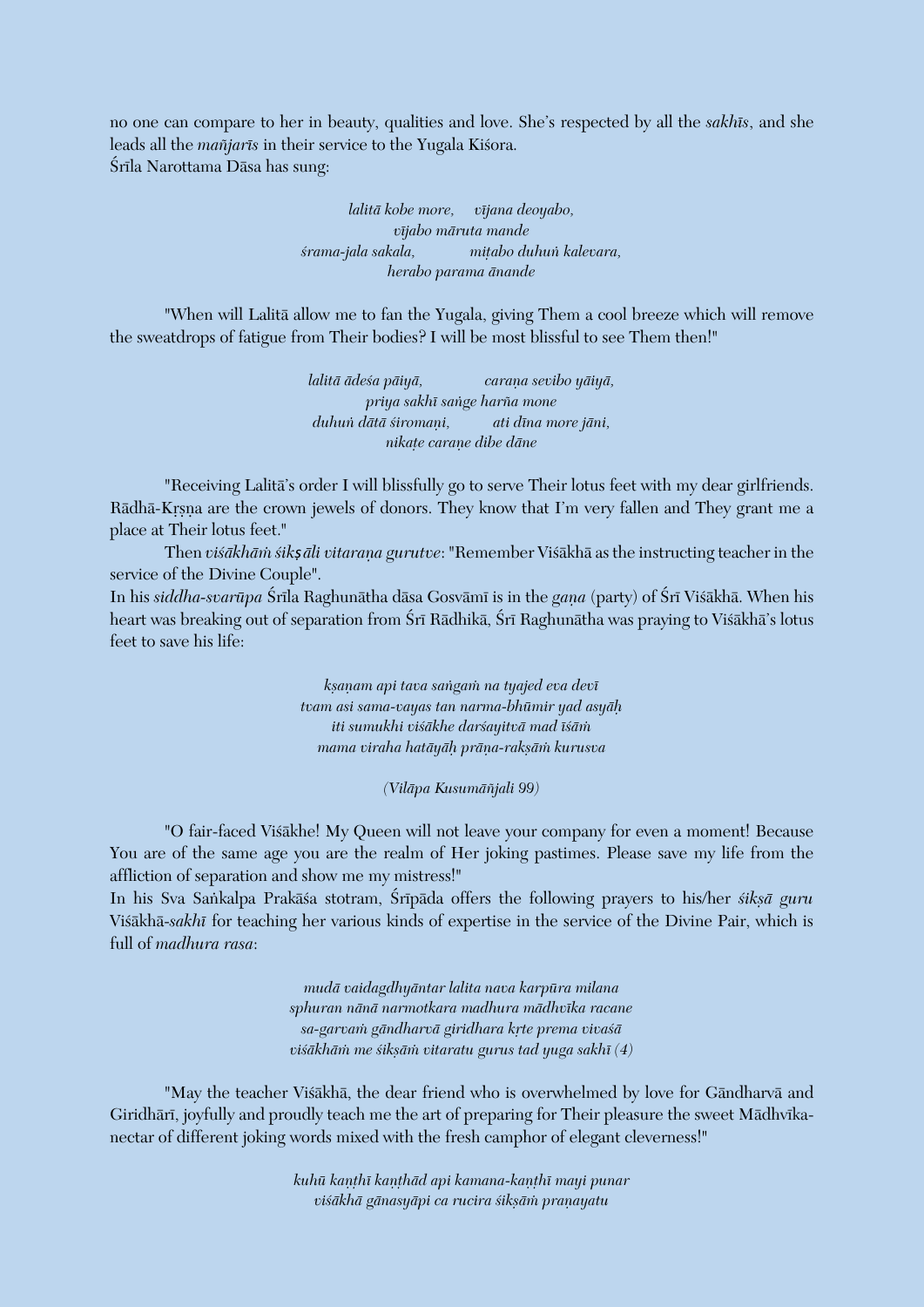no one can compare to her in beauty, qualities and love. She's respected by all the *sakhés*, and she leads all the *mañjarīs* in their service to the Yugala Kisora. Śrīla Narottama Dāsa has sung:

> *lalitä kobe more, véjana deoyabo, véjabo märuta mande çrama-jala sakala, miöabo duhuì kalevara, herabo parama änande*

"When will Lalitä allow me to fan the Yugala, giving Them a cool breeze which will remove the sweatdrops of fatigue from Their bodies? I will be most blissful to see Them then!"

> *lalitā ādeśa pāiyā, caraņa sevibo yāiyā*, *priya sakhé saìge harïa mone* duhun dātā *śiromaņi,* ati dīna more jāni, *nikaöe caraëe dibe däne*

"Receiving Lalitä's order I will blissfully go to serve Their lotus feet with my dear girlfriends. Rādhā-Krsna are the crown jewels of donors. They know that I'm very fallen and They grant me a place at Their lotus feet."

Then *višākhām śik*șāli *vitaraņa gurutve*: "Remember Višākhā as the instructing teacher in the service of the Divine Couple".

In his *siddha-svarūpa* Śrīla Raghunātha dāsa Gosvāmī is in the *gaņa* (party) of Śrī Viśākhā. When his heart was breaking out of separation from Śrī Rādhikā, Śrī Raghunātha was praying to Viśākhā's lotus feet to save his life:

> *kñaëam api tava saìgaà na tyajed eva devé tvam asi sama-vayas tan narma-bhümir yad asyäù iti sumukhi viçäkhe darçayitvä mad éçäà mama viraha hatāyāh prāna-raksām kurusva*

> > *(Viläpa Kusumäïjali 99)*

"O fair-faced Viçäkhe! My Queen will not leave your company for even a moment! Because You are of the same age you are the realm of Her joking pastimes. Please save my life from the affliction of separation and show me my mistress!"

In his Sva Sankalpa Prakāsa stotram, Śrīpāda offers the following prayers to his/her siksā guru Viçäkhä-*sakhé* for teaching her various kinds of expertise in the service of the Divine Pair, which is full of *madhura rasa*:

> *mudä vaidagdhyäntar lalita nava karpüra milana sphuran nänä narmotkara madhura mädhvéka racane* sa-garva*in gāndharvā giridhara krte prema viva*sā *viśākhām me śikṣām vitaratu gurus tad yuga sakhī* (4)

"May the teacher Viçäkhä, the dear friend who is overwhelmed by love for Gändharvä and Giridhārī, joyfully and proudly teach me the art of preparing for Their pleasure the sweet Mādhvīkanectar of different joking words mixed with the fresh camphor of elegant cleverness!"

> kuhū kanthī kanthād api kamana-kanthī mayi punar  $v$ *iśākhā gānasyāpi ca rucira śikṣāṁ pranayatu*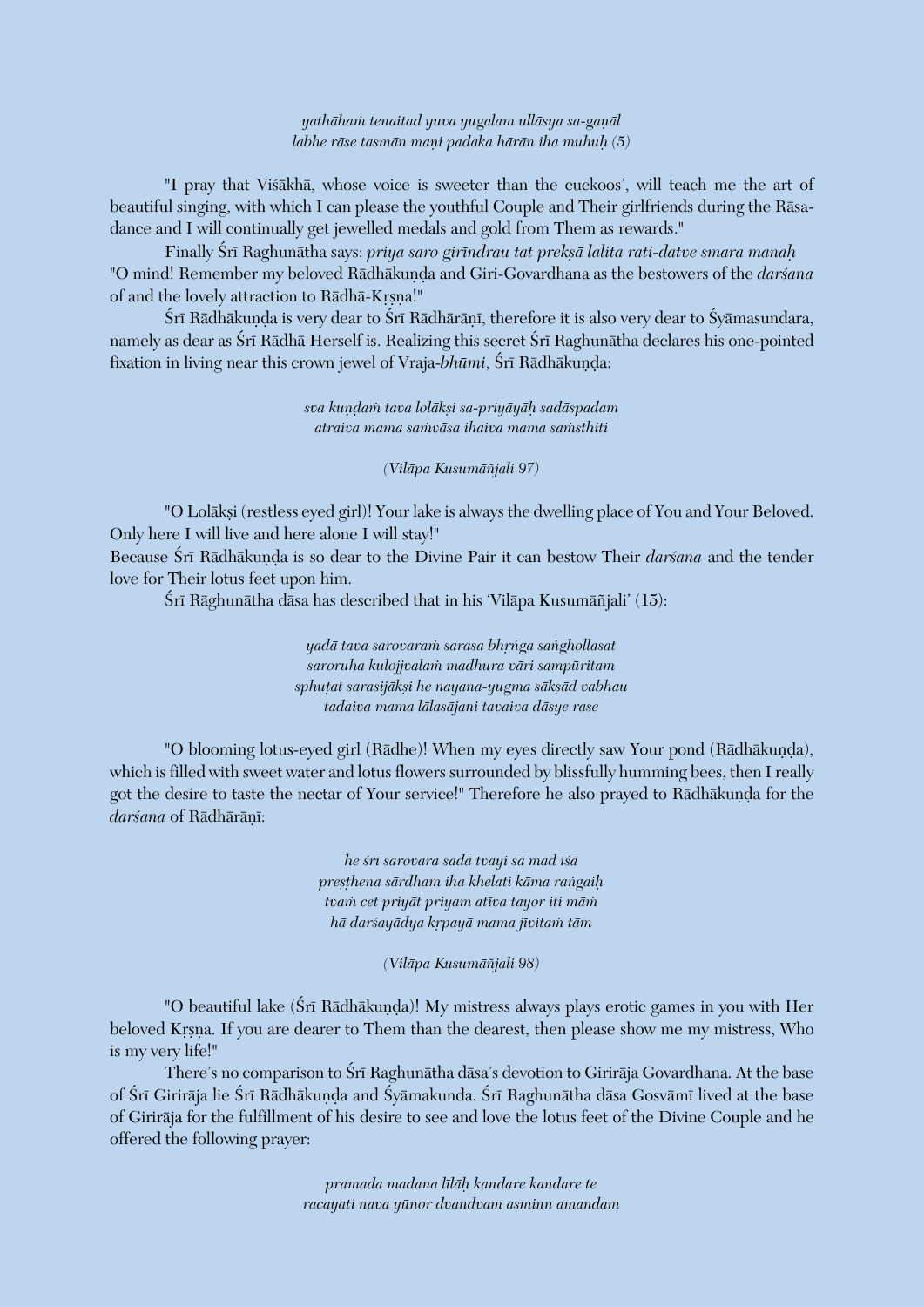*yathähaà tenaitad yuva yugalam ulläsya sa-gaëäl labhe räse tasmän maëi padaka härän iha muhuù (5)*

"I pray that Viçäkhä, whose voice is sweeter than the cuckoos', will teach me the art of beautiful singing, with which I can please the youthful Couple and Their girlfriends during the Räsadance and I will continually get jewelled medals and gold from Them as rewards."

Finally Çré Raghunätha says: *priya saro giréndrau tat prekñä lalita rati-datve smara manaù* "O mind! Remember my beloved Rādhākunda and Giri-Govardhana as the bestowers of the *darsana* of and the lovely attraction to Rādhā-Krsna!"

Śrī Rādhākunda is very dear to Śrī Rādhārānī, therefore it is also very dear to Śyāmasundara, namely as dear as Śrī Rādhā Herself is. Realizing this secret Śrī Raghunātha declares his one-pointed fixation in living near this crown jewel of Vraja-bhūmi, Śrī Rādhākunda:

> *sva kuëòaà tava loläkñi sa-priyäyäù sadäspadam atraiva mama saàväsa ihaiva mama saàsthiti*

> > *(Viläpa Kusumäïjali 97)*

"O Lolākṣi (restless eyed girl)! Your lake is always the dwelling place of You and Your Beloved. Only here I will live and here alone I will stay!"

Because Śrī Rādhākunda is so dear to the Divine Pair it can bestow Their *darśana* and the tender love for Their lotus feet upon him.

Śrī Rāghunātha dāsa has described that in his 'Vilāpa Kusumāñjali' (15):

*yadä tava sarovaraà sarasa bhåìga saìghollasat saroruha kulojjvalaà madhura väri sampüritam* sphutat sarasijākṣi he nayana-yugma sākṣād vabhau *tadaiva mama lälasäjani tavaiva däsye rase*

"O blooming lotus-eyed girl (Rādhe)! When my eyes directly saw Your pond (Rādhākuṇḍa), which is filled with sweet water and lotus flowers surrounded by blissfully humming bees, then I really got the desire to taste the nectar of Your service!" Therefore he also prayed to Rādhākunda for the darśana of Rādhārānī:

> *he çré sarovara sadä tvayi sä mad éçä preñöhena särdham iha khelati käma raìgaiù tvaà cet priyät priyam atéva tayor iti mäà hä darçayädya kåpayä mama jévitaà täm*

> > *(Viläpa Kusumäïjali 98)*

"O beautiful lake (Śrī Rādhākuņda)! My mistress always plays erotic games in you with Her beloved Krsna. If you are dearer to Them than the dearest, then please show me my mistress, Who is my very life!"

There's no comparison to Śrī Raghunātha dāsa's devotion to Girirāja Govardhana. At the base of Śrī Girirāja lie Śrī Rādhākunda and Śyāmakunda. Śrī Raghunātha dāsa Gosvāmī lived at the base of Giriräja for the fulfillment of his desire to see and love the lotus feet of the Divine Couple and he offered the following prayer:

> *pramada madana léläù kandare kandare te racayati nava yünor dvandvam asminn amandam*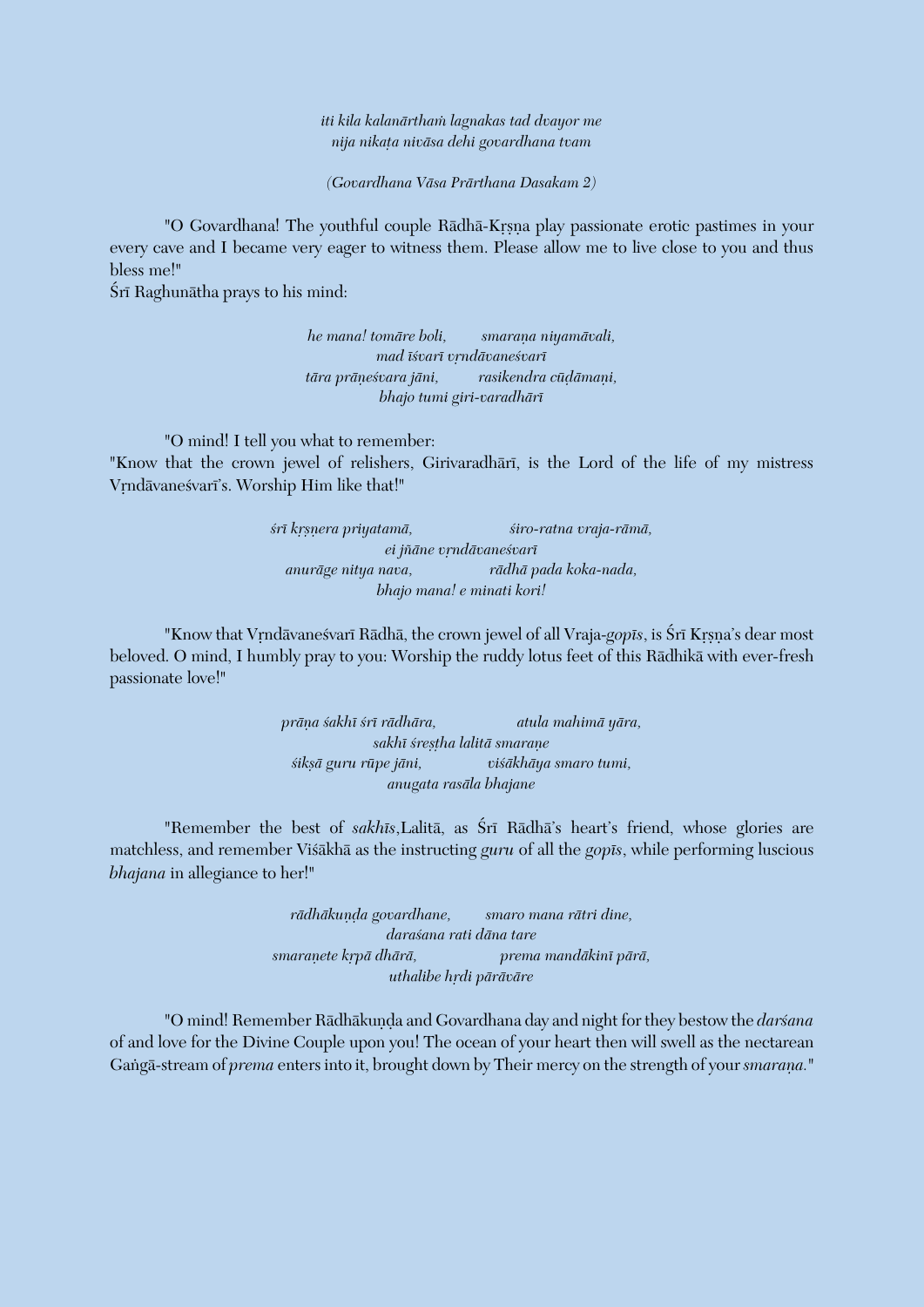*iti kila kalanärthaà lagnakas tad dvayor me nija nikaöa niväsa dehi govardhana tvam*

*(Govardhana Väsa Prärthana Dasakam 2)*

"O Govardhana! The youthful couple Rādhā-Krsna play passionate erotic pastimes in your every cave and I became very eager to witness them. Please allow me to live close to you and thus bless me!"

Śrī Raghunātha prays to his mind:

*he mana! tomāre boli, smarana niyamāvali, mad éçvaré våndävaneçvaré*  $t\bar{a}$ ra prāņeśvara jāni, rasikendra cūdāmaņi, *bhajo tumi giri-varadhäré*

"O mind! I tell you what to remember:

"Know that the crown jewel of relishers, Girivaradhari, is the Lord of the life of my mistress Vrndāvanesvarī's. Worship Him like that!"

> *çré kåñëera priyatamä, çiro-ratna vraja-rämä,*  $ei$ *jñāne vrndāvaneśvarī anuräge nitya nava, rädhä pada koka-nada, bhajo mana! e minati kori!*

"Know that Vrndāvanesvarī Rādhā, the crown jewel of all Vraja-*gopīs*, is Śrī Krsna's dear most beloved. O mind, I humbly pray to you: Worship the ruddy lotus feet of this Rädhikä with ever-fresh passionate love!"

> *präëa çakhé çré rädhära, atula mahimä yära, sakhé çreñöha lalitä smaraëe çikñä guru rüpe jäni, viçäkhäya smaro tumi, anugata rasäla bhajane*

"Remember the best of *sakhūs*, Lalitā, as Śrī Rādhā's heart's friend, whose glories are matchless, and remember Viçäkhä as the instructing *guru* of all the *gopés*, while performing luscious *bhajana* in allegiance to her!"

> rādhākunda govardhane, smaro mana rātri dine, *daraçana rati däna tare smaraëete kåpä dhärä, prema mandäkiné pärä, uthalibe hådi päräväre*

"O mind! Remember Rādhākuņḍa and Govardhana day and night for they bestow the *darśana* of and love for the Divine Couple upon you! The ocean of your heart then will swell as the nectarean Gangā-stream of *prema* enters into it, brought down by Their mercy on the strength of your *smarana*."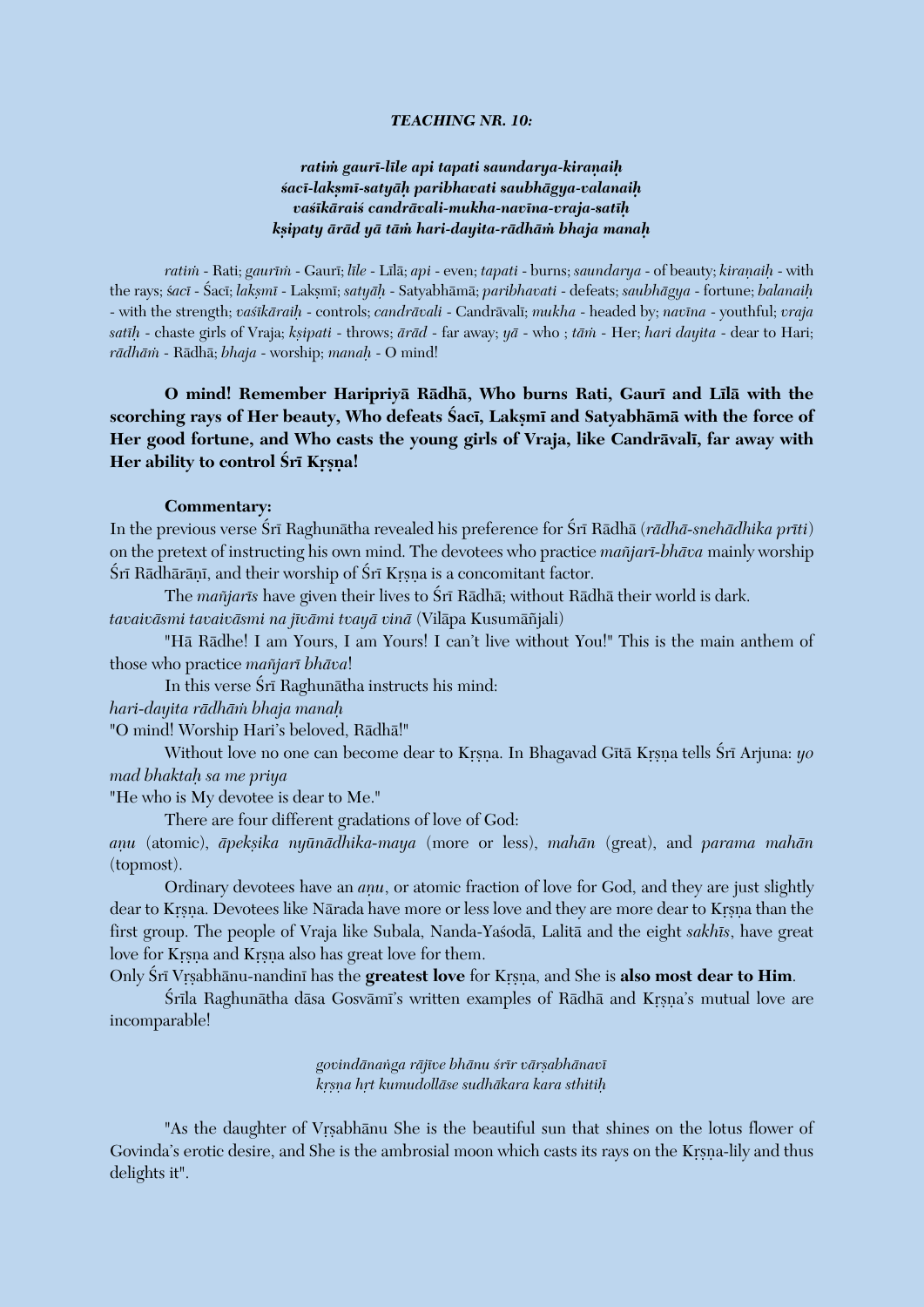#### *TEACHING NR. 10:*

## *ratià gauré-léle api tapati saundarya-kiraëaiù çacé-lakñmé-satyäù paribhavati saubhägya-valanaiù vaçékäraiç candrävali-mukha-navéna-vraja-satéù kñipaty äräd yä täà hari-dayita-rädhäà bhaja manaù*

*ratim* - Rati; *gaurīm* - Gaurī; *līle* - Līlā; *api* - even; *tapati* - burns; *saundarya* - of beauty; *kiranaih* - with the rays; ç*acé* - Çacé; *lakñmé* - Lakñmé; *satyäù* - Satyabhämä; *paribhavati* - defeats; *saubhägya* - fortune; *balanaiù* - with the strength; *vaçékäraiù* - controls; *candrävali* - Candrävalé; *mukha* - headed by; *navéna* - youthful; *vraja satīḥ* - chaste girls of Vraja; *kṣipati* - throws; *ārād* - far away; *yā* - who ; *tām* - Her; *hari dayita* - dear to Hari; *rädhäà* - Rädhä; *bhaja* - worship; *manaù* - O mind!

**O mind! Remember Haripriyā Rādhā, Who burns Rati, Gaurī and Līlā with the** scorching rays of Her beauty, Who defeats Saci, Lakṣmī and Satyabhāmā with the force of Her good fortune, and Who casts the young girls of Vraja, like Candrāvalī, far away with Her ability to control **Śrī Kr**șna!

#### **Commentary:**

In the previous verse Śrī Raghunātha revealed his preference for Śrī Rādhā (*rādhā-snehādhika prīti*) on the pretext of instructing his own mind. The devotees who practice *maïjaré-bhäva* mainly worship Śrī Rādhārānī, and their worship of Śrī Krsna is a concomitant factor.

The *mañjarīs* have given their lives to Śrī Rādhā; without Rādhā their world is dark.

*tavaiväsmi tavaiväsmi na jévämi tvayä vinä* (Viläpa Kusumäïjali)

"Hä Rädhe! I am Yours, I am Yours! I can't live without You!" This is the main anthem of those who practice *maïjaré bhäva*!

In this verse Śrī Raghunātha instructs his mind:

*hari-dayita rädhäà bhaja manaù*

"O mind! Worship Hari's beloved, Rädhä!"

Without love no one can become dear to Krsna. In Bhagavad Gītā Krsna tells Śrī Arjuna: *yo mad bhaktaù sa me priya*

"He who is My devotee is dear to Me."

There are four different gradations of love of God:

*aëu* (atomic), *äpekñika nyünädhika-maya* (more or less), *mahän* (great), and *parama mahän* (topmost).

Ordinary devotees have an *anu*, or atomic fraction of love for God, and they are just slightly dear to Krsna. Devotees like Närada have more or less love and they are more dear to Krsna than the first group. The people of Vraja like Subala, Nanda-Yaçodä, Lalitä and the eight *sakhés*, have great love for Krsna and Krsna also has great love for them.

Only Śrī Vrsabhānu-nandinī has the greatest love for Krsna, and She is also most dear to Him.

Śrīla Raghunātha dāsa Gosvāmī's written examples of Rādhā and Krsna's mutual love are incomparable!

> *govindänaìga räjéve bhänu çrér värñabhänavé kåñëa håt kumudolläse sudhäkara kara sthitiù*

"As the daughter of Vrsabhānu She is the beautiful sun that shines on the lotus flower of Govinda's erotic desire, and She is the ambrosial moon which casts its rays on the Krsna-lily and thus delights it".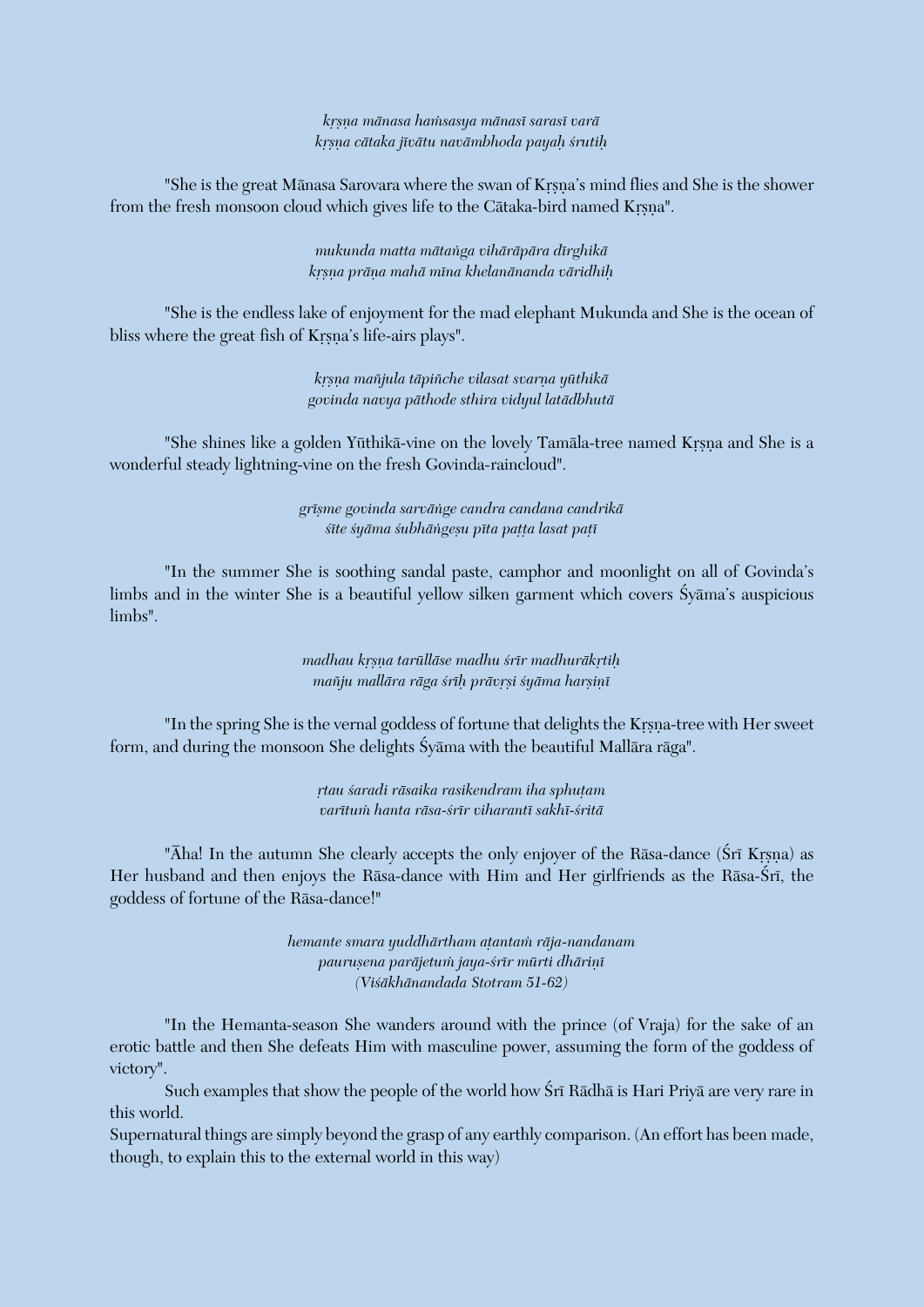*kåñëa mänasa haàsasya mänasé sarasé varä kåñëa cätaka jévätu navämbhoda payaù çrutiù*

"She is the great Mānasa Sarovara where the swan of Krsna's mind flies and She is the shower from the fresh monsoon cloud which gives life to the Cātaka-bird named Krsna".

> *mukunda matta mätaìga vihäräpära dérghikä kåñëa präëa mahä ména khelanänanda väridhiù*

"She is the endless lake of enjoyment for the mad elephant Mukunda and She is the ocean of bliss where the great fish of Krsna's life-airs plays".

> *kåñëa maïjula täpiïche vilasat svarëa yüthikä govinda navya päthode sthira vidyul latädbhutä*

"She shines like a golden Yūthikā-vine on the lovely Tamāla-tree named Krsna and She is a wonderful steady lightning-vine on the fresh Govinda-raincloud".

> *gréñme govinda sarväìge candra candana candrikä çéte çyäma çubhäìgeñu péta paööa lasat paöé*

"In the summer She is soothing sandal paste, camphor and moonlight on all of Govinda's limbs and in the winter She is a beautiful yellow silken garment which covers Syama's auspicious limbs".

> *madhau krsņa tarūllāse madhu śrīr madhurākŗtiḥ mañju mallāra rāga śrīh prāvrsi śyāma harsinī*

"In the spring She is the vernal goddess of fortune that delights the Krsna-tree with Her sweet form, and during the monsoon She delights Çyäma with the beautiful Mallära räga".

> *åtau çaradi räsaika rasikendram iha sphuöam varétuà hanta räsa-çrér viharanté sakhé-çritä*

"Aha! In the autumn She clearly accepts the only enjoyer of the Rasa-dance (Sri Krsna) as Her husband and then enjoys the Rāsa-dance with Him and Her girlfriends as the Rāsa-Šrī, the goddess of fortune of the Räsa-dance!"

> *hemante smara yuddhärtham aöantaà räja-nandanam* paurușena parājetum jaya-*śrīr mūrti dhāriņī (Viçäkhänandada Stotram 51-62)*

"In the Hemanta-season She wanders around with the prince (of Vraja) for the sake of an erotic battle and then She defeats Him with masculine power, assuming the form of the goddess of victory".

Such examples that show the people of the world how Śrī Rādhā is Hari Priyā are very rare in this world.

Supernatural things are simply beyond the grasp of any earthly comparison. (An effort has been made, though, to explain this to the external world in this way)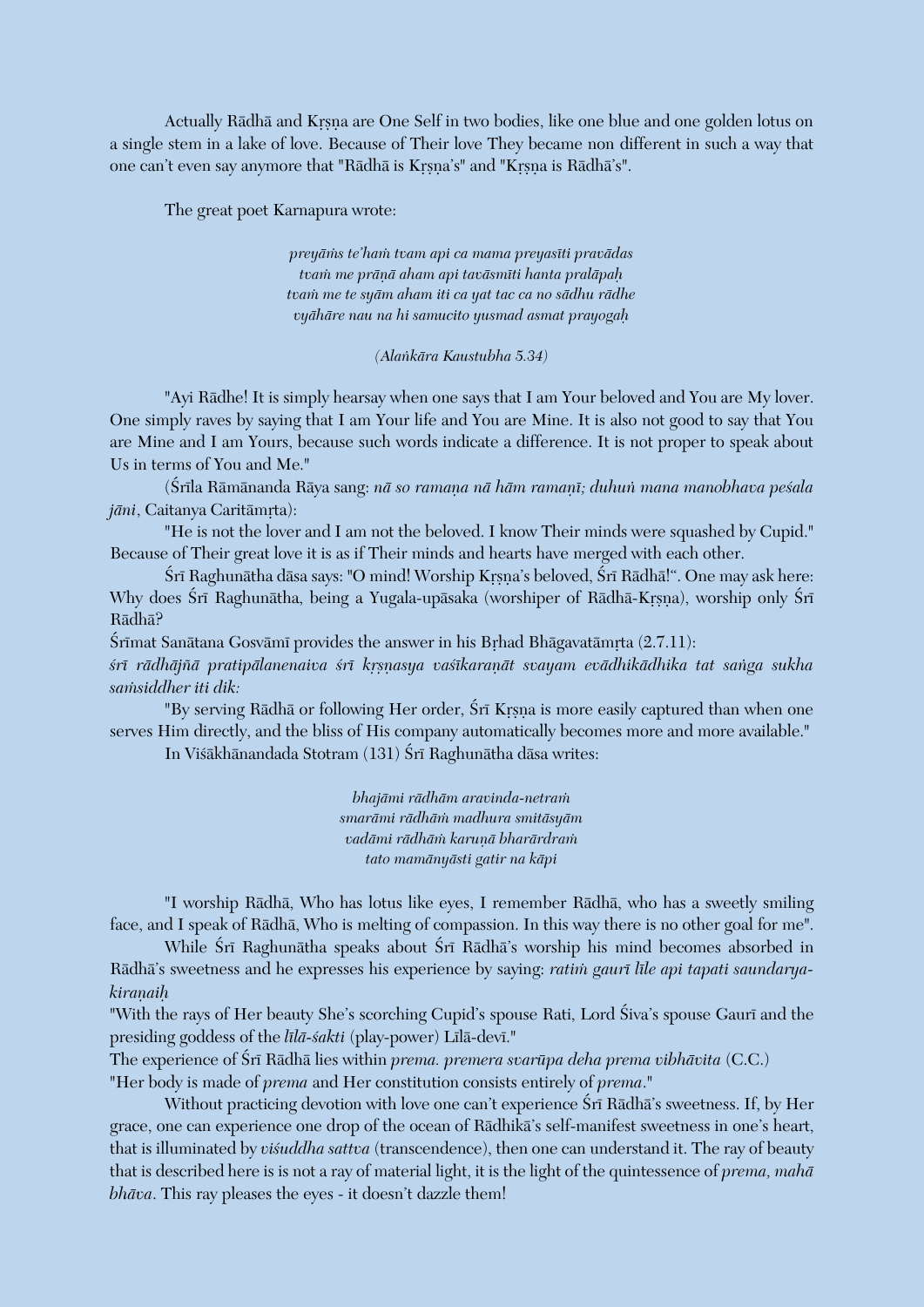Actually Rādhā and Krsna are One Self in two bodies, like one blue and one golden lotus on a single stem in a lake of love. Because of Their love They became non different in such a way that one can't even say anymore that "Rādhā is Krsna's" and "Krsna is Rādhā's".

The great poet Karnapura wrote:

*preyäàs te'haà tvam api ca mama preyaséti pravädas tvaà me präëä aham api taväsméti hanta praläpaù tvaà me te syäm aham iti ca yat tac ca no sädhu rädhe vyähäre nau na hi samucito yusmad asmat prayogaù*

#### *(Alaìkära Kaustubha 5.34)*

"Ayi Rädhe! It is simply hearsay when one says that I am Your beloved and You are My lover. One simply raves by saying that I am Your life and You are Mine. It is also not good to say that You are Mine and I am Yours, because such words indicate a difference. It is not proper to speak about Us in terms of You and Me."

(Śrīla Rāmānanda Rāya sang: *nā so ramana nā hām ramanī; duhun mana manobhava peśala*  $j\bar{a}ni$ , Caitanya Caritāmrta):

"He is not the lover and I am not the beloved. I know Their minds were squashed by Cupid." Because of Their great love it is as if Their minds and hearts have merged with each other.

Śrī Raghunātha dāsa says: "O mind! Worship Krsna's beloved, Śrī Rādhā!". One may ask here: Why does Śrī Raghunātha, being a Yugala-upāsaka (worshiper of Rādhā-Krṣṇa), worship only Śrī Rädhä?

Śrīmat Sanātana Gosvāmī provides the answer in his Brhad Bhāgavatāmrta (2.7.11):

*çré rädhäjïä pratipälanenaiva çré kåñëasya vaçékaraëät svayam evädhikädhika tat saìga sukha saàsiddher iti dik:*

"By serving Rādhā or following Her order, Śrī Krsna is more easily captured than when one serves Him directly, and the bliss of His company automatically becomes more and more available."

In Viśākhānandada Stotram (131) Śrī Raghunātha dāsa writes:

*bhajämi rädhäm aravinda-netraà smarämi rädhäà madhura smitäsyäm vadämi rädhäà karuëä bharärdraà tato mamänyästi gatir na käpi*

"I worship Rädhä, Who has lotus like eyes, I remember Rädhä, who has a sweetly smiling face, and I speak of Rädhä, Who is melting of compassion. In this way there is no other goal for me".

While Śrī Raghunātha speaks about Śrī Rādhā's worship his mind becomes absorbed in Rādhā's sweetness and he expresses his experience by saying: *ratim gaurī līle api tapati saundarya* $kiranaih$ 

"With the rays of Her beauty She's scorching Cupid's spouse Rati, Lord Śiva's spouse Gauri and the presiding goddess of the *līlā-śakti* (play-power) Līlā-devī."

The experience of Śrī Rādhā lies within *prema. premera svarūpa deha prema vibhāvita* (C.C.) "Her body is made of *prema* and Her constitution consists entirely of *prema*."

Without practicing devotion with love one can't experience Sri Radha's sweetness. If, by Her grace, one can experience one drop of the ocean of Rädhikä's self-manifest sweetness in one's heart, that is illuminated by *viçuddha sattva* (transcendence), then one can understand it. The ray of beauty that is described here is is not a ray of material light, it is the light of the quintessence of *prema, mahä bhäva*. This ray pleases the eyes - it doesn't dazzle them!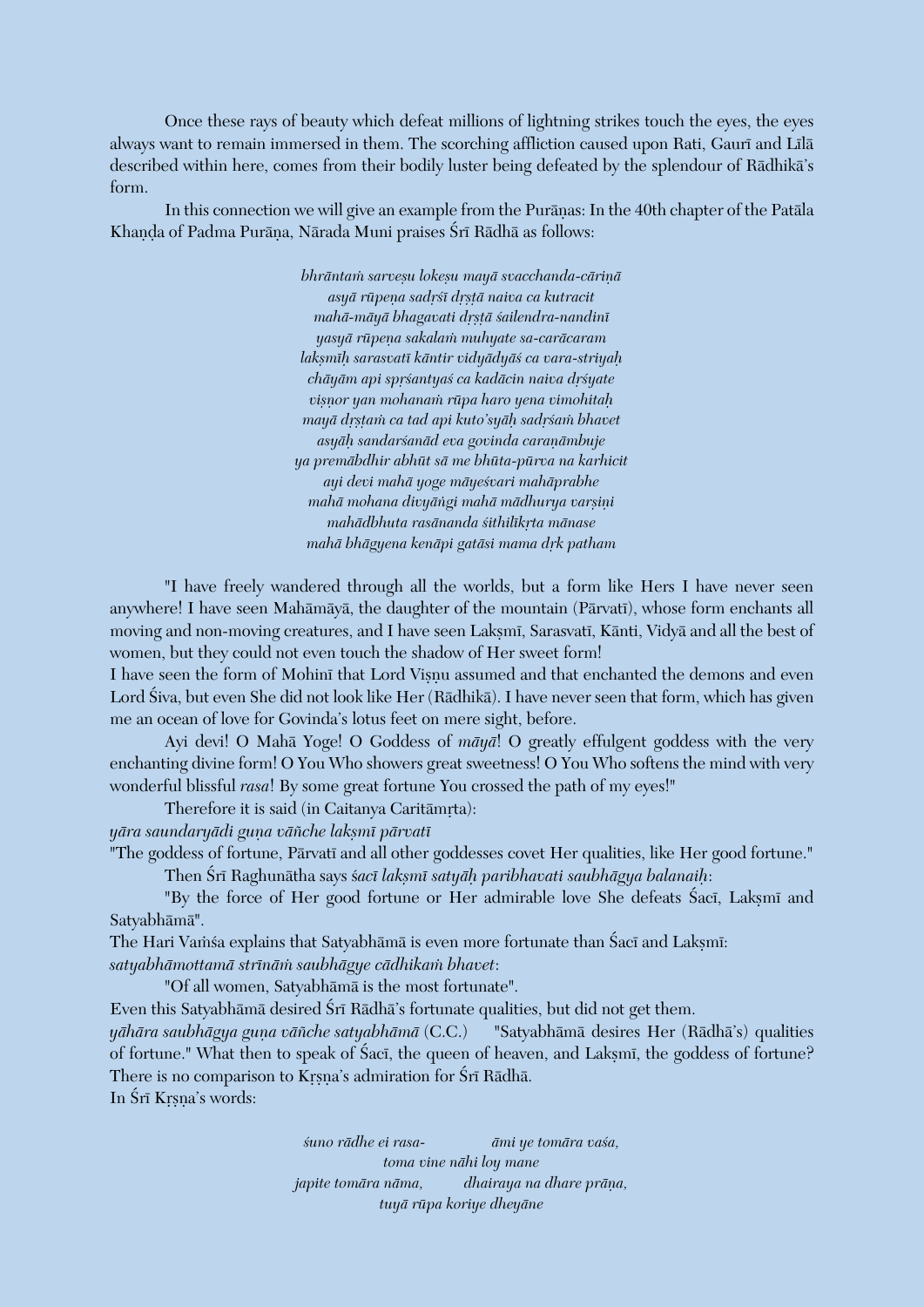Once these rays of beauty which defeat millions of lightning strikes touch the eyes, the eyes always want to remain immersed in them. The scorching affliction caused upon Rati, Gaurī and Līlā described within here, comes from their bodily luster being defeated by the splendour of Rädhikä's form.

In this connection we will give an example from the Purānas: In the 40th chapter of the Patāla Khanda of Padma Purāna, Nārada Muni praises Śrī Rādhā as follows:

> *bhrāntam sarveșu lokeșu mayā svacchanda-cāriņā asyä rüpeëa sadåçé dåñöä naiva ca kutracit mahä-mäyä bhagavati dåñöä çailendra-nandiné yasyä rüpeëa sakalaà muhyate sa-caräcaram lakñméù sarasvaté käntir vidyädyäç ca vara-striyaù chāyām api sprśantyaś ca kadācin naiva drśyate viñëor yan mohanaà rüpa haro yena vimohitaù mayä dåñöaà ca tad api kuto'syäù sadåçaà bhavet asyäù sandarçanäd eva govinda caraëämbuje ya premäbdhir abhüt sä me bhüta-pürva na karhicit ayi devi mahä yoge mäyeçvari mahäprabhe* mahā mohana divyāṅgi mahā mādhurya varsini *mahädbhuta rasänanda çithilékåta mänase mahä bhägyena kenäpi gatäsi mama dåk patham*

"I have freely wandered through all the worlds, but a form like Hers I have never seen anywhere! I have seen Mahāmāyā, the daughter of the mountain (Pārvatī), whose form enchants all moving and non-moving creatures, and I have seen Lakṣmī, Sarasvatī, Kānti, Vidyā and all the best of women, but they could not even touch the shadow of Her sweet form!

I have seen the form of Mohini that Lord Viṣṇu assumed and that enchanted the demons and even Lord Çiva, but even She did not look like Her (Rädhikä). I have never seen that form, which has given me an ocean of love for Govinda's lotus feet on mere sight, before.

Ayi devi! O Mahä Yoge! O Goddess of *mäyä*! O greatly effulgent goddess with the very enchanting divine form! O You Who showers great sweetness! O You Who softens the mind with very wonderful blissful *rasa*! By some great fortune You crossed the path of my eyes!"

Therefore it is said (in Caitanya Caritāmrta):

*yära saundaryädi guëa väïche lakñmé pärvaté*

"The goddess of fortune, Pārvatī and all other goddesses covet Her qualities, like Her good fortune." Then Çré Raghunätha says ç*acé lakñmé satyäù paribhavati saubhägya balanaiù*:

"By the force of Her good fortune or Her admirable love She defeats Saci, Laksmi and Satyabhämä".

The Hari Vamsa explains that Satyabhāmā is even more fortunate than Saci and Laksmi: *satyabhämottamä strénäà saubhägye cädhikaà bhavet*:

"Of all women, Satyabhämä is the most fortunate".

Even this Satyabhāmā desired Śrī Rādhā's fortunate qualities, but did not get them.

*yāhāra saubhāgya guna vāñche satyabhāmā* (C.C.) "Satyabhāmā desires Her (Rādhā's) qualities of fortune." What then to speak of Saci, the queen of heaven, and Laksmi, the goddess of fortune? There is no comparison to Krsna's admiration for Śrī Rādhā.

In Śrī Krsna's words:

*çuno rädhe ei rasa- ämi ye tomära vaça, toma vine nähi loy mane japite tomāra nāma, dhairaya na dhare prāna, tuyä rüpa koriye dheyäne*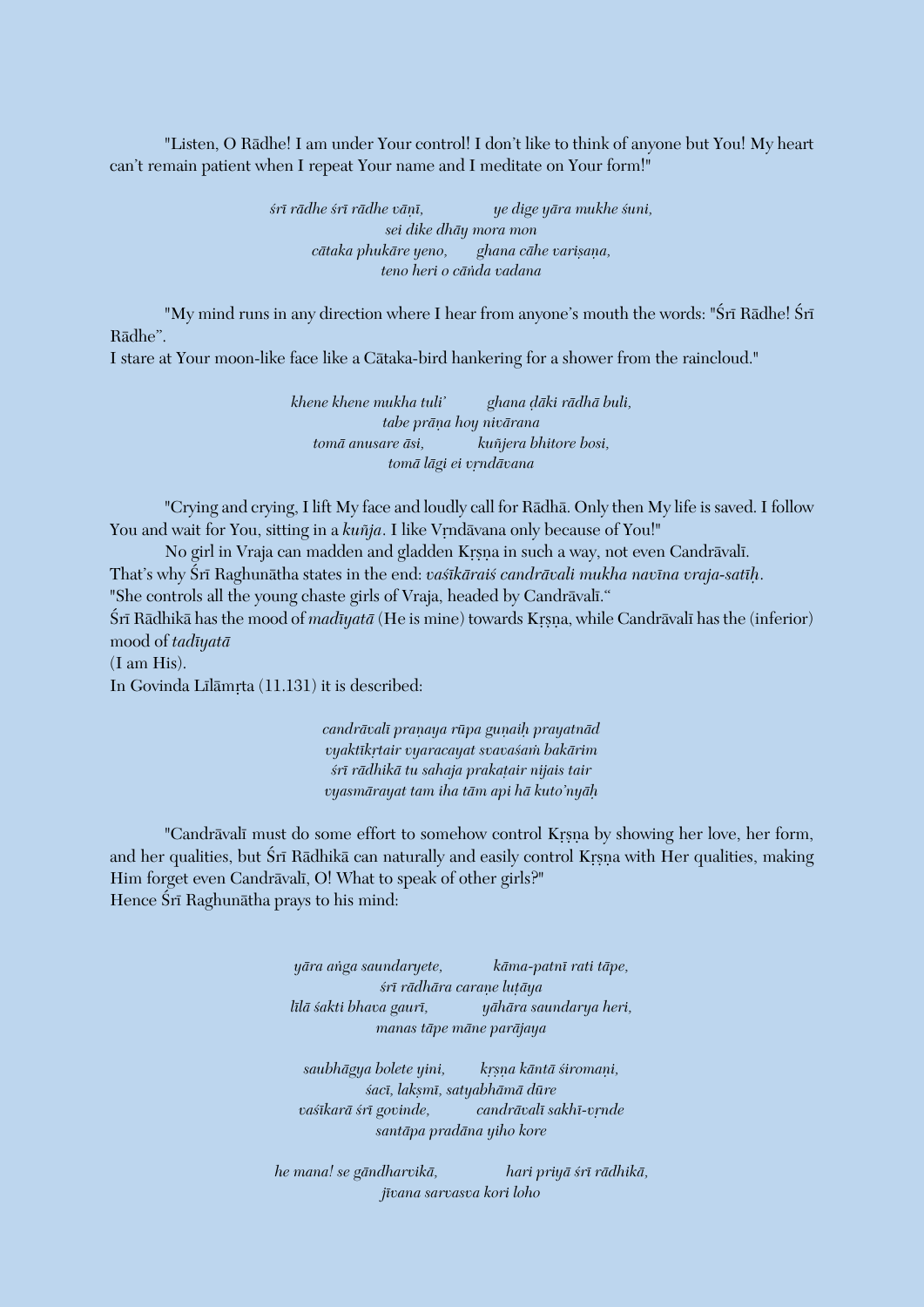"Listen, O Rädhe! I am under Your control! I don't like to think of anyone but You! My heart can't remain patient when I repeat Your name and I meditate on Your form!"

> *çré rädhe çré rädhe väëé, ye dige yära mukhe çuni, sei dike dhäy mora mon cātaka phukāre yeno, ghana cāhe varisana, teno heri o cäìda vadana*

"My mind runs in any direction where I hear from anyone's mouth the words: "Śrī Rādhe! Śrī Rädhe".

I stare at Your moon-like face like a Cätaka-bird hankering for a shower from the raincloud."

*khene khene mukha tuli' ghana òäki rädhä buli, tabe präëa hoy nivärana tomä anusare äsi, kuïjera bhitore bosi,*  $tomā$ *lāgi ei vrndāvana* 

"Crying and crying, I lift My face and loudly call for Rädhä. Only then My life is saved. I follow You and wait for You, sitting in a *kuñja*. I like Vrndävana only because of You!"

No girl in Vraja can madden and gladden Krsna in such a way, not even Candrāvalī. That's why Śrī Raghunātha states in the end: *vaśīkāraiś candrāvali mukha navīna vraja-satīh*. "She controls all the young chaste girls of Vraja, headed by Candrāvalī." Śrī Rādhikā has the mood of *madīyatā* (He is mine) towards Krsna, while Candrāvalī has the (inferior) mood of *tadéyatä* (I am His). In Govinda Līlāmŗta (11.131) it is described:

> *candrāvalī praņaya rūpa guņaih prayatnād vyaktékåtair vyaracayat svavaçaà bakärim*  $s$ rī rādhikā tu sahaja prakatair nijais tair *vyasmärayat tam iha täm api hä kuto'nyäù*

"Candrāvalī must do some effort to somehow control Krsna by showing her love, her form, and her qualities, but Śrī Rādhikā can naturally and easily control Krsna with Her qualities, making Him forget even Candrāvalī, O! What to speak of other girls?" Hence Śrī Raghunātha prays to his mind:

> *yära aìga saundaryete, käma-patné rati täpe,*  $s$ rī rādhāra carane lutāya *lélä çakti bhava gauré, yähära saundarya heri, manas täpe mäne paräjaya*

saubhāgya bolete yini, krsņa kāntā *śiromaņi*, *çacé, lakñmé, satyabhämä düre* vasīkarā srī govinde, candrāvalī sakhī-vrnde *santäpa pradäna yiho kore*

*he mana! se gändharvikä, hari priyä çré rädhikä, jévana sarvasva kori loho*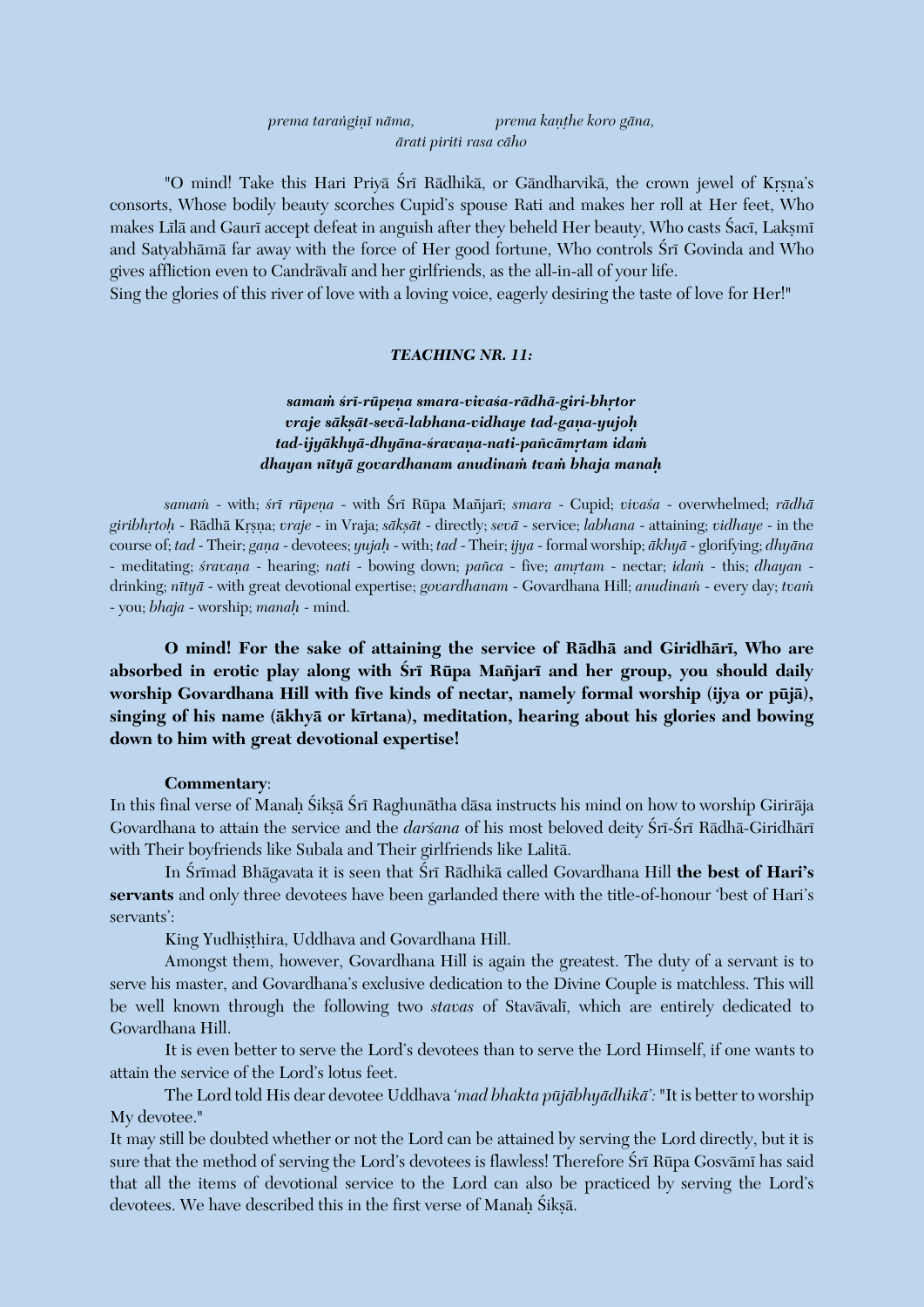| prema taranginī nāma,  | prema kanthe koro gāna, |
|------------------------|-------------------------|
| ārati piriti rasa cāho |                         |

"O mind! Take this Hari Priva Śrī Rādhikā, or Gāndharvikā, the crown jewel of Krsna's consorts, Whose bodily beauty scorches Cupid's spouse Rati and makes her roll at Her feet, Who makes Līlā and Gaurī accept defeat in anguish after they beheld Her beauty, Who casts Śacī, Lakṣmī and Satyabhāmā far away with the force of Her good fortune, Who controls Śrī Govinda and Who gives affliction even to Candrāvalī and her girlfriends, as the all-in-all of your life.

Sing the glories of this river of love with a loving voice, eagerly desiring the taste of love for Her!"

#### *TEACHING NR. 11:*

samam *śrī-rūpena smara-vivaśa-rādhā-giri-bhrtor vraje sāksāt-sevā-labhana-vidhaye tad-gana-yujoh* tad-ijyākhyā-dhyāna-śravana-nati-pañcāmrtam ida*m dhayan nétyä govardhanam anudinaà tvaà bhaja manaù* 

*samaà* - with; *çré rüpeëa* - with Çré Rüpa Maïjaré; *smara* - Cupid; *vivaça* - overwhelmed; *rädhä giribhåtoù* - Rädhä Kåñëa; *vraje* - in Vraja; *säkñät* - directly; *sevä* - service; *labhana* - attaining; *vidhaye* - in the course of; *tad* - Their; *gaëa* - devotees; *yujaù* - with; *tad* - Their; *ijya* - formal worship; *äkhyä* - glorifying; *dhyäna* - meditating; *śravana* - hearing; *nati* - bowing down; *pañca* - five; *amrtam* - nectar; *idam* - this; *dhayan* drinking; *nétyä* - with great devotional expertise; *govardhanam* - Govardhana Hill; *anudinaà* - every day; *tvaà* - you; *bhaja* - worship; *manaù* - mind.

**O mind! For the sake of attaining the service of Rädhä and Giridhäré, Who are**  absorbed in erotic play along with *Śrī Rūpa Mañjarī and her group, you should daily* **worship Govardhana Hill with five kinds of nectar, namely formal worship (ijya or püjä),**  singing of his name (ākhyā or kīrtana), meditation, hearing about his glories and bowing **down to him with great devotional expertise!**

#### **Commentary**:

In this final verse of Manah Śikṣā Śrī Raghunātha dāsa instructs his mind on how to worship Girirāja Govardhana to attain the service and the *darśana* of his most beloved deity Śrī-Śrī Rādhā-Giridhārī with Their boyfriends like Subala and Their girlfriends like Lalitä.

In Śrīmad Bhāgavata it is seen that Śrī Rādhikā called Govardhana Hill the best of Hari's **servants** and only three devotees have been garlanded there with the title-of-honour 'best of Hari's servants':

King Yudhisthira, Uddhava and Govardhana Hill.

Amongst them, however, Govardhana Hill is again the greatest. The duty of a servant is to serve his master, and Govardhana's exclusive dedication to the Divine Couple is matchless. This will be well known through the following two *stavas* of Stavavali, which are entirely dedicated to Govardhana Hill.

It is even better to serve the Lord's devotees than to serve the Lord Himself, if one wants to attain the service of the Lord's lotus feet.

The Lord told His dear devotee Uddhava '*mad bhakta püjäbhyädhikä':* "It is better to worship My devotee."

It may still be doubted whether or not the Lord can be attained by serving the Lord directly, but it is sure that the method of serving the Lord's devotees is flawless! Therefore Srī Rūpa Gosvāmī has said that all the items of devotional service to the Lord can also be practiced by serving the Lord's devotees. We have described this in the first verse of Manah Śikṣā.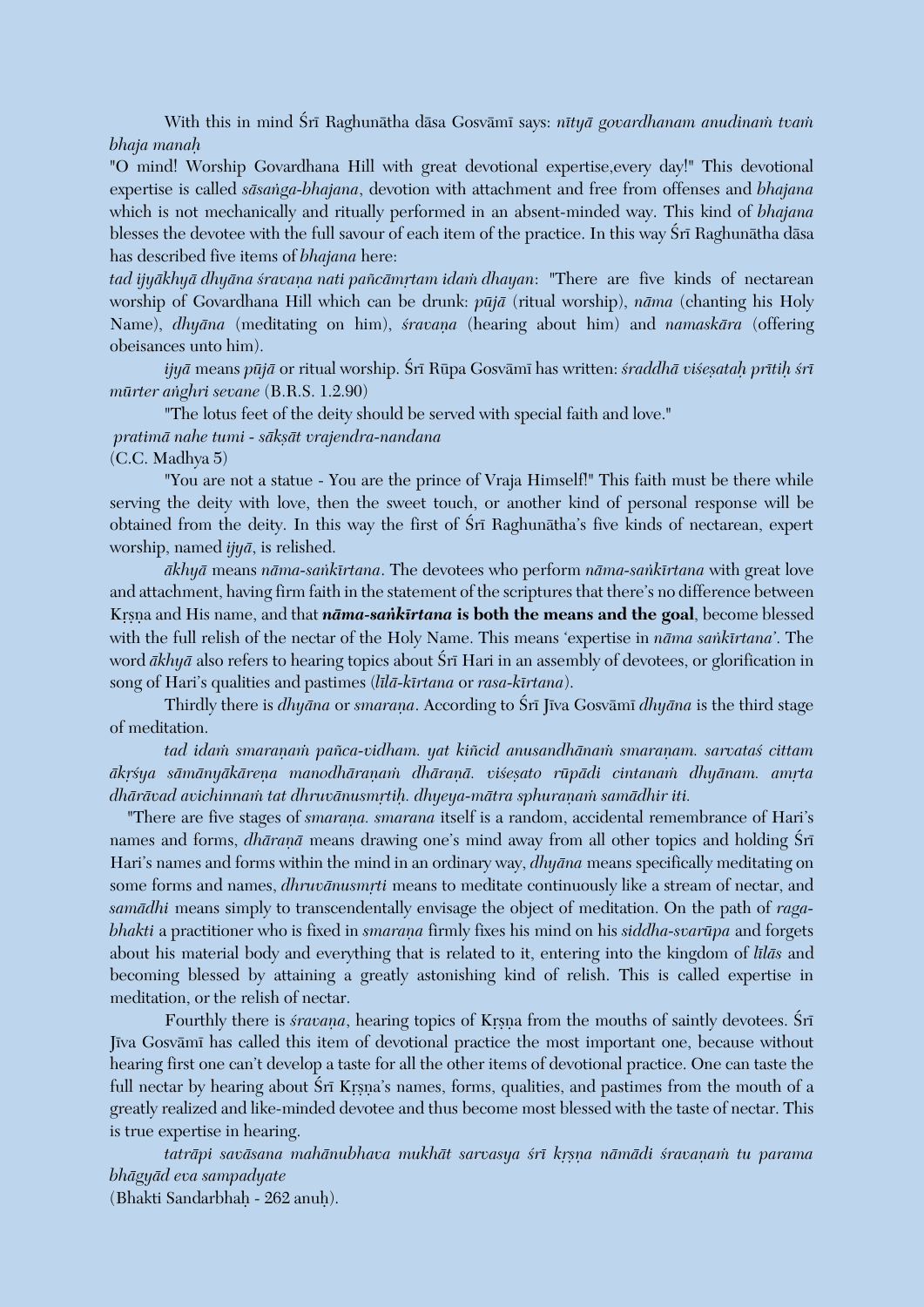With this in mind Śrī Raghunātha dāsa Gosvāmī says: *nītyā govardhanam anudinam tvam bhaja manaù*

"O mind! Worship Govardhana Hill with great devotional expertise,every day!" This devotional expertise is called *säsaìga-bhajana*, devotion with attachment and free from offenses and *bhajana* which is not mechanically and ritually performed in an absent-minded way. This kind of *bhajana* blesses the devotee with the full savour of each item of the practice. In this way Srī Raghunātha dāsa has described five items of *bhajana* here:

tad ijyākhyā dhyāna śravana nati pañcāmrtam idam dhayan: "There are five kinds of nectarean worship of Govardhana Hill which can be drunk: *püjä* (ritual worship), *näma* (chanting his Holy Name), *dhyāna* (meditating on him), *śravana* (hearing about him) and *namaskāra* (offering obeisances unto him).

*ijyā* means *pūjā* or ritual worship. Śrī Rūpa Gosvāmī has written: *śraddhā viśesatah prītih śrī mürter aìghri sevane* (B.R.S. 1.2.90)

"The lotus feet of the deity should be served with special faith and love."

#### *pratimä nahe tumi - säkñät vrajendra-nandana*

(C.C. Madhya 5)

"You are not a statue - You are the prince of Vraja Himself!" This faith must be there while serving the deity with love, then the sweet touch, or another kind of personal response will be obtained from the deity. In this way the first of Sri Raghunatha's five kinds of nectarean, expert worship, named *ijyä*, is relished.

*äkhyä* means *näma-saìkértana*. The devotees who perform *näma-saìkértana* with great love and attachment, having firm faith in the statement of the scriptures that there's no difference between Krsna and His name, and that *nāma-sankīrtana* is both the means and the goal, become blessed with the full relish of the nectar of the Holy Name. This means 'expertise in *näma saìkértana'*. The word  $\bar{a}$ *khy* $\bar{a}$  also refers to hearing topics about Śrī Hari in an assembly of devotees, or glorification in song of Hari's qualities and pastimes (*lélä-kértana* or *rasa-kértana*).

Thirdly there is *dhyāna* or *smarana*. According to Śrī Jīva Gosvāmī *dhyāna* is the third stage of meditation.

tad idam smaranam pañca-vidham. yat kiñcid anusandhānam smaranam. sarvatas cittam  $\bar{a}$ krsya sämänyäkärena manodhäranam dhäranā. visesato rūpādi cintanam dhyānam. amrta dhārāvad avichinnam tat dhruvānusmrtih. dhyeya-mātra sphuranam samādhir iti.

"There are five stages of *smarana. smarana* itself is a random, accidental remembrance of Hari's names and forms, *dhāranā* means drawing one's mind away from all other topics and holding Śrī Hari's names and forms within the mind in an ordinary way, *dhyäna* means specifically meditating on some forms and names, *dhruvānusmṛti* means to meditate continuously like a stream of nectar, and *samädhi* means simply to transcendentally envisage the object of meditation. On the path of *ragabhakti* a practitioner who is fixed in *smarana* firmly fixes his mind on his *siddha-svarūpa* and forgets about his material body and everything that is related to it, entering into the kingdom of *lilas* and becoming blessed by attaining a greatly astonishing kind of relish. This is called expertise in meditation, or the relish of nectar.

Fourthly there is *sravana*, hearing topics of Krsna from the mouths of saintly devotees. Sri Jīva Gosvāmī has called this item of devotional practice the most important one, because without hearing first one can't develop a taste for all the other items of devotional practice. One can taste the full nectar by hearing about Srī Krsna's names, forms, qualities, and pastimes from the mouth of a greatly realized and like-minded devotee and thus become most blessed with the taste of nectar. This is true expertise in hearing.

tatrāpi savāsana mahānubhava mukhāt sarvasya *śrī krsņa nāmādi śravaņam tu parama bhägyäd eva sampadyate* (Bhakti Sandarbhaù - 262 anuù).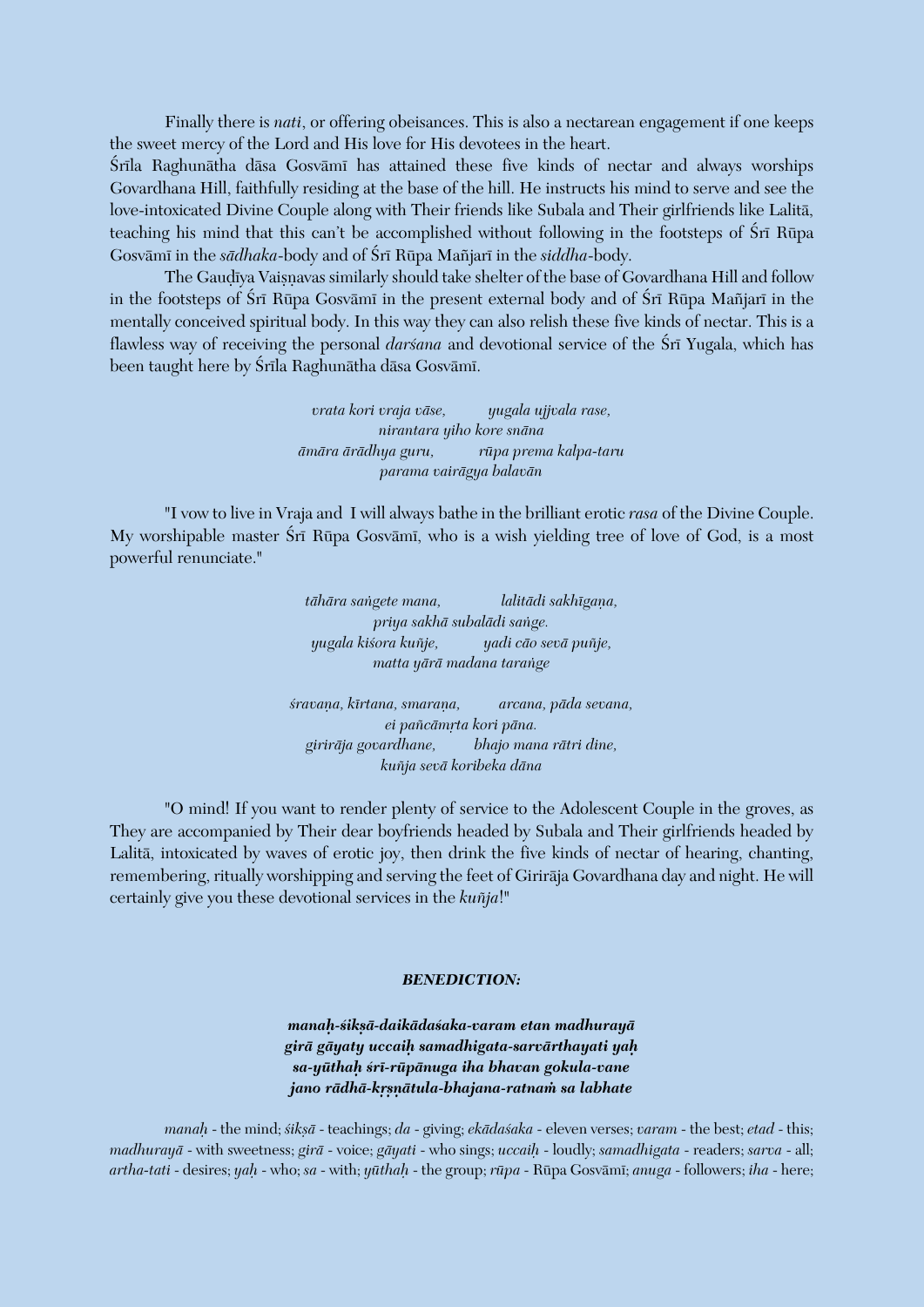Finally there is *nati*, or offering obeisances. This is also a nectarean engagement if one keeps the sweet mercy of the Lord and His love for His devotees in the heart.

Śrīla Raghunātha dāsa Gosvāmī has attained these five kinds of nectar and always worships Govardhana Hill, faithfully residing at the base of the hill. He instructs his mind to serve and see the love-intoxicated Divine Couple along with Their friends like Subala and Their girlfriends like Lalitä, teaching his mind that this can't be accomplished without following in the footsteps of Srī Rūpa Gosvämé in the *sädhaka*-body and of Çré Rüpa Maïjaré in the *siddha*-body.

The Gaudīya Vaisnavas similarly should take shelter of the base of Govardhana Hill and follow in the footsteps of Śrī Rūpa Gosvāmī in the present external body and of Śrī Rūpa Mañjarī in the mentally conceived spiritual body. In this way they can also relish these five kinds of nectar. This is a flawless way of receiving the personal *darsana* and devotional service of the Sri Yugala, which has been taught here by Śrīla Raghunātha dāsa Gosvāmī.

> *vrata kori vraja väse, yugala ujjvala rase, nirantara yiho kore snäna ämära ärädhya guru, rüpa prema kalpa-taru parama vairägya balavän*

"I vow to live in Vraja and I will always bathe in the brilliant erotic *rasa* of the Divine Couple. My worshipable master Śrī Rūpa Gosvāmī, who is a wish yielding tree of love of God, is a most powerful renunciate."

> *tähära saìgete mana, lalitädi sakhégaëa, priya sakhä subalädi saìge. yugala kiçora kuïje, yadi cäo sevä puïje, matta yärä madana taraìge*

*çravaëa, kértana, smaraëa, arcana, päda sevana,*  $ei$  pañcāmrta kori pāna. *giriräja govardhane, bhajo mana rätri dine, kuïja sevä koribeka däna*

"O mind! If you want to render plenty of service to the Adolescent Couple in the groves, as They are accompanied by Their dear boyfriends headed by Subala and Their girlfriends headed by Lalitä, intoxicated by waves of erotic joy, then drink the five kinds of nectar of hearing, chanting, remembering, ritually worshipping and serving the feet of Giriräja Govardhana day and night. He will certainly give you these devotional services in the *kuïja*!"

#### *BENEDICTION:*

*manaù-çikñä-daikädaçaka-varam etan madhurayä girä gäyaty uccaiù samadhigata-sarvärthayati yaù sa-yüthaù çré-rüpänuga iha bhavan gokula-vane jano rädhä-kåñëätula-bhajana-ratnaà sa labhate* 

*manaù* - the mind; *çikñä* - teachings; *da* - giving; *ekädaçaka* - eleven verses; *varam* - the best; *etad* - this; *madhurayä* - with sweetness; *girä* - voice; *gäyati* - who sings; *uccaiù* - loudly; *samadhigata* - readers; *sarva* - all; *artha-tati* - desires; *yaù* - who; *sa* - with; *yüthaù* - the group; *rüpa* - Rüpa Gosvämé; *anuga* - followers; *iha* - here;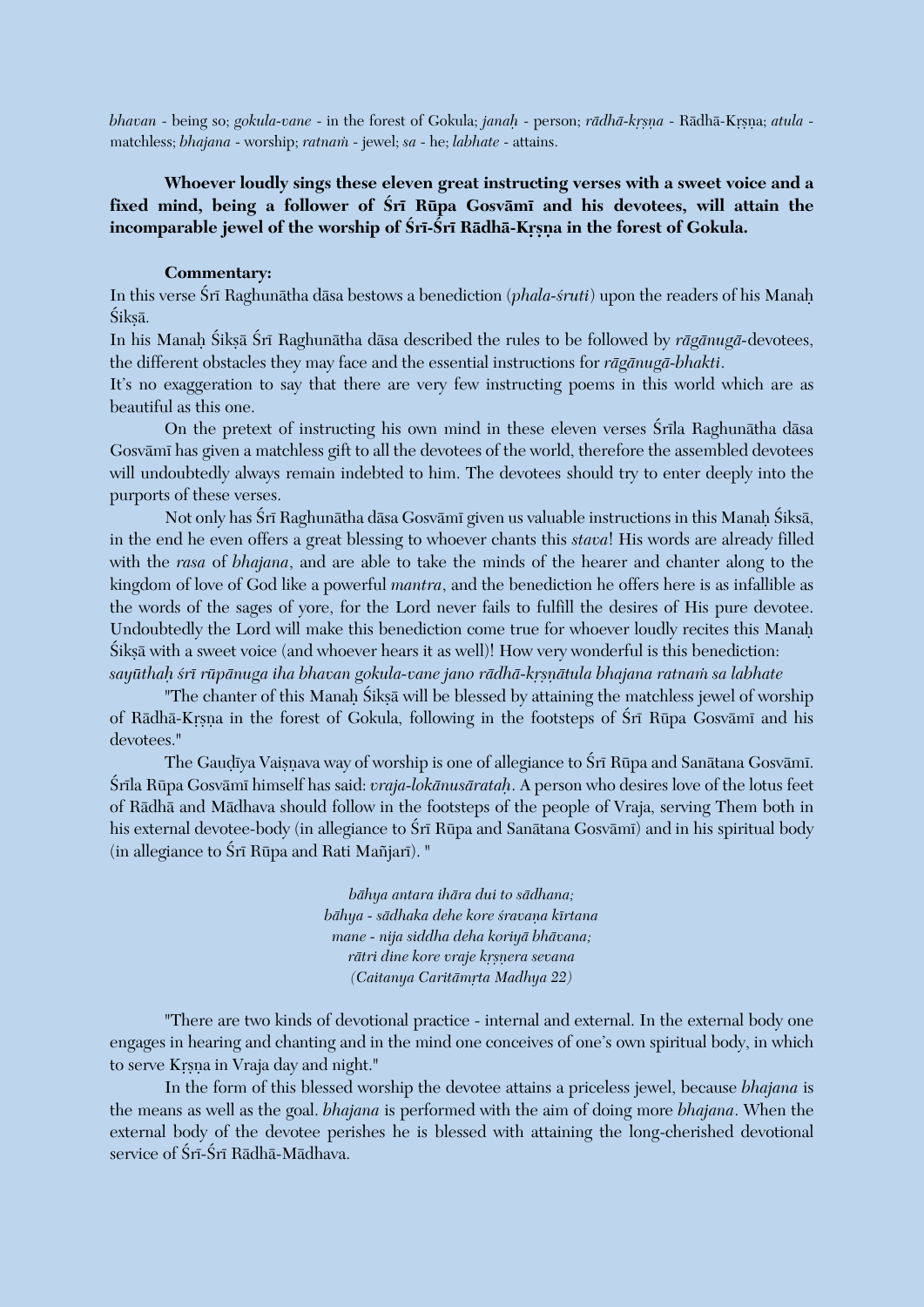*bhavan* - being so; *gokula-vane* - in the forest of Gokula; *janah* - person; *rādhā-kṛṣṇa* - Rādhā-Kṛṣṇa; *atula* matchless; *bhajana* - worship; *ratnam* - jewel; *sa* - he; *labhate* - attains.

**Whoever loudly sings these eleven great instructing verses with a sweet voice and a**  fixed mind, being a follower of Sri Rūpa Gosvāmī and his devotees, will attain the incomparable jewel of the worship of Śrī-Śrī Rādhā-Krsna in the forest of Gokula.

#### **Commentary:**

In this verse Śrī Raghunātha dāsa bestows a benediction (*phala-śruti*) upon the readers of his Manah Śiksā.

In his Manah Śiksā Śrī Raghunātha dāsa described the rules to be followed by *rāgānugā*-devotees, the different obstacles they may face and the essential instructions for *rägänugä-bhakti*.

It's no exaggeration to say that there are very few instructing poems in this world which are as beautiful as this one.

On the pretext of instructing his own mind in these eleven verses Śrīla Raghunātha dāsa Gosvämé has given a matchless gift to all the devotees of the world, therefore the assembled devotees will undoubtedly always remain indebted to him. The devotees should try to enter deeply into the purports of these verses.

Not only has Śrī Raghunātha dāsa Gosvāmī given us valuable instructions in this Manaḥ Śiksā, in the end he even offers a great blessing to whoever chants this *stava*! His words are already filled with the *rasa* of *bhajana*, and are able to take the minds of the hearer and chanter along to the kingdom of love of God like a powerful *mantra*, and the benediction he offers here is as infallible as the words of the sages of yore, for the Lord never fails to fulfill the desires of His pure devotee. Undoubtedly the Lord will make this benediction come true for whoever loudly recites this Manaù Sikṣā with a sweet voice (and whoever hears it as well)! How very wonderful is this benediction: sayūthah *śrī rūpānuga iha bhavan gokula-vane jano rādhā-krsnātula bhajana ratnam sa labhate* 

"The chanter of this Manaḥ Śikṣā will be blessed by attaining the matchless jewel of worship of Rādhā-Krsna in the forest of Gokula, following in the footsteps of Śrī Rūpa Gosvāmī and his devotees."

The Gaudīya Vaisnava way of worship is one of allegiance to Śrī Rūpa and Sanātana Gosvāmī. Çréla Rüpa Gosvämé himself has said: *vraja-lokänusärataù*. A person who desires love of the lotus feet of Rädhä and Mädhava should follow in the footsteps of the people of Vraja, serving Them both in his external devotee-body (in allegiance to Śrī Rūpa and Sanātana Gosvāmī) and in his spiritual body  $(in$  allegiance to Śrī Rūpa and Rati Mañjarī). "

> *bähya antara ihära dui to sädhana; bähya - sädhaka dehe kore çravaëa kértana mane - nija siddha deha koriyä bhävana; rātri dine kore vraje krsnera sevana (Caitanya Caritämåta Madhya 22)*

"There are two kinds of devotional practice - internal and external. In the external body one engages in hearing and chanting and in the mind one conceives of one's own spiritual body, in which to serve Krsna in Vraja day and night."

In the form of this blessed worship the devotee attains a priceless jewel, because *bhajana* is the means as well as the goal. *bhajana* is performed with the aim of doing more *bhajana*. When the external body of the devotee perishes he is blessed with attaining the long-cherished devotional service of Śrī-Śrī Rādhā-Mādhava.